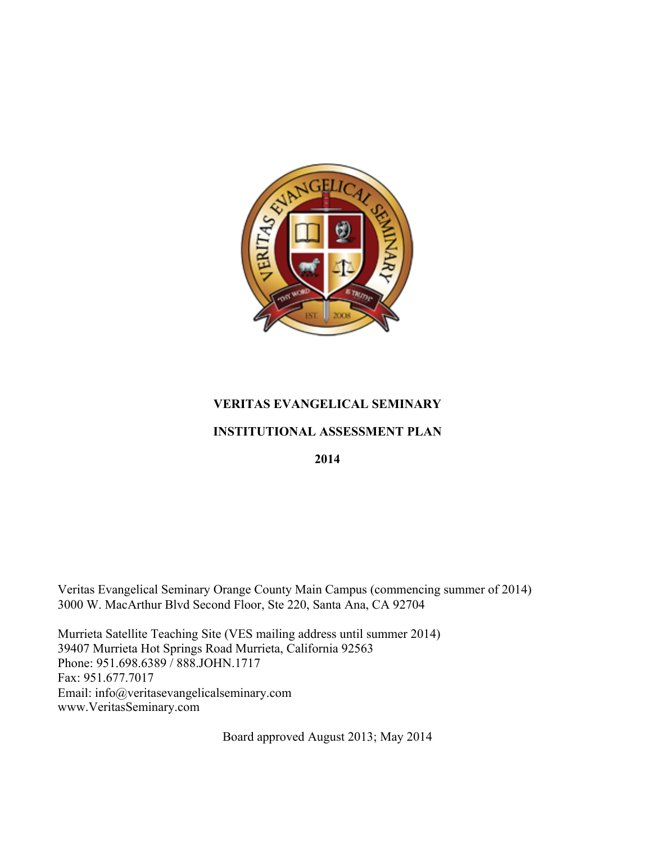

### **VERITAS EVANGELICAL SEMINARY**

### **INSTITUTIONAL ASSESSMENT PLAN**

**2014**

Veritas Evangelical Seminary Orange County Main Campus (commencing summer of 2014) 3000 W. MacArthur Blvd Second Floor, Ste 220, Santa Ana, CA 92704

Murrieta Satellite Teaching Site (VES mailing address until summer 2014) 39407 Murrieta Hot Springs Road Murrieta, California 92563 Phone: 951.698.6389 / 888.JOHN.1717 Fax: 951.677.7017 Email: info@veritasevangelicalseminary.com www.VeritasSeminary.com

Board approved August 2013; May 2014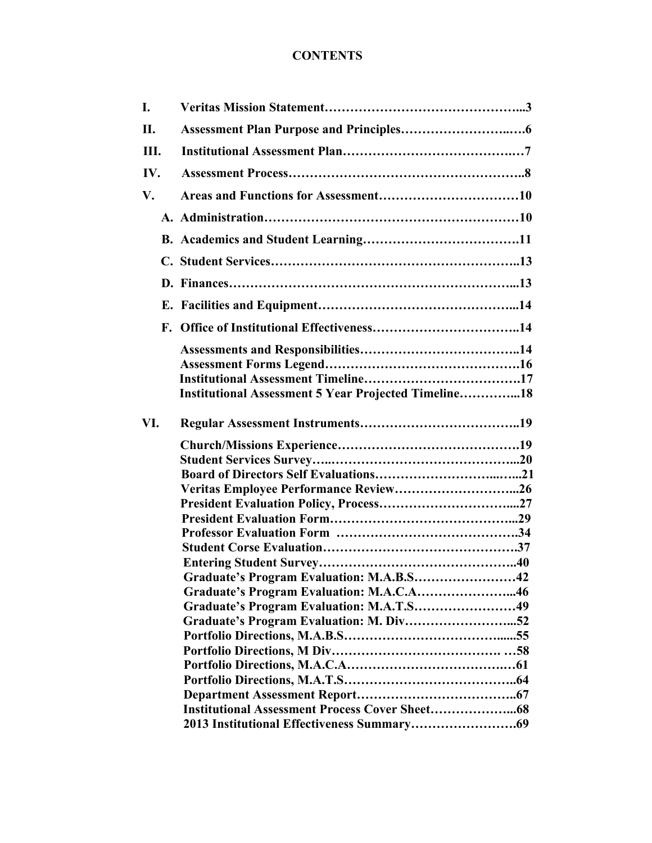## **CONTENTS**

| L   |                                                             |  |
|-----|-------------------------------------------------------------|--|
| II. |                                                             |  |
| Ш.  |                                                             |  |
| IV. |                                                             |  |
| V.  |                                                             |  |
|     |                                                             |  |
|     |                                                             |  |
|     |                                                             |  |
|     |                                                             |  |
|     |                                                             |  |
|     |                                                             |  |
|     |                                                             |  |
|     |                                                             |  |
|     |                                                             |  |
|     | <b>Institutional Assessment 5 Year Projected Timeline18</b> |  |
|     |                                                             |  |
| VI. |                                                             |  |
|     |                                                             |  |
|     |                                                             |  |
|     |                                                             |  |
|     |                                                             |  |
|     |                                                             |  |
|     |                                                             |  |
|     |                                                             |  |
|     |                                                             |  |
|     |                                                             |  |
|     | Graduate's Program Evaluation: M.A.B.S42                    |  |
|     | Graduate's Program Evaluation: M.A.C.A46                    |  |
|     | Graduate's Program Evaluation: M.A.T.S49                    |  |
|     |                                                             |  |
|     |                                                             |  |
|     |                                                             |  |
|     |                                                             |  |
|     |                                                             |  |
|     |                                                             |  |
|     |                                                             |  |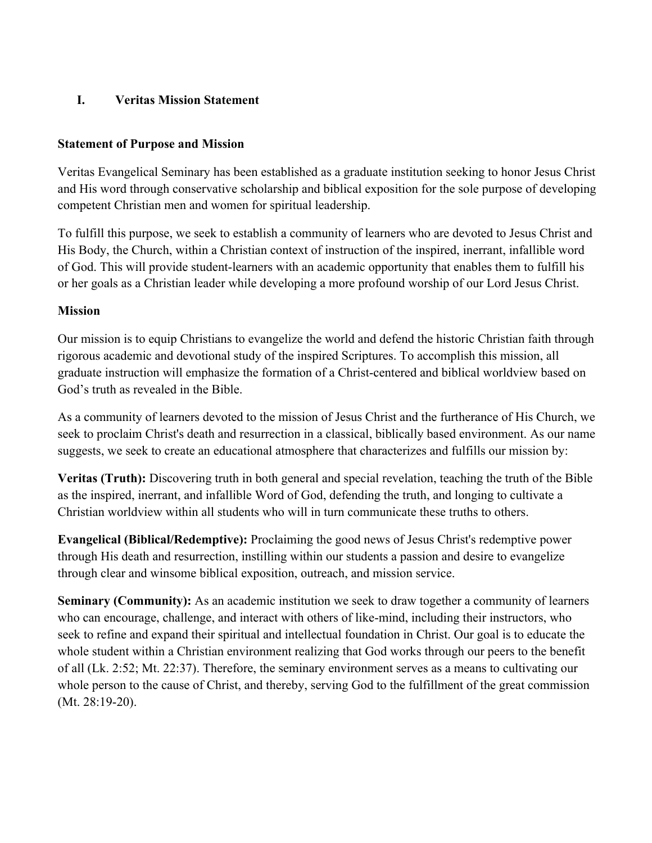### **I. Veritas Mission Statement**

### **Statement of Purpose and Mission**

Veritas Evangelical Seminary has been established as a graduate institution seeking to honor Jesus Christ and His word through conservative scholarship and biblical exposition for the sole purpose of developing competent Christian men and women for spiritual leadership.

To fulfill this purpose, we seek to establish a community of learners who are devoted to Jesus Christ and His Body, the Church, within a Christian context of instruction of the inspired, inerrant, infallible word of God. This will provide student-learners with an academic opportunity that enables them to fulfill his or her goals as a Christian leader while developing a more profound worship of our Lord Jesus Christ.

### **Mission**

Our mission is to equip Christians to evangelize the world and defend the historic Christian faith through rigorous academic and devotional study of the inspired Scriptures. To accomplish this mission, all graduate instruction will emphasize the formation of a Christ-centered and biblical worldview based on God's truth as revealed in the Bible.

As a community of learners devoted to the mission of Jesus Christ and the furtherance of His Church, we seek to proclaim Christ's death and resurrection in a classical, biblically based environment. As our name suggests, we seek to create an educational atmosphere that characterizes and fulfills our mission by:

**Veritas (Truth):** Discovering truth in both general and special revelation, teaching the truth of the Bible as the inspired, inerrant, and infallible Word of God, defending the truth, and longing to cultivate a Christian worldview within all students who will in turn communicate these truths to others.

**Evangelical (Biblical/Redemptive):** Proclaiming the good news of Jesus Christ's redemptive power through His death and resurrection, instilling within our students a passion and desire to evangelize through clear and winsome biblical exposition, outreach, and mission service.

**Seminary (Community):** As an academic institution we seek to draw together a community of learners who can encourage, challenge, and interact with others of like-mind, including their instructors, who seek to refine and expand their spiritual and intellectual foundation in Christ. Our goal is to educate the whole student within a Christian environment realizing that God works through our peers to the benefit of all (Lk. 2:52; Mt. 22:37). Therefore, the seminary environment serves as a means to cultivating our whole person to the cause of Christ, and thereby, serving God to the fulfillment of the great commission (Mt. 28:19-20).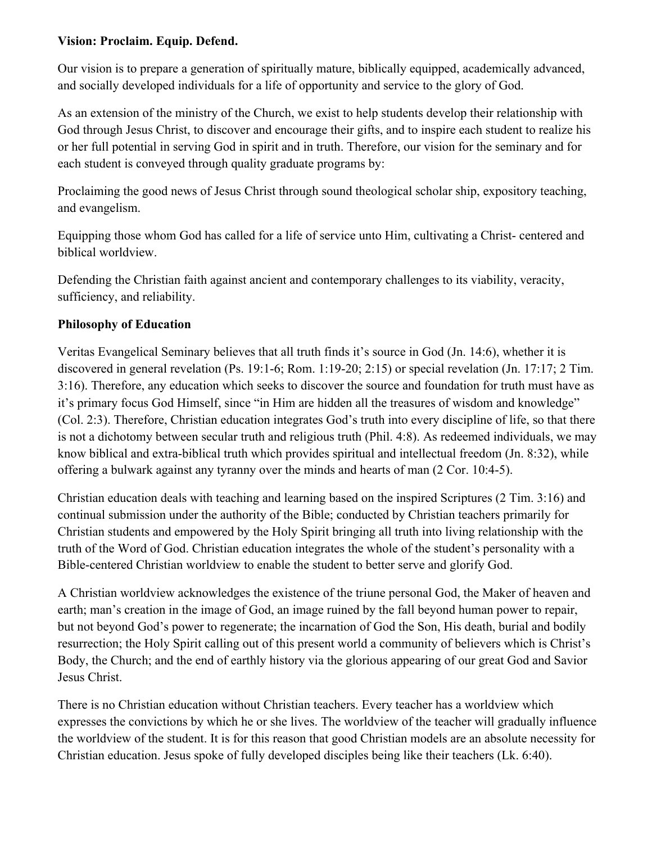### **Vision: Proclaim. Equip. Defend.**

Our vision is to prepare a generation of spiritually mature, biblically equipped, academically advanced, and socially developed individuals for a life of opportunity and service to the glory of God.

As an extension of the ministry of the Church, we exist to help students develop their relationship with God through Jesus Christ, to discover and encourage their gifts, and to inspire each student to realize his or her full potential in serving God in spirit and in truth. Therefore, our vision for the seminary and for each student is conveyed through quality graduate programs by:

Proclaiming the good news of Jesus Christ through sound theological scholar ship, expository teaching, and evangelism.

Equipping those whom God has called for a life of service unto Him, cultivating a Christ- centered and biblical worldview.

Defending the Christian faith against ancient and contemporary challenges to its viability, veracity, sufficiency, and reliability.

### **Philosophy of Education**

Veritas Evangelical Seminary believes that all truth finds it's source in God (Jn. 14:6), whether it is discovered in general revelation (Ps. 19:1-6; Rom. 1:19-20; 2:15) or special revelation (Jn. 17:17; 2 Tim. 3:16). Therefore, any education which seeks to discover the source and foundation for truth must have as it's primary focus God Himself, since "in Him are hidden all the treasures of wisdom and knowledge" (Col. 2:3). Therefore, Christian education integrates God's truth into every discipline of life, so that there is not a dichotomy between secular truth and religious truth (Phil. 4:8). As redeemed individuals, we may know biblical and extra-biblical truth which provides spiritual and intellectual freedom (Jn. 8:32), while offering a bulwark against any tyranny over the minds and hearts of man (2 Cor. 10:4-5).

Christian education deals with teaching and learning based on the inspired Scriptures (2 Tim. 3:16) and continual submission under the authority of the Bible; conducted by Christian teachers primarily for Christian students and empowered by the Holy Spirit bringing all truth into living relationship with the truth of the Word of God. Christian education integrates the whole of the student's personality with a Bible-centered Christian worldview to enable the student to better serve and glorify God.

A Christian worldview acknowledges the existence of the triune personal God, the Maker of heaven and earth; man's creation in the image of God, an image ruined by the fall beyond human power to repair, but not beyond God's power to regenerate; the incarnation of God the Son, His death, burial and bodily resurrection; the Holy Spirit calling out of this present world a community of believers which is Christ's Body, the Church; and the end of earthly history via the glorious appearing of our great God and Savior Jesus Christ.

There is no Christian education without Christian teachers. Every teacher has a worldview which expresses the convictions by which he or she lives. The worldview of the teacher will gradually influence the worldview of the student. It is for this reason that good Christian models are an absolute necessity for Christian education. Jesus spoke of fully developed disciples being like their teachers (Lk. 6:40).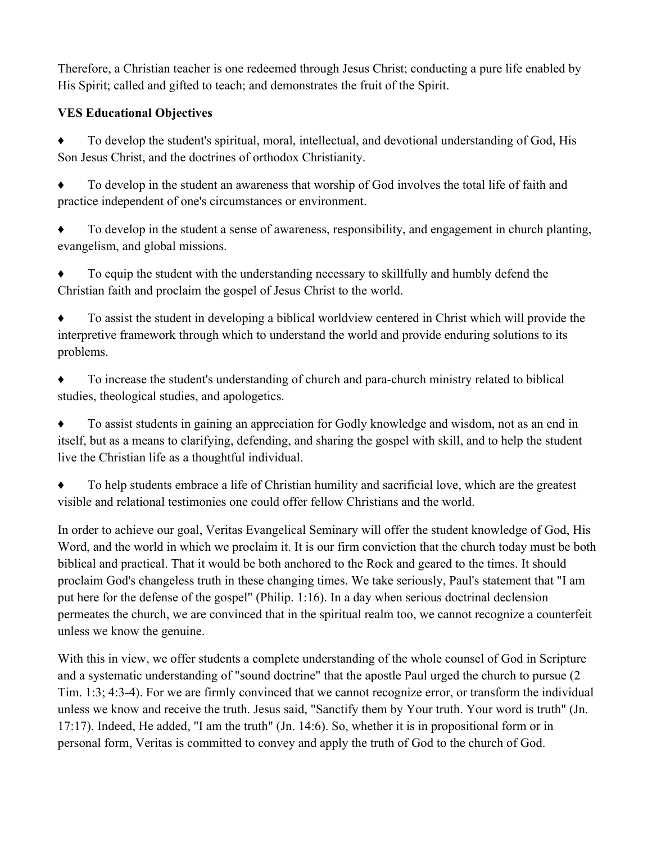Therefore, a Christian teacher is one redeemed through Jesus Christ; conducting a pure life enabled by His Spirit; called and gifted to teach; and demonstrates the fruit of the Spirit.

### **VES Educational Objectives**

To develop the student's spiritual, moral, intellectual, and devotional understanding of God, His Son Jesus Christ, and the doctrines of orthodox Christianity.

♦ To develop in the student an awareness that worship of God involves the total life of faith and practice independent of one's circumstances or environment.

♦ To develop in the student a sense of awareness, responsibility, and engagement in church planting, evangelism, and global missions.

♦ To equip the student with the understanding necessary to skillfully and humbly defend the Christian faith and proclaim the gospel of Jesus Christ to the world.

To assist the student in developing a biblical worldview centered in Christ which will provide the interpretive framework through which to understand the world and provide enduring solutions to its problems.

To increase the student's understanding of church and para-church ministry related to biblical studies, theological studies, and apologetics.

To assist students in gaining an appreciation for Godly knowledge and wisdom, not as an end in itself, but as a means to clarifying, defending, and sharing the gospel with skill, and to help the student live the Christian life as a thoughtful individual.

To help students embrace a life of Christian humility and sacrificial love, which are the greatest visible and relational testimonies one could offer fellow Christians and the world.

In order to achieve our goal, Veritas Evangelical Seminary will offer the student knowledge of God, His Word, and the world in which we proclaim it. It is our firm conviction that the church today must be both biblical and practical. That it would be both anchored to the Rock and geared to the times. It should proclaim God's changeless truth in these changing times. We take seriously, Paul's statement that "I am put here for the defense of the gospel" (Philip. 1:16). In a day when serious doctrinal declension permeates the church, we are convinced that in the spiritual realm too, we cannot recognize a counterfeit unless we know the genuine.

With this in view, we offer students a complete understanding of the whole counsel of God in Scripture and a systematic understanding of "sound doctrine" that the apostle Paul urged the church to pursue (2 Tim. 1:3; 4:3-4). For we are firmly convinced that we cannot recognize error, or transform the individual unless we know and receive the truth. Jesus said, "Sanctify them by Your truth. Your word is truth" (Jn. 17:17). Indeed, He added, "I am the truth" (Jn. 14:6). So, whether it is in propositional form or in personal form, Veritas is committed to convey and apply the truth of God to the church of God.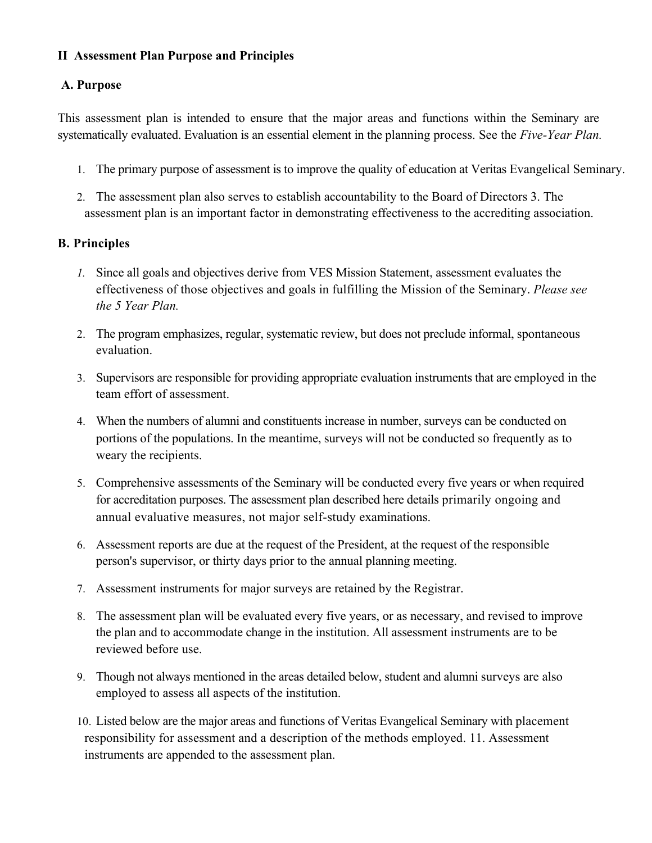### **II Assessment Plan Purpose and Principles**

### **A. Purpose**

This assessment plan is intended to ensure that the major areas and functions within the Seminary are systematically evaluated. Evaluation is an essential element in the planning process. See the *Five-Year Plan.*

- 1. The primary purpose of assessment is to improve the quality of education at Veritas Evangelical Seminary.
- 2. The assessment plan also serves to establish accountability to the Board of Directors 3. The assessment plan is an important factor in demonstrating effectiveness to the accrediting association.

### **B. Principles**

- *1.* Since all goals and objectives derive from VES Mission Statement, assessment evaluates the effectiveness of those objectives and goals in fulfilling the Mission of the Seminary. *Please see the 5 Year Plan.*
- 2. The program emphasizes, regular, systematic review, but does not preclude informal, spontaneous evaluation.
- 3. Supervisors are responsible for providing appropriate evaluation instruments that are employed in the team effort of assessment.
- 4. When the numbers of alumni and constituents increase in number, surveys can be conducted on portions of the populations. In the meantime, surveys will not be conducted so frequently as to weary the recipients.
- 5. Comprehensive assessments of the Seminary will be conducted every five years or when required for accreditation purposes. The assessment plan described here details primarily ongoing and annual evaluative measures, not major self-study examinations.
- 6. Assessment reports are due at the request of the President, at the request of the responsible person's supervisor, or thirty days prior to the annual planning meeting.
- 7. Assessment instruments for major surveys are retained by the Registrar.
- 8. The assessment plan will be evaluated every five years, or as necessary, and revised to improve the plan and to accommodate change in the institution. All assessment instruments are to be reviewed before use.
- 9. Though not always mentioned in the areas detailed below, student and alumni surveys are also employed to assess all aspects of the institution.
- 10. Listed below are the major areas and functions of Veritas Evangelical Seminary with placement responsibility for assessment and a description of the methods employed. 11. Assessment instruments are appended to the assessment plan.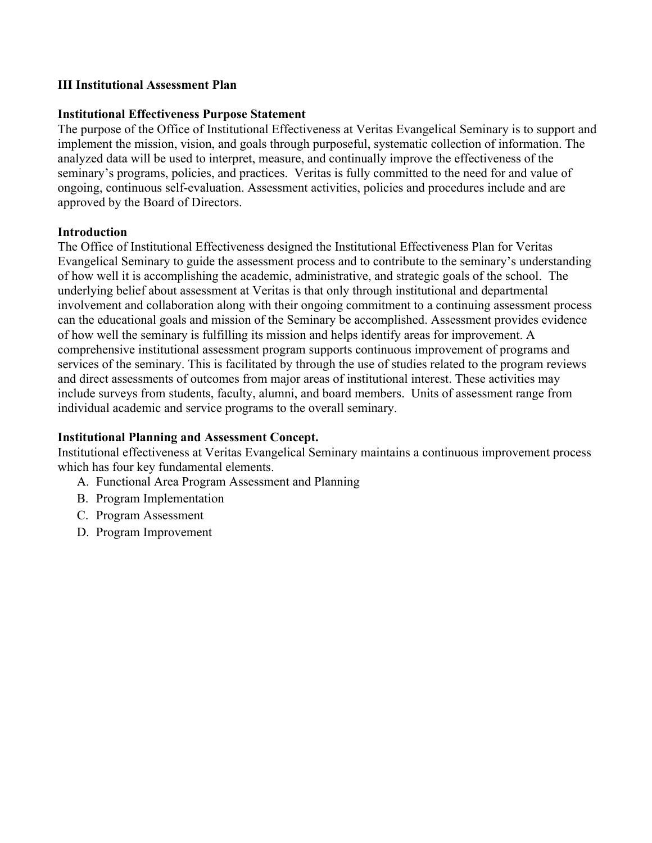#### **III Institutional Assessment Plan**

#### **Institutional Effectiveness Purpose Statement**

The purpose of the Office of Institutional Effectiveness at Veritas Evangelical Seminary is to support and implement the mission, vision, and goals through purposeful, systematic collection of information. The analyzed data will be used to interpret, measure, and continually improve the effectiveness of the seminary's programs, policies, and practices. Veritas is fully committed to the need for and value of ongoing, continuous self-evaluation. Assessment activities, policies and procedures include and are approved by the Board of Directors.

#### **Introduction**

The Office of Institutional Effectiveness designed the Institutional Effectiveness Plan for Veritas Evangelical Seminary to guide the assessment process and to contribute to the seminary's understanding of how well it is accomplishing the academic, administrative, and strategic goals of the school. The underlying belief about assessment at Veritas is that only through institutional and departmental involvement and collaboration along with their ongoing commitment to a continuing assessment process can the educational goals and mission of the Seminary be accomplished. Assessment provides evidence of how well the seminary is fulfilling its mission and helps identify areas for improvement. A comprehensive institutional assessment program supports continuous improvement of programs and services of the seminary. This is facilitated by through the use of studies related to the program reviews and direct assessments of outcomes from major areas of institutional interest. These activities may include surveys from students, faculty, alumni, and board members. Units of assessment range from individual academic and service programs to the overall seminary.

### **Institutional Planning and Assessment Concept.**

Institutional effectiveness at Veritas Evangelical Seminary maintains a continuous improvement process which has four key fundamental elements.

- A. Functional Area Program Assessment and Planning
- B. Program Implementation
- C. Program Assessment
- D. Program Improvement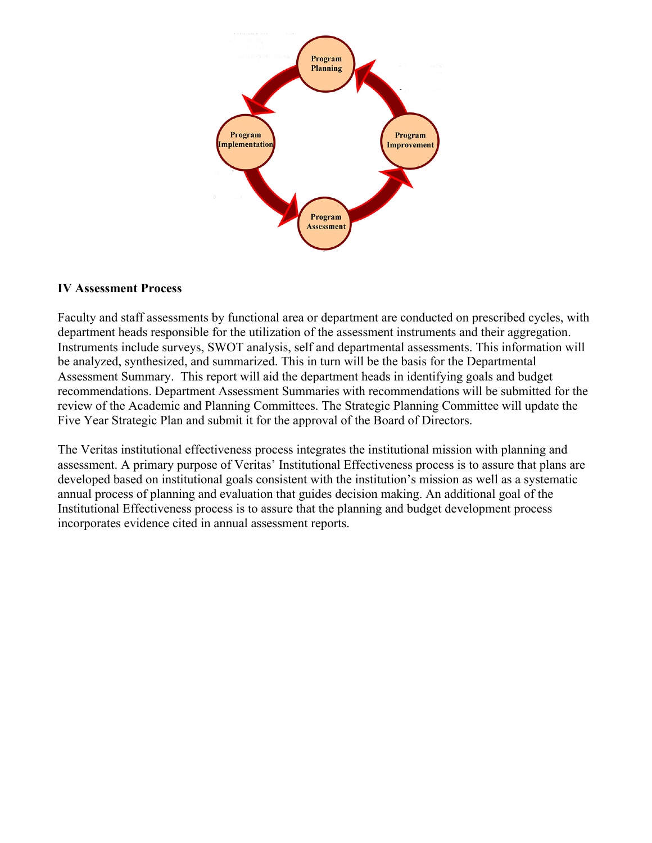

#### **IV Assessment Process**

Faculty and staff assessments by functional area or department are conducted on prescribed cycles, with department heads responsible for the utilization of the assessment instruments and their aggregation. Instruments include surveys, SWOT analysis, self and departmental assessments. This information will be analyzed, synthesized, and summarized. This in turn will be the basis for the Departmental Assessment Summary. This report will aid the department heads in identifying goals and budget recommendations. Department Assessment Summaries with recommendations will be submitted for the review of the Academic and Planning Committees. The Strategic Planning Committee will update the Five Year Strategic Plan and submit it for the approval of the Board of Directors.

The Veritas institutional effectiveness process integrates the institutional mission with planning and assessment. A primary purpose of Veritas' Institutional Effectiveness process is to assure that plans are developed based on institutional goals consistent with the institution's mission as well as a systematic annual process of planning and evaluation that guides decision making. An additional goal of the Institutional Effectiveness process is to assure that the planning and budget development process incorporates evidence cited in annual assessment reports.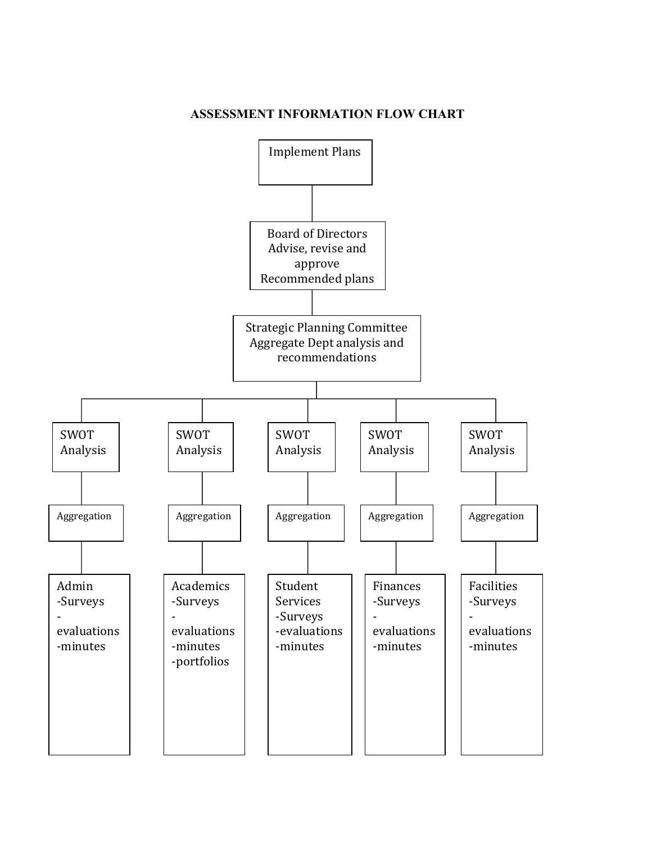### **ASSESSMENT INFORMATION FLOW CHART**

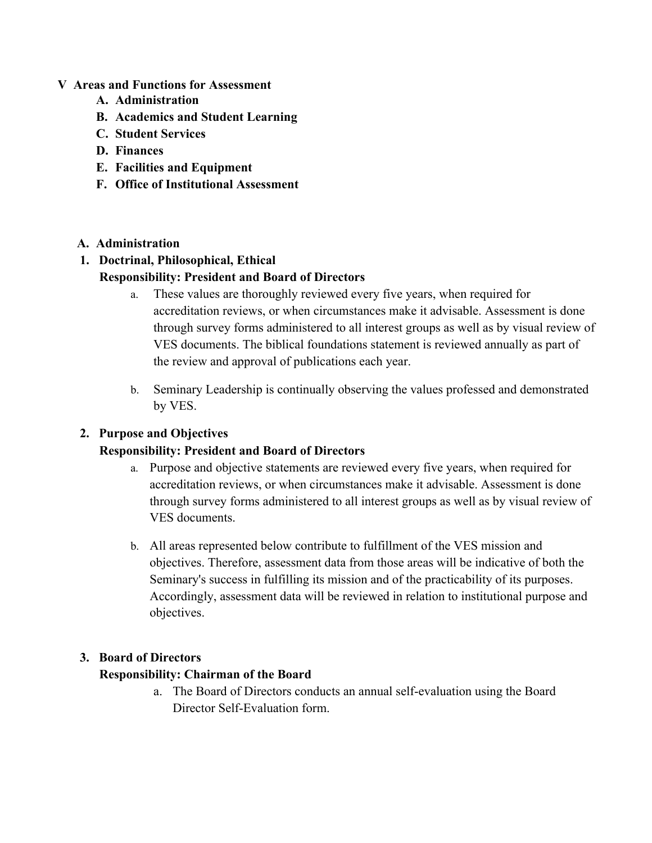### **V Areas and Functions for Assessment**

- **A. Administration**
- **B. Academics and Student Learning**
- **C. Student Services**
- **D. Finances**
- **E. Facilities and Equipment**
- **F. Office of Institutional Assessment**

### **A. Administration**

### **1. Doctrinal, Philosophical, Ethical**

### **Responsibility: President and Board of Directors**

- a. These values are thoroughly reviewed every five years, when required for accreditation reviews, or when circumstances make it advisable. Assessment is done through survey forms administered to all interest groups as well as by visual review of VES documents. The biblical foundations statement is reviewed annually as part of the review and approval of publications each year.
- b. Seminary Leadership is continually observing the values professed and demonstrated by VES.

### **2. Purpose and Objectives**

### **Responsibility: President and Board of Directors**

- a. Purpose and objective statements are reviewed every five years, when required for accreditation reviews, or when circumstances make it advisable. Assessment is done through survey forms administered to all interest groups as well as by visual review of VES documents.
- b. All areas represented below contribute to fulfillment of the VES mission and objectives. Therefore, assessment data from those areas will be indicative of both the Seminary's success in fulfilling its mission and of the practicability of its purposes. Accordingly, assessment data will be reviewed in relation to institutional purpose and objectives.

### **3. Board of Directors**

### **Responsibility: Chairman of the Board**

a. The Board of Directors conducts an annual self-evaluation using the Board Director Self-Evaluation form.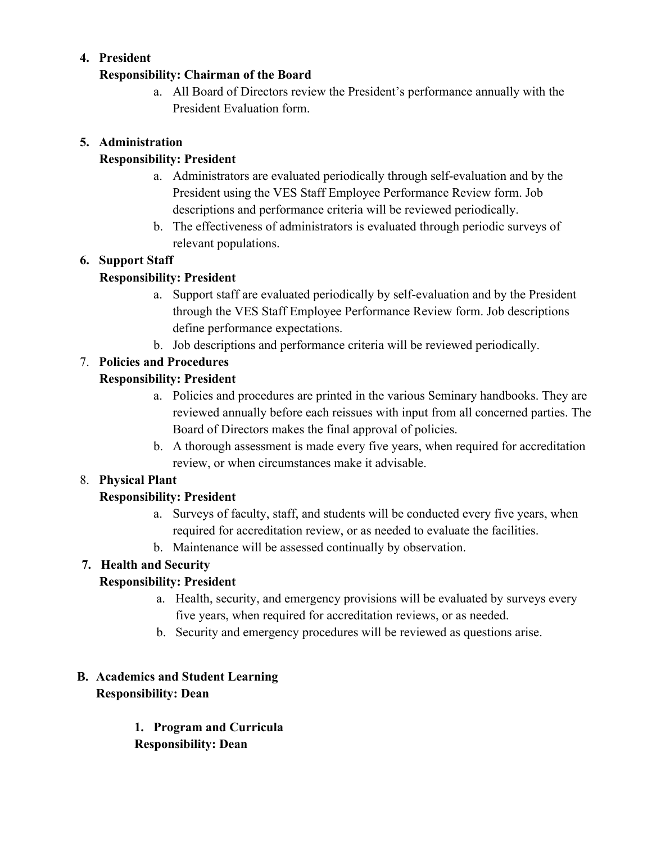### **4. President**

### **Responsibility: Chairman of the Board**

a. All Board of Directors review the President's performance annually with the President Evaluation form.

### **5. Administration**

## **Responsibility: President**

- a. Administrators are evaluated periodically through self-evaluation and by the President using the VES Staff Employee Performance Review form. Job descriptions and performance criteria will be reviewed periodically.
- b. The effectiveness of administrators is evaluated through periodic surveys of relevant populations.

## **6. Support Staff**

# **Responsibility: President**

- a. Support staff are evaluated periodically by self-evaluation and by the President through the VES Staff Employee Performance Review form. Job descriptions define performance expectations.
- b. Job descriptions and performance criteria will be reviewed periodically.

# 7. **Policies and Procedures**

## **Responsibility: President**

- a. Policies and procedures are printed in the various Seminary handbooks. They are reviewed annually before each reissues with input from all concerned parties. The Board of Directors makes the final approval of policies.
- b. A thorough assessment is made every five years, when required for accreditation review, or when circumstances make it advisable.

## 8. **Physical Plant**

## **Responsibility: President**

- a. Surveys of faculty, staff, and students will be conducted every five years, when required for accreditation review, or as needed to evaluate the facilities.
- b. Maintenance will be assessed continually by observation.

## **7. Health and Security**

## **Responsibility: President**

- a. Health, security, and emergency provisions will be evaluated by surveys every five years, when required for accreditation reviews, or as needed.
- b. Security and emergency procedures will be reviewed as questions arise.

# **B. Academics and Student Learning Responsibility: Dean**

**1. Program and Curricula Responsibility: Dean**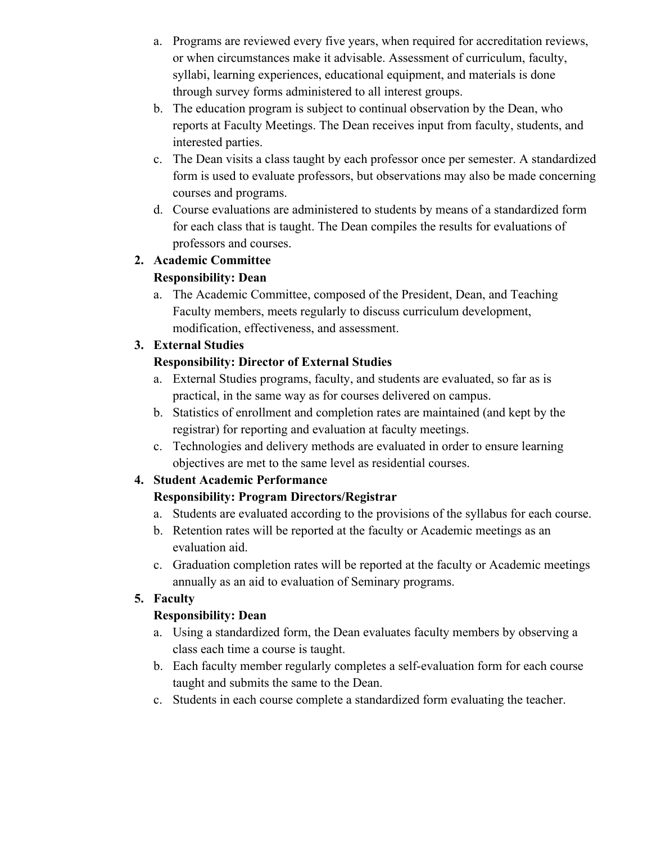- a. Programs are reviewed every five years, when required for accreditation reviews, or when circumstances make it advisable. Assessment of curriculum, faculty, syllabi, learning experiences, educational equipment, and materials is done through survey forms administered to all interest groups.
- b. The education program is subject to continual observation by the Dean, who reports at Faculty Meetings. The Dean receives input from faculty, students, and interested parties.
- c. The Dean visits a class taught by each professor once per semester. A standardized form is used to evaluate professors, but observations may also be made concerning courses and programs.
- d. Course evaluations are administered to students by means of a standardized form for each class that is taught. The Dean compiles the results for evaluations of professors and courses.

# **2. Academic Committee**

## **Responsibility: Dean**

a. The Academic Committee, composed of the President, Dean, and Teaching Faculty members, meets regularly to discuss curriculum development, modification, effectiveness, and assessment.

## **3. External Studies**

### **Responsibility: Director of External Studies**

- a. External Studies programs, faculty, and students are evaluated, so far as is practical, in the same way as for courses delivered on campus.
- b. Statistics of enrollment and completion rates are maintained (and kept by the registrar) for reporting and evaluation at faculty meetings.
- c. Technologies and delivery methods are evaluated in order to ensure learning objectives are met to the same level as residential courses.

## **4. Student Academic Performance**

## **Responsibility: Program Directors/Registrar**

- a. Students are evaluated according to the provisions of the syllabus for each course.
- b. Retention rates will be reported at the faculty or Academic meetings as an evaluation aid.
- c. Graduation completion rates will be reported at the faculty or Academic meetings annually as an aid to evaluation of Seminary programs.

## **5. Faculty**

## **Responsibility: Dean**

- a. Using a standardized form, the Dean evaluates faculty members by observing a class each time a course is taught.
- b. Each faculty member regularly completes a self-evaluation form for each course taught and submits the same to the Dean.
- c. Students in each course complete a standardized form evaluating the teacher.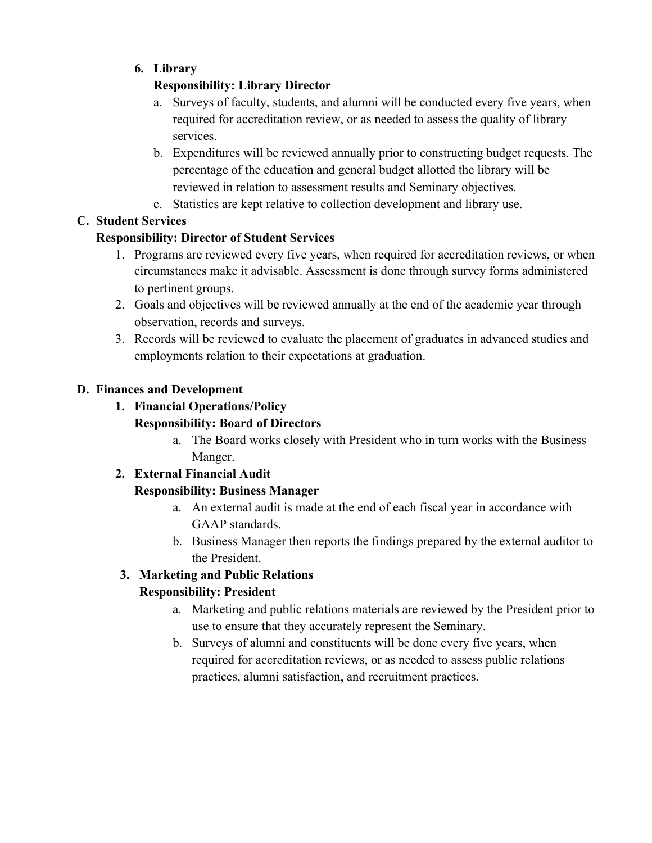# **6. Library**

# **Responsibility: Library Director**

- a. Surveys of faculty, students, and alumni will be conducted every five years, when required for accreditation review, or as needed to assess the quality of library services.
- b. Expenditures will be reviewed annually prior to constructing budget requests. The percentage of the education and general budget allotted the library will be reviewed in relation to assessment results and Seminary objectives.
- c. Statistics are kept relative to collection development and library use.

# **C. Student Services**

# **Responsibility: Director of Student Services**

- 1. Programs are reviewed every five years, when required for accreditation reviews, or when circumstances make it advisable. Assessment is done through survey forms administered to pertinent groups.
- 2. Goals and objectives will be reviewed annually at the end of the academic year through observation, records and surveys.
- 3. Records will be reviewed to evaluate the placement of graduates in advanced studies and employments relation to their expectations at graduation.

## **D. Finances and Development**

### **1. Financial Operations/Policy Responsibility: Board of Directors**

a. The Board works closely with President who in turn works with the Business Manger.

# **2. External Financial Audit**

# **Responsibility: Business Manager**

- a. An external audit is made at the end of each fiscal year in accordance with GAAP standards.
- b. Business Manager then reports the findings prepared by the external auditor to the President.

# **3. Marketing and Public Relations**

# **Responsibility: President**

- a. Marketing and public relations materials are reviewed by the President prior to use to ensure that they accurately represent the Seminary.
- b. Surveys of alumni and constituents will be done every five years, when required for accreditation reviews, or as needed to assess public relations practices, alumni satisfaction, and recruitment practices.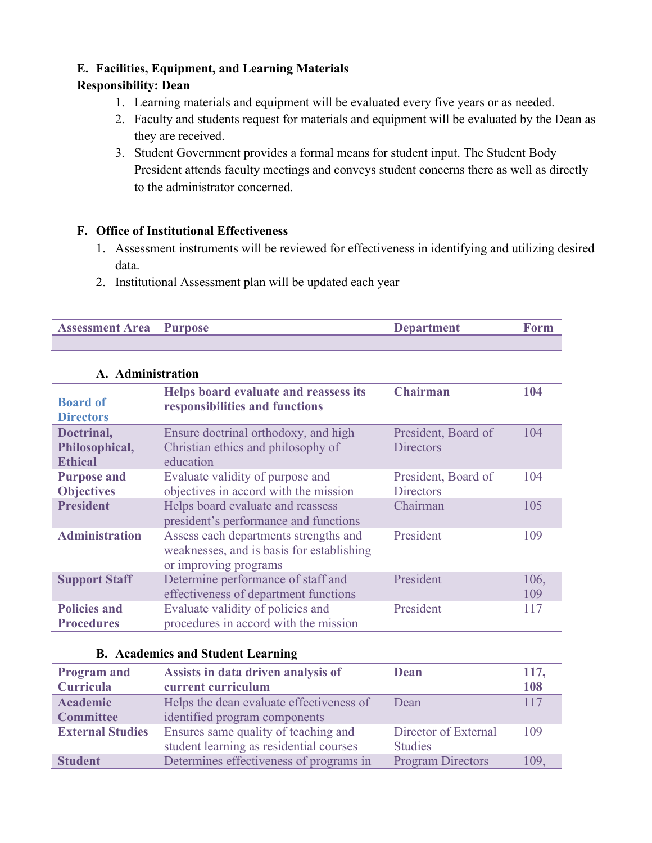### **E. Facilities, Equipment, and Learning Materials**

### **Responsibility: Dean**

- 1. Learning materials and equipment will be evaluated every five years or as needed.
- 2. Faculty and students request for materials and equipment will be evaluated by the Dean as they are received.
- 3. Student Government provides a formal means for student input. The Student Body President attends faculty meetings and conveys student concerns there as well as directly to the administrator concerned.

### **F. Office of Institutional Effectiveness**

- 1. Assessment instruments will be reviewed for effectiveness in identifying and utilizing desired data.
- 2. Institutional Assessment plan will be updated each year

| <b>Assessment Area</b> Purpose | <b>Department</b> |  |
|--------------------------------|-------------------|--|
|                                |                   |  |

| A. Administration                              |                                                                                                             |                                         |             |
|------------------------------------------------|-------------------------------------------------------------------------------------------------------------|-----------------------------------------|-------------|
| <b>Board of</b><br><b>Directors</b>            | Helps board evaluate and reassess its<br>responsibilities and functions                                     | <b>Chairman</b>                         | 104         |
| Doctrinal,<br>Philosophical,<br><b>Ethical</b> | Ensure doctrinal orthodoxy, and high<br>Christian ethics and philosophy of<br>education                     | President, Board of<br><b>Directors</b> | 104         |
| <b>Purpose and</b><br><b>Objectives</b>        | Evaluate validity of purpose and<br>objectives in accord with the mission                                   | President, Board of<br><b>Directors</b> | 104         |
| <b>President</b>                               | Helps board evaluate and reassess<br>president's performance and functions                                  | Chairman                                | 105         |
| <b>Administration</b>                          | Assess each departments strengths and<br>weaknesses, and is basis for establishing<br>or improving programs | President                               | 109         |
| <b>Support Staff</b>                           | Determine performance of staff and<br>effectiveness of department functions                                 | President                               | 106,<br>109 |
| <b>Policies and</b><br><b>Procedures</b>       | Evaluate validity of policies and<br>procedures in accord with the mission                                  | President                               | 117         |

# **A. Administration**

### **B. Academics and Student Learning**

| <b>Program and</b>      | Assists in data driven analysis of                                              | Dean                                   | 117, |
|-------------------------|---------------------------------------------------------------------------------|----------------------------------------|------|
| <b>Curricula</b>        | current curriculum                                                              |                                        | 108  |
| <b>Academic</b>         | Helps the dean evaluate effectiveness of                                        | Dean                                   | 117  |
| <b>Committee</b>        | identified program components                                                   |                                        |      |
| <b>External Studies</b> | Ensures same quality of teaching and<br>student learning as residential courses | Director of External<br><b>Studies</b> | 109  |
| <b>Student</b>          | Determines effectiveness of programs in                                         | <b>Program Directors</b>               | 109. |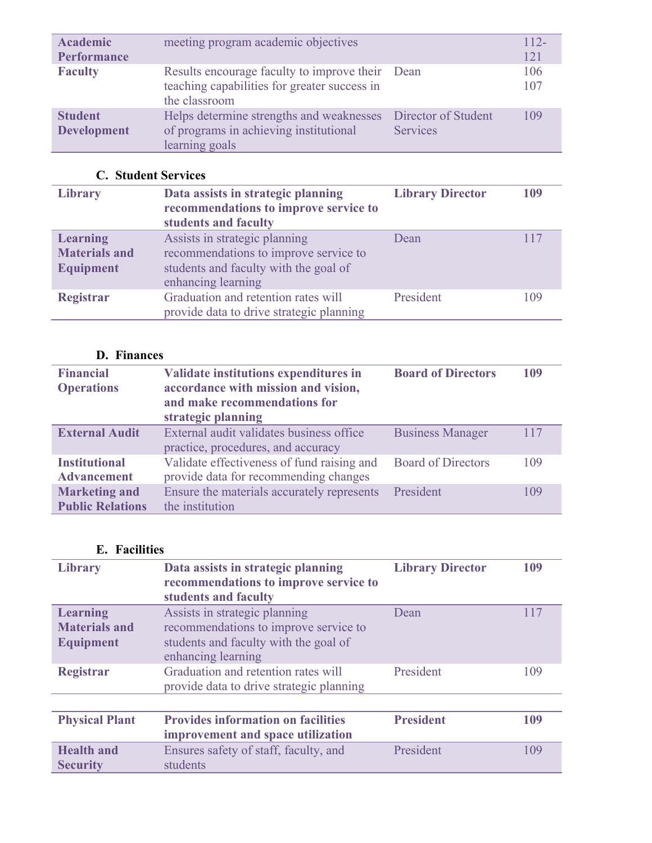| <b>Academic</b><br><b>Performance</b> | meeting program academic objectives                                                                              |                                        | $112-$<br>121 |
|---------------------------------------|------------------------------------------------------------------------------------------------------------------|----------------------------------------|---------------|
| <b>Faculty</b>                        | Results encourage faculty to improve their Dean<br>teaching capabilities for greater success in<br>the classroom |                                        | 106<br>107    |
| <b>Student</b><br><b>Development</b>  | Helps determine strengths and weaknesses<br>of programs in achieving institutional<br>learning goals             | Director of Student<br><b>Services</b> | 109           |

# **C. Student Services**

| Library                                                     | Data assists in strategic planning<br>recommendations to improve service to<br>students and faculty                                   | <b>Library Director</b> | 109 |
|-------------------------------------------------------------|---------------------------------------------------------------------------------------------------------------------------------------|-------------------------|-----|
| <b>Learning</b><br><b>Materials and</b><br><b>Equipment</b> | Assists in strategic planning<br>recommendations to improve service to<br>students and faculty with the goal of<br>enhancing learning | Dean                    | 117 |
| <b>Registrar</b>                                            | Graduation and retention rates will<br>provide data to drive strategic planning                                                       | President               | 109 |

# **D. Finances**

| <b>Financial</b><br><b>Operations</b>           | Validate institutions expenditures in<br>accordance with mission and vision,<br>and make recommendations for<br>strategic planning | <b>Board of Directors</b> | 109 |
|-------------------------------------------------|------------------------------------------------------------------------------------------------------------------------------------|---------------------------|-----|
| <b>External Audit</b>                           | External audit validates business office<br>practice, procedures, and accuracy                                                     | <b>Business Manager</b>   | 117 |
| <b>Institutional</b><br><b>Advancement</b>      | Validate effectiveness of fund raising and<br>provide data for recommending changes                                                | <b>Board of Directors</b> | 109 |
| <b>Marketing and</b><br><b>Public Relations</b> | Ensure the materials accurately represents<br>the institution                                                                      | President                 | 109 |

### **E. Facilities**

| <b>Library</b>                                       | Data assists in strategic planning<br>recommendations to improve service to<br>students and faculty                                   | <b>Library Director</b> | 109 |
|------------------------------------------------------|---------------------------------------------------------------------------------------------------------------------------------------|-------------------------|-----|
| Learning<br><b>Materials and</b><br><b>Equipment</b> | Assists in strategic planning<br>recommendations to improve service to<br>students and faculty with the goal of<br>enhancing learning | Dean                    | 117 |
| <b>Registrar</b>                                     | Graduation and retention rates will<br>provide data to drive strategic planning                                                       | President               | 109 |
|                                                      |                                                                                                                                       |                         |     |
| <b>Physical Plant</b>                                | <b>Provides information on facilities</b><br>improvement and space utilization                                                        | <b>President</b>        | 109 |
| <b>Health and</b><br><b>Security</b>                 | Ensures safety of staff, faculty, and<br>students                                                                                     | President               | 109 |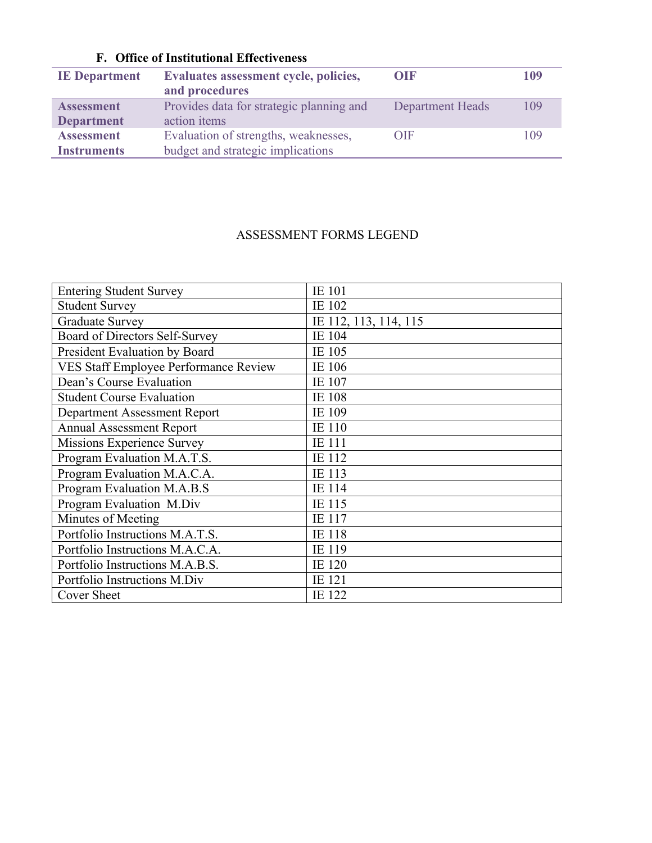# **F. Office of Institutional Effectiveness**

| <b>IE</b> Department | Evaluates assessment cycle, policies,<br>and procedures | OIF                     | 109 |
|----------------------|---------------------------------------------------------|-------------------------|-----|
| <b>Assessment</b>    | Provides data for strategic planning and                | <b>Department Heads</b> | 109 |
| <b>Department</b>    | action items                                            |                         |     |
| <b>Assessment</b>    | Evaluation of strengths, weaknesses,                    | OIF                     | 109 |
| <b>Instruments</b>   | budget and strategic implications                       |                         |     |

### ASSESSMENT FORMS LEGEND

| <b>Entering Student Survey</b>               | <b>IE</b> 101         |
|----------------------------------------------|-----------------------|
| <b>Student Survey</b>                        | IE 102                |
| <b>Graduate Survey</b>                       | IE 112, 113, 114, 115 |
| Board of Directors Self-Survey               | <b>IE</b> 104         |
| President Evaluation by Board                | IE 105                |
| <b>VES Staff Employee Performance Review</b> | IE 106                |
| Dean's Course Evaluation                     | IE 107                |
| <b>Student Course Evaluation</b>             | IE 108                |
| Department Assessment Report                 | IE 109                |
| <b>Annual Assessment Report</b>              | <b>IE</b> 110         |
| Missions Experience Survey                   | IE 111                |
| Program Evaluation M.A.T.S.                  | IE 112                |
| Program Evaluation M.A.C.A.                  | IE 113                |
| Program Evaluation M.A.B.S                   | <b>IE</b> 114         |
| Program Evaluation M.Div                     | IE 115                |
| Minutes of Meeting                           | <b>IE</b> 117         |
| Portfolio Instructions M.A.T.S.              | IE 118                |
| Portfolio Instructions M.A.C.A.              | IE 119                |
| Portfolio Instructions M.A.B.S.              | IE 120                |
| Portfolio Instructions M.Div                 | IE 121                |
| <b>Cover Sheet</b>                           | IE 122                |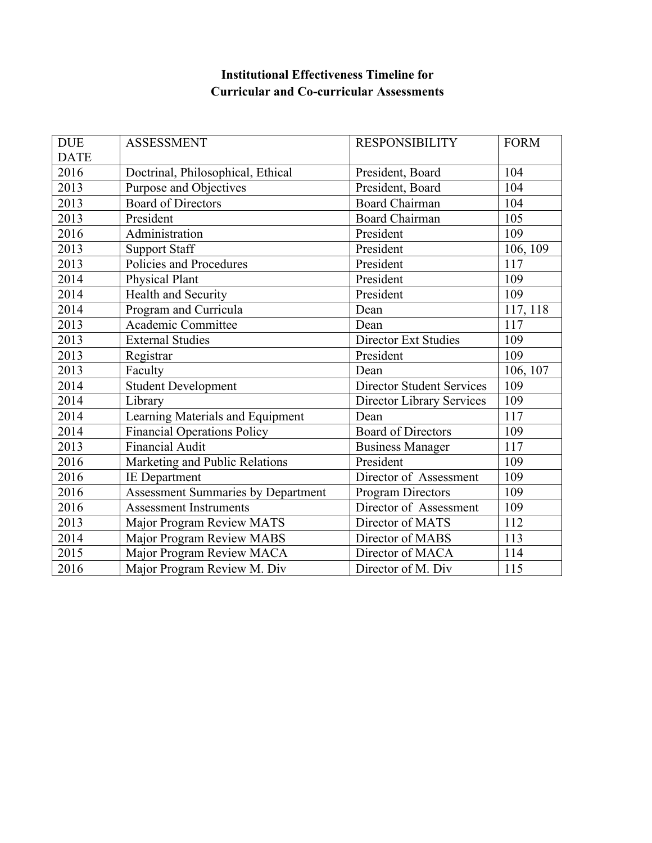## **Institutional Effectiveness Timeline for Curricular and Co-curricular Assessments**

| <b>DUE</b>  | <b>ASSESSMENT</b>                         | <b>RESPONSIBILITY</b>            | <b>FORM</b> |
|-------------|-------------------------------------------|----------------------------------|-------------|
| <b>DATE</b> |                                           |                                  |             |
| 2016        | Doctrinal, Philosophical, Ethical         | President, Board                 | 104         |
| 2013        | Purpose and Objectives                    | President, Board                 | 104         |
| 2013        | <b>Board of Directors</b>                 | <b>Board Chairman</b>            | 104         |
| 2013        | President                                 | <b>Board Chairman</b>            | 105         |
| 2016        | Administration                            | President                        | 109         |
| 2013        | <b>Support Staff</b>                      | President                        | 106, 109    |
| 2013        | Policies and Procedures                   | President                        | 117         |
| 2014        | Physical Plant                            | President                        | 109         |
| 2014        | Health and Security                       | President                        | 109         |
| 2014        | Program and Curricula                     | Dean                             | 117, 118    |
| 2013        | Academic Committee                        | Dean                             | 117         |
| 2013        | <b>External Studies</b>                   | <b>Director Ext Studies</b>      | 109         |
| 2013        | Registrar                                 | President                        | 109         |
| 2013        | Faculty                                   | Dean                             | 106, 107    |
| 2014        | <b>Student Development</b>                | <b>Director Student Services</b> | 109         |
| 2014        | Library                                   | <b>Director Library Services</b> | 109         |
| 2014        | Learning Materials and Equipment          | Dean                             | 117         |
| 2014        | <b>Financial Operations Policy</b>        | <b>Board of Directors</b>        | 109         |
| 2013        | <b>Financial Audit</b>                    | <b>Business Manager</b>          | 117         |
| 2016        | Marketing and Public Relations            | President                        | 109         |
| 2016        | <b>IE</b> Department                      | Director of Assessment           | 109         |
| 2016        | <b>Assessment Summaries by Department</b> | Program Directors                | 109         |
| 2016        | <b>Assessment Instruments</b>             | Director of Assessment           | 109         |
| 2013        | Major Program Review MATS                 | Director of MATS                 | 112         |
| 2014        | Major Program Review MABS                 | Director of MABS                 | 113         |
| 2015        | Major Program Review MACA                 | Director of MACA                 | 114         |
| 2016        | Major Program Review M. Div               | Director of M. Div               | 115         |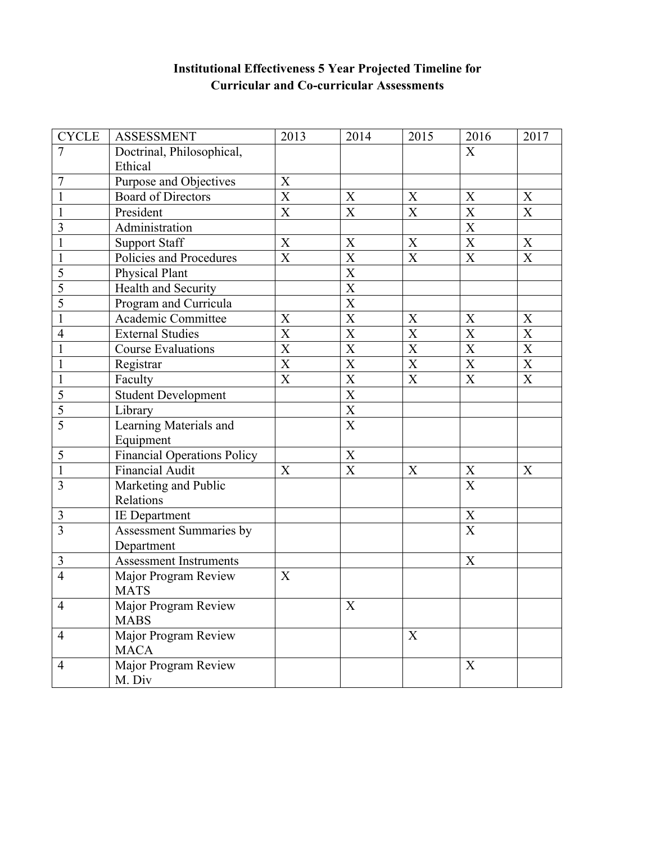| <b>CYCLE</b>   | <b>ASSESSMENT</b>                  | 2013                                | 2014                                | 2015                      | 2016                      | 2017                                |
|----------------|------------------------------------|-------------------------------------|-------------------------------------|---------------------------|---------------------------|-------------------------------------|
| $\overline{7}$ | Doctrinal, Philosophical,          |                                     |                                     |                           | $\overline{X}$            |                                     |
|                | Ethical                            |                                     |                                     |                           |                           |                                     |
| 7              | Purpose and Objectives             | X                                   |                                     |                           |                           |                                     |
| $\mathbf{1}$   | <b>Board of Directors</b>          | $\overline{\text{X}}$               | X                                   | X                         | X                         | $\boldsymbol{X}$                    |
| $\mathbf{1}$   | President                          | $\mathbf X$                         | $\overline{X}$                      | $\overline{X}$            | $\overline{X}$            | $\overline{X}$                      |
| $\overline{3}$ | Administration                     |                                     |                                     |                           | $\mathbf X$               |                                     |
| $\mathbf{1}$   | <b>Support Staff</b>               | $\boldsymbol{\mathrm{X}}$           | X                                   | X                         | $\overline{X}$            | X                                   |
| 1              | Policies and Procedures            | $\boldsymbol{\mathrm{X}}$           | $\mathbf X$                         | X                         | $\boldsymbol{\mathrm{X}}$ | $\boldsymbol{\mathrm{X}}$           |
| 5              | Physical Plant                     |                                     | $\overline{\textbf{X}}$             |                           |                           |                                     |
| $\overline{5}$ | Health and Security                |                                     | $\overline{\mathbf{X}}$             |                           |                           |                                     |
| 5              | Program and Curricula              |                                     | $\overline{\textbf{X}}$             |                           |                           |                                     |
|                | Academic Committee                 | $\mathbf X$                         | $\overline{X}$                      | $\mathbf X$               | $\mathbf X$               | $\mathbf X$                         |
| $\overline{4}$ | <b>External Studies</b>            | $\overline{X}$                      | $\overline{X}$                      | $\overline{X}$            | $\overline{X}$            | $\overline{X}$                      |
| $\mathbf{1}$   | Course Evaluations                 | $\boldsymbol{\mathrm{X}}$           | $\overline{\mathbf{X}}$             | $\boldsymbol{\mathrm{X}}$ | X                         | $\mathbf X$                         |
| $\mathbf{1}$   | Registrar                          | $\frac{\overline{X}}{\overline{X}}$ | $\frac{\overline{X}}{\overline{X}}$ | $\mathbf X$               | $\mathbf X$               | $\frac{\overline{X}}{\overline{X}}$ |
| $\mathbf{1}$   | Faculty                            |                                     |                                     | $\overline{X}$            | $\overline{X}$            |                                     |
| 5              | <b>Student Development</b>         |                                     | $\overline{\textbf{X}}$             |                           |                           |                                     |
| 5              | Library                            |                                     | $\overline{\textbf{X}}$             |                           |                           |                                     |
| 5              | Learning Materials and             |                                     | $\overline{X}$                      |                           |                           |                                     |
|                | Equipment                          |                                     |                                     |                           |                           |                                     |
| 5              | <b>Financial Operations Policy</b> |                                     | $\mathbf X$                         |                           |                           |                                     |
| $\mathbf{1}$   | Financial Audit                    | $\boldsymbol{\mathrm{X}}$           | $\overline{X}$                      | X                         | X                         | X                                   |
| $\overline{3}$ | Marketing and Public               |                                     |                                     |                           | $\overline{X}$            |                                     |
|                | Relations                          |                                     |                                     |                           |                           |                                     |
| 3              | <b>IE</b> Department               |                                     |                                     |                           | X                         |                                     |
| $\overline{3}$ | Assessment Summaries by            |                                     |                                     |                           | $\mathbf X$               |                                     |
|                | Department                         |                                     |                                     |                           |                           |                                     |
| $\overline{3}$ | <b>Assessment Instruments</b>      |                                     |                                     |                           | $\boldsymbol{\mathrm{X}}$ |                                     |
| $\overline{4}$ | Major Program Review               | X                                   |                                     |                           |                           |                                     |
|                | <b>MATS</b>                        |                                     |                                     |                           |                           |                                     |
| $\overline{4}$ | Major Program Review               |                                     | $\boldsymbol{\mathrm{X}}$           |                           |                           |                                     |
|                | <b>MABS</b>                        |                                     |                                     |                           |                           |                                     |
| $\overline{4}$ | Major Program Review               |                                     |                                     | X                         |                           |                                     |
|                | <b>MACA</b>                        |                                     |                                     |                           |                           |                                     |
| $\overline{4}$ | Major Program Review               |                                     |                                     |                           | X                         |                                     |
|                | M. Div                             |                                     |                                     |                           |                           |                                     |

# **Institutional Effectiveness 5 Year Projected Timeline for Curricular and Co-curricular Assessments**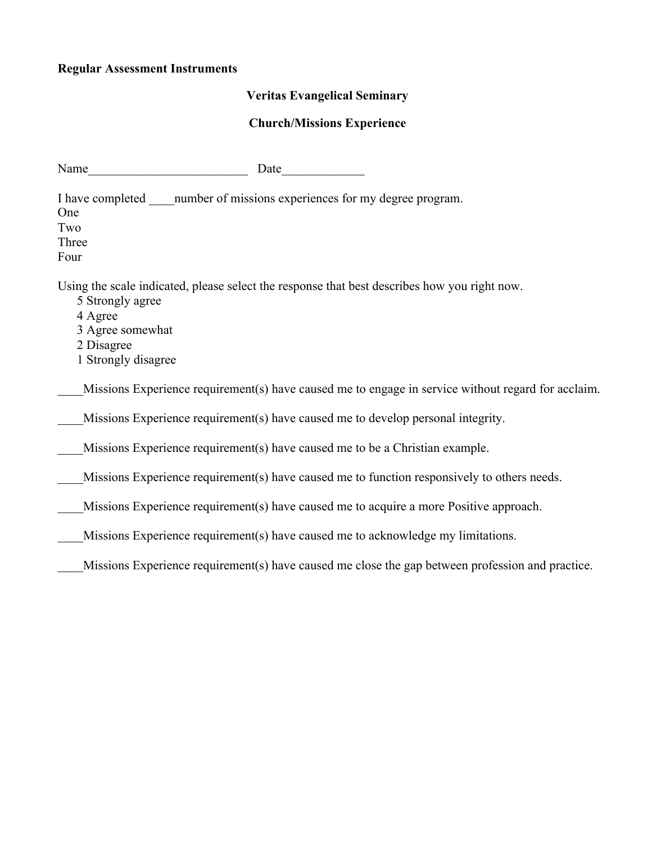# **Regular Assessment Instruments**

# **Veritas Evangelical Seminary**

# **Church/Missions Experience**

| Name                                                                                                                                                                                 |
|--------------------------------------------------------------------------------------------------------------------------------------------------------------------------------------|
| One<br>Two<br>Three<br>Four                                                                                                                                                          |
| Using the scale indicated, please select the response that best describes how you right now.<br>5 Strongly agree<br>4 Agree<br>3 Agree somewhat<br>2 Disagree<br>1 Strongly disagree |
| Missions Experience requirement(s) have caused me to engage in service without regard for acclaim.                                                                                   |
| Missions Experience requirement(s) have caused me to develop personal integrity.                                                                                                     |
| Missions Experience requirement(s) have caused me to be a Christian example.                                                                                                         |
| Missions Experience requirement(s) have caused me to function responsively to others needs.                                                                                          |
| Missions Experience requirement(s) have caused me to acquire a more Positive approach.                                                                                               |
| Missions Experience requirement(s) have caused me to acknowledge my limitations.                                                                                                     |
| Missions Experience requirement(s) have caused me close the gap between profession and practice.                                                                                     |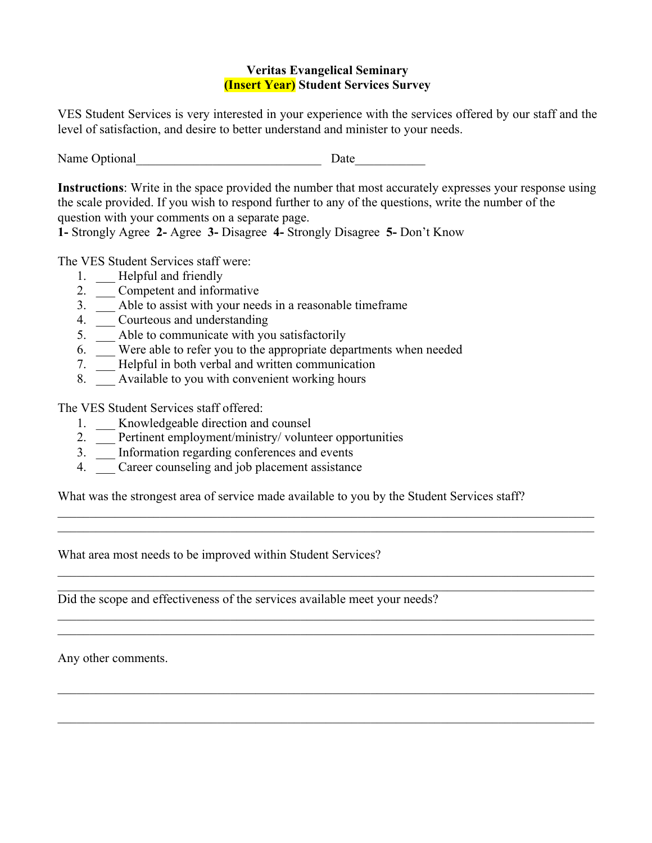### **Veritas Evangelical Seminary (Insert Year) Student Services Survey**

VES Student Services is very interested in your experience with the services offered by our staff and the level of satisfaction, and desire to better understand and minister to your needs.

Name Optional Date

**Instructions**: Write in the space provided the number that most accurately expresses your response using the scale provided. If you wish to respond further to any of the questions, write the number of the question with your comments on a separate page.

**1-** Strongly Agree **2-** Agree **3-** Disagree **4-** Strongly Disagree **5-** Don't Know

The VES Student Services staff were:

- 1. \_\_ Helpful and friendly
- 2. \_\_\_ Competent and informative
- 3. \_\_\_ Able to assist with your needs in a reasonable timeframe
- 4. \_\_\_ Courteous and understanding
- 5. \_\_ Able to communicate with you satisfactorily
- 6. \_\_\_ Were able to refer you to the appropriate departments when needed
- 7. \_\_\_ Helpful in both verbal and written communication
- 8. Available to you with convenient working hours

The VES Student Services staff offered:

- 1. \_\_ Knowledgeable direction and counsel
- 2. \_\_ Pertinent employment/ministry/ volunteer opportunities
- 3. \_\_\_ Information regarding conferences and events
- 4. Career counseling and job placement assistance

What was the strongest area of service made available to you by the Student Services staff?

 $\_$  , and the contribution of the contribution of the contribution of the contribution of  $\mathcal{L}_\text{max}$  $\_$  , and the contribution of the contribution of the contribution of the contribution of  $\mathcal{L}_\text{max}$ 

 $\_$  , and the contribution of the contribution of the contribution of the contribution of  $\mathcal{L}_\text{max}$  $\mathcal{L}_\mathcal{L} = \{ \mathcal{L}_\mathcal{L} = \{ \mathcal{L}_\mathcal{L} = \{ \mathcal{L}_\mathcal{L} = \{ \mathcal{L}_\mathcal{L} = \{ \mathcal{L}_\mathcal{L} = \{ \mathcal{L}_\mathcal{L} = \{ \mathcal{L}_\mathcal{L} = \{ \mathcal{L}_\mathcal{L} = \{ \mathcal{L}_\mathcal{L} = \{ \mathcal{L}_\mathcal{L} = \{ \mathcal{L}_\mathcal{L} = \{ \mathcal{L}_\mathcal{L} = \{ \mathcal{L}_\mathcal{L} = \{ \mathcal{L}_\mathcal{$ 

 $\_$  , and the contribution of the contribution of the contribution of the contribution of  $\mathcal{L}_\text{max}$  $\_$  , and the contribution of the contribution of the contribution of the contribution of  $\mathcal{L}_\text{max}$ 

 $\_$  , and the contribution of the contribution of the contribution of the contribution of  $\mathcal{L}_\text{max}$ 

 $\_$  , and the contribution of the contribution of the contribution of the contribution of  $\mathcal{L}_\text{max}$ 

What area most needs to be improved within Student Services?

Did the scope and effectiveness of the services available meet your needs?

Any other comments.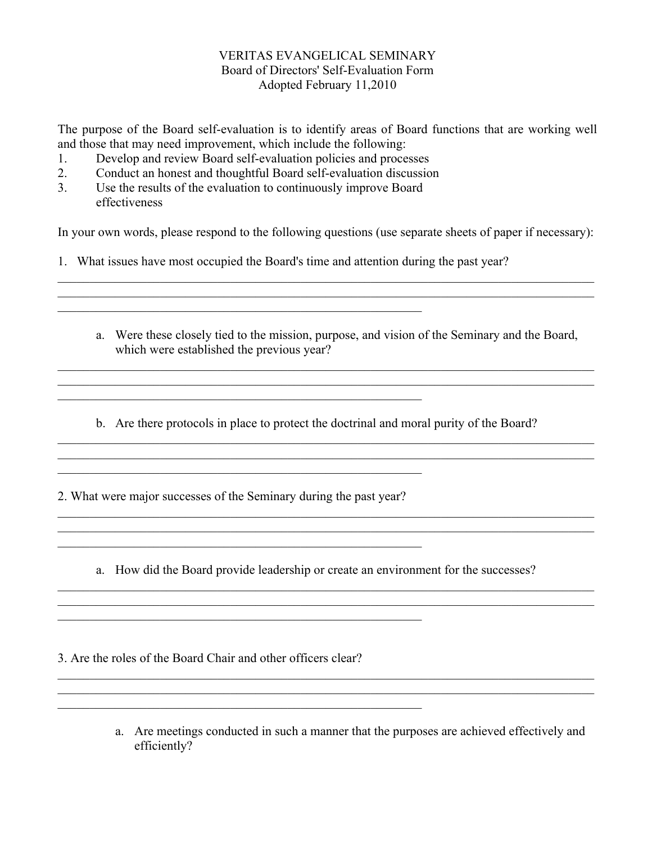### VERITAS EVANGELICAL SEMINARY Board of Directors' Self-Evaluation Form Adopted February 11,2010

The purpose of the Board self-evaluation is to identify areas of Board functions that are working well and those that may need improvement, which include the following:

- 1. Develop and review Board self-evaluation policies and processes
- 2. Conduct an honest and thoughtful Board self-evaluation discussion
- 3. Use the results of the evaluation to continuously improve Board effectiveness

 $\mathcal{L}_\text{max}$  and the contract of the contract of the contract of the contract of the contract of the contract of

 $\mathcal{L}_\text{max}$  , and the contribution of the contribution of the contribution of the contribution of the contribution of the contribution of the contribution of the contribution of the contribution of the contribution of t

In your own words, please respond to the following questions (use separate sheets of paper if necessary):

 $\_$  , and the contribution of the contribution of the contribution of the contribution of  $\mathcal{L}_\text{max}$ 

- 1. What issues have most occupied the Board's time and attention during the past year?
	- a. Were these closely tied to the mission, purpose, and vision of the Seminary and the Board, which were established the previous year?

 $\_$  , and the contribution of the contribution of the contribution of the contribution of  $\mathcal{L}_\text{max}$  $\mathcal{L}_\mathcal{L} = \{ \mathcal{L}_\mathcal{L} = \{ \mathcal{L}_\mathcal{L} = \{ \mathcal{L}_\mathcal{L} = \{ \mathcal{L}_\mathcal{L} = \{ \mathcal{L}_\mathcal{L} = \{ \mathcal{L}_\mathcal{L} = \{ \mathcal{L}_\mathcal{L} = \{ \mathcal{L}_\mathcal{L} = \{ \mathcal{L}_\mathcal{L} = \{ \mathcal{L}_\mathcal{L} = \{ \mathcal{L}_\mathcal{L} = \{ \mathcal{L}_\mathcal{L} = \{ \mathcal{L}_\mathcal{L} = \{ \mathcal{L}_\mathcal{$ 

b. Are there protocols in place to protect the doctrinal and moral purity of the Board?

 $\mathcal{L}_\mathcal{L} = \{ \mathcal{L}_\mathcal{L} = \{ \mathcal{L}_\mathcal{L} = \{ \mathcal{L}_\mathcal{L} = \{ \mathcal{L}_\mathcal{L} = \{ \mathcal{L}_\mathcal{L} = \{ \mathcal{L}_\mathcal{L} = \{ \mathcal{L}_\mathcal{L} = \{ \mathcal{L}_\mathcal{L} = \{ \mathcal{L}_\mathcal{L} = \{ \mathcal{L}_\mathcal{L} = \{ \mathcal{L}_\mathcal{L} = \{ \mathcal{L}_\mathcal{L} = \{ \mathcal{L}_\mathcal{L} = \{ \mathcal{L}_\mathcal{$  $\mathcal{L}_\mathcal{L} = \{ \mathcal{L}_\mathcal{L} = \{ \mathcal{L}_\mathcal{L} = \{ \mathcal{L}_\mathcal{L} = \{ \mathcal{L}_\mathcal{L} = \{ \mathcal{L}_\mathcal{L} = \{ \mathcal{L}_\mathcal{L} = \{ \mathcal{L}_\mathcal{L} = \{ \mathcal{L}_\mathcal{L} = \{ \mathcal{L}_\mathcal{L} = \{ \mathcal{L}_\mathcal{L} = \{ \mathcal{L}_\mathcal{L} = \{ \mathcal{L}_\mathcal{L} = \{ \mathcal{L}_\mathcal{L} = \{ \mathcal{L}_\mathcal{$ 

 $\_$  , and the contribution of the contribution of the contribution of the contribution of  $\mathcal{L}_\text{max}$ 

2. What were major successes of the Seminary during the past year?

 $\mathcal{L}_\text{max}$  , and the contribution of the contribution of the contribution of the contribution of the contribution of the contribution of the contribution of the contribution of the contribution of the contribution of t

 $\mathcal{L}_\text{max}$  , and the contribution of the contribution of the contribution of the contribution of the contribution of the contribution of the contribution of the contribution of the contribution of the contribution of t

 $\mathcal{L}_\text{max}$  , and the contribution of the contribution of the contribution of the contribution of the contribution of the contribution of the contribution of the contribution of the contribution of the contribution of t

a. How did the Board provide leadership or create an environment for the successes?

 $\mathcal{L}_\mathcal{L} = \{ \mathcal{L}_\mathcal{L} = \{ \mathcal{L}_\mathcal{L} = \{ \mathcal{L}_\mathcal{L} = \{ \mathcal{L}_\mathcal{L} = \{ \mathcal{L}_\mathcal{L} = \{ \mathcal{L}_\mathcal{L} = \{ \mathcal{L}_\mathcal{L} = \{ \mathcal{L}_\mathcal{L} = \{ \mathcal{L}_\mathcal{L} = \{ \mathcal{L}_\mathcal{L} = \{ \mathcal{L}_\mathcal{L} = \{ \mathcal{L}_\mathcal{L} = \{ \mathcal{L}_\mathcal{L} = \{ \mathcal{L}_\mathcal{$  $\mathcal{L}_\mathcal{L} = \{ \mathcal{L}_\mathcal{L} = \{ \mathcal{L}_\mathcal{L} = \{ \mathcal{L}_\mathcal{L} = \{ \mathcal{L}_\mathcal{L} = \{ \mathcal{L}_\mathcal{L} = \{ \mathcal{L}_\mathcal{L} = \{ \mathcal{L}_\mathcal{L} = \{ \mathcal{L}_\mathcal{L} = \{ \mathcal{L}_\mathcal{L} = \{ \mathcal{L}_\mathcal{L} = \{ \mathcal{L}_\mathcal{L} = \{ \mathcal{L}_\mathcal{L} = \{ \mathcal{L}_\mathcal{L} = \{ \mathcal{L}_\mathcal{$ 

 $\_$  , and the contribution of the contribution of the contribution of the contribution of  $\mathcal{L}_\text{max}$  $\_$  , and the contribution of the contribution of the contribution of the contribution of  $\mathcal{L}_\text{max}$ 

 $\overline{\phantom{a}}$  , and the contribution of the contribution of  $\overline{\phantom{a}}$  , and  $\overline{\phantom{a}}$ 

3. Are the roles of the Board Chair and other officers clear?

a. Are meetings conducted in such a manner that the purposes are achieved effectively and efficiently?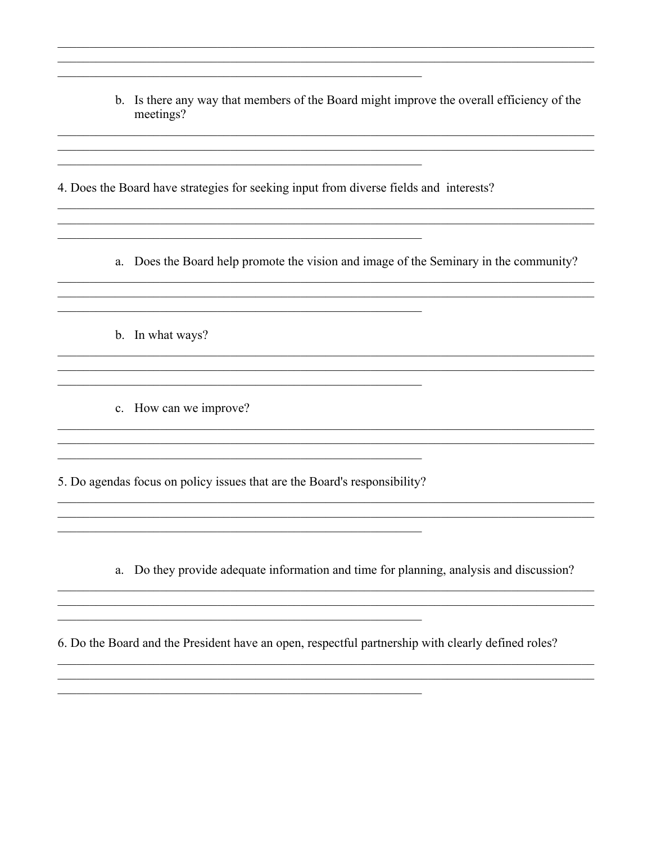b. Is there any way that members of the Board might improve the overall efficiency of the meetings?

4. Does the Board have strategies for seeking input from diverse fields and interests?

<u> 1989 - Johann John Stein, mars an deutscher Stein und der Stein und der Stein und der Stein und der Stein und</u>

a. Does the Board help promote the vision and image of the Seminary in the community?

b. In what ways?

c. How can we improve?

5. Do agendas focus on policy issues that are the Board's responsibility?

a. Do they provide adequate information and time for planning, analysis and discussion?

6. Do the Board and the President have an open, respectful partnership with clearly defined roles?

<u> 1989 - Johann Stoff, deutscher Stoff, der Stoff, der Stoff, der Stoff, der Stoff, der Stoff, der Stoff, der S</u>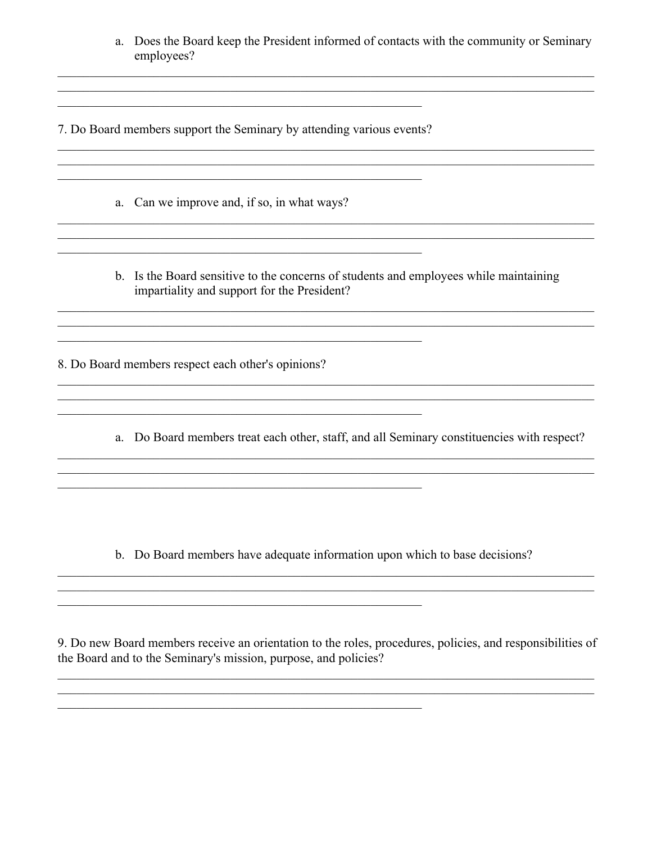| a. Does the Board keep the President informed of contacts with the community or Seminary |
|------------------------------------------------------------------------------------------|
| employees?                                                                               |

7. Do Board members support the Seminary by attending various events?

<u> 1989 - Johann Stoff, deutscher Stoff, der Stoff, der Stoff, der Stoff, der Stoff, der Stoff, der Stoff, der S</u>

<u> 1989 - Johann John Stein, marwolaethau (b. 1989)</u>

a. Can we improve and, if so, in what ways?

<u> 1980 - John Stein, Amerikaansk kalendaris (</u>

b. Is the Board sensitive to the concerns of students and employees while maintaining impartiality and support for the President?

8. Do Board members respect each other's opinions?

a. Do Board members treat each other, staff, and all Seminary constituencies with respect?

b. Do Board members have adequate information upon which to base decisions?

9. Do new Board members receive an orientation to the roles, procedures, policies, and responsibilities of the Board and to the Seminary's mission, purpose, and policies?

<u> 1989 - Johann Stoff, deutscher Stoff, der Stoff, der Stoff, der Stoff, der Stoff, der Stoff, der Stoff, der S</u>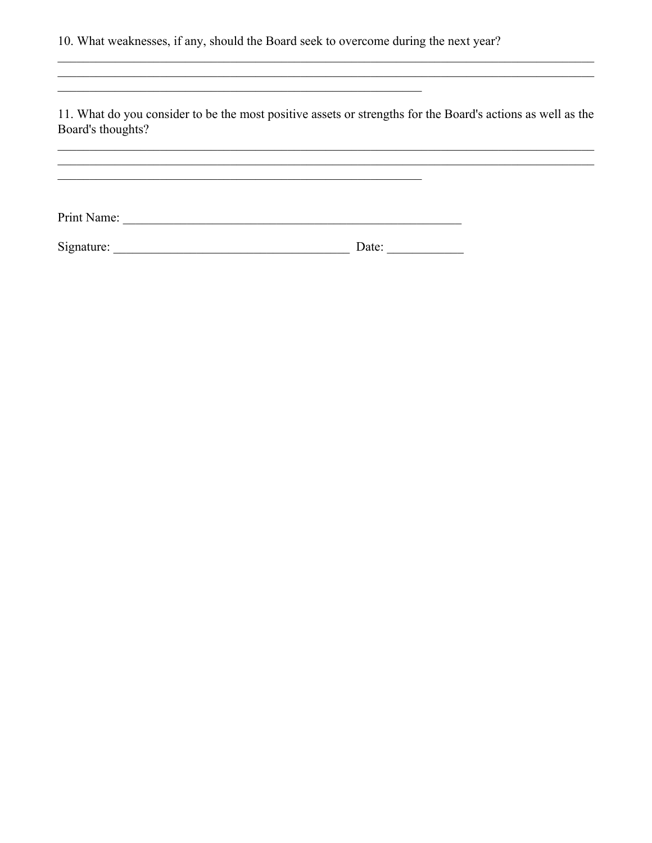10. What weaknesses, if any, should the Board seek to overcome during the next year?

<u> 1989 - Johann Stoff, Amerikaansk politiker († 1908)</u>

11. What do you consider to be the most positive assets or strengths for the Board's actions as well as the Board's thoughts?

<u> 1989 - Johann Barbara, martxa amerikan bashkar (</u>

| Signature: | Date: |  |
|------------|-------|--|
|            |       |  |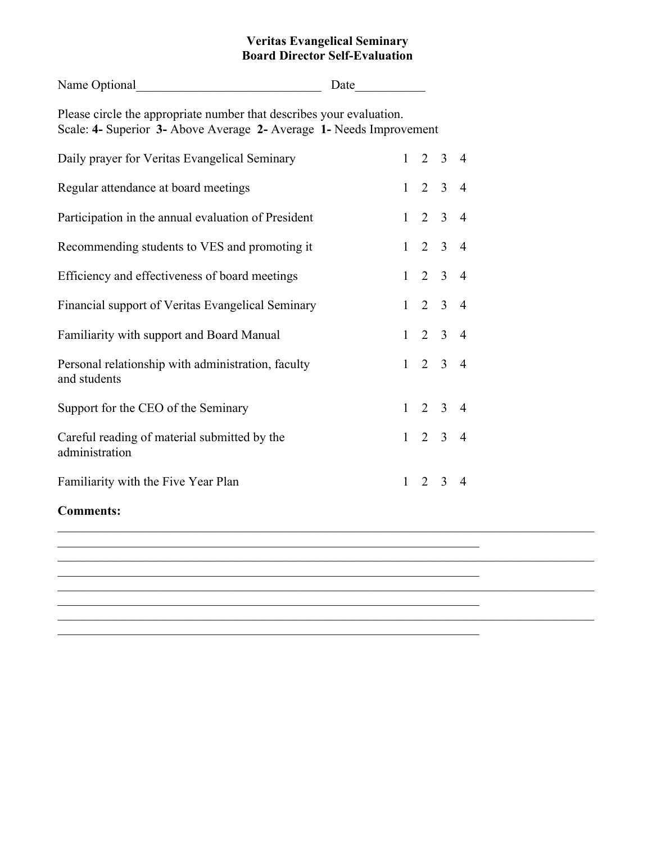#### **Veritas Evangelical Seminary Board Director Self-Evaluation**

|              |                                                                      |                                                                                                                                                                                  | $\overline{4}$                                                                                                                           |                                                                                                                                  |  |
|--------------|----------------------------------------------------------------------|----------------------------------------------------------------------------------------------------------------------------------------------------------------------------------|------------------------------------------------------------------------------------------------------------------------------------------|----------------------------------------------------------------------------------------------------------------------------------|--|
|              |                                                                      |                                                                                                                                                                                  | $\overline{4}$                                                                                                                           |                                                                                                                                  |  |
|              |                                                                      |                                                                                                                                                                                  | $\overline{4}$                                                                                                                           |                                                                                                                                  |  |
|              |                                                                      |                                                                                                                                                                                  |                                                                                                                                          |                                                                                                                                  |  |
|              |                                                                      |                                                                                                                                                                                  |                                                                                                                                          |                                                                                                                                  |  |
|              |                                                                      |                                                                                                                                                                                  |                                                                                                                                          |                                                                                                                                  |  |
| $\mathbf{1}$ |                                                                      |                                                                                                                                                                                  |                                                                                                                                          |                                                                                                                                  |  |
|              |                                                                      | $\overline{3}$                                                                                                                                                                   | $\overline{4}$                                                                                                                           |                                                                                                                                  |  |
|              |                                                                      |                                                                                                                                                                                  | $\overline{4}$                                                                                                                           |                                                                                                                                  |  |
| $\mathbf{1}$ | $\overline{2}$                                                       |                                                                                                                                                                                  | $\overline{4}$                                                                                                                           |                                                                                                                                  |  |
|              |                                                                      |                                                                                                                                                                                  |                                                                                                                                          |                                                                                                                                  |  |
|              |                                                                      |                                                                                                                                                                                  |                                                                                                                                          |                                                                                                                                  |  |
|              |                                                                      |                                                                                                                                                                                  |                                                                                                                                          |                                                                                                                                  |  |
|              |                                                                      |                                                                                                                                                                                  |                                                                                                                                          |                                                                                                                                  |  |
|              | Please circle the appropriate number that describes your evaluation. | $\mathbf{1}$<br>$\mathbf{1}$<br>$\overline{2}$<br>$\mathbf{1}$<br>$\mathbf{1}$<br>$\mathbf{1}$<br>$\mathbf{1}$<br>$\overline{2}$<br>$\mathbf{1}$<br>$\mathbf{1}$<br>$\mathbf{1}$ | Scale: 4- Superior 3- Above Average 2- Average 1- Needs Improvement<br>$\overline{2}$<br>$\overline{3}$<br>$\overline{3}$<br>$2 \quad 3$ | $2 \quad 3$<br>$2 \t3 \t4$<br>$2 \quad 3 \quad 4$<br>$2 \t3 \t4$<br>$2 \quad 3 \quad 4$<br>$\overline{3}$<br>$2 \quad 3 \quad 4$ |  |

\_\_\_\_\_\_\_\_\_\_\_\_\_\_\_\_\_\_\_\_\_\_\_\_\_\_\_\_\_\_\_\_\_\_\_\_\_\_\_\_\_\_\_\_\_\_\_\_\_\_\_\_\_\_\_\_\_\_\_\_\_\_\_\_\_\_

 $\frac{1}{2}$  ,  $\frac{1}{2}$  ,  $\frac{1}{2}$  ,  $\frac{1}{2}$  ,  $\frac{1}{2}$  ,  $\frac{1}{2}$  ,  $\frac{1}{2}$  ,  $\frac{1}{2}$  ,  $\frac{1}{2}$  ,  $\frac{1}{2}$  ,  $\frac{1}{2}$  ,  $\frac{1}{2}$  ,  $\frac{1}{2}$  ,  $\frac{1}{2}$  ,  $\frac{1}{2}$  ,  $\frac{1}{2}$  ,  $\frac{1}{2}$  ,  $\frac{1}{2}$  ,  $\frac{1$ 

\_\_\_\_\_\_\_\_\_\_\_\_\_\_\_\_\_\_\_\_\_\_\_\_\_\_\_\_\_\_\_\_\_\_\_\_\_\_\_\_\_\_\_\_\_\_\_\_\_\_\_\_\_\_\_\_\_\_\_\_\_\_\_\_\_\_\_\_\_\_\_\_\_\_\_\_\_\_\_\_\_\_\_\_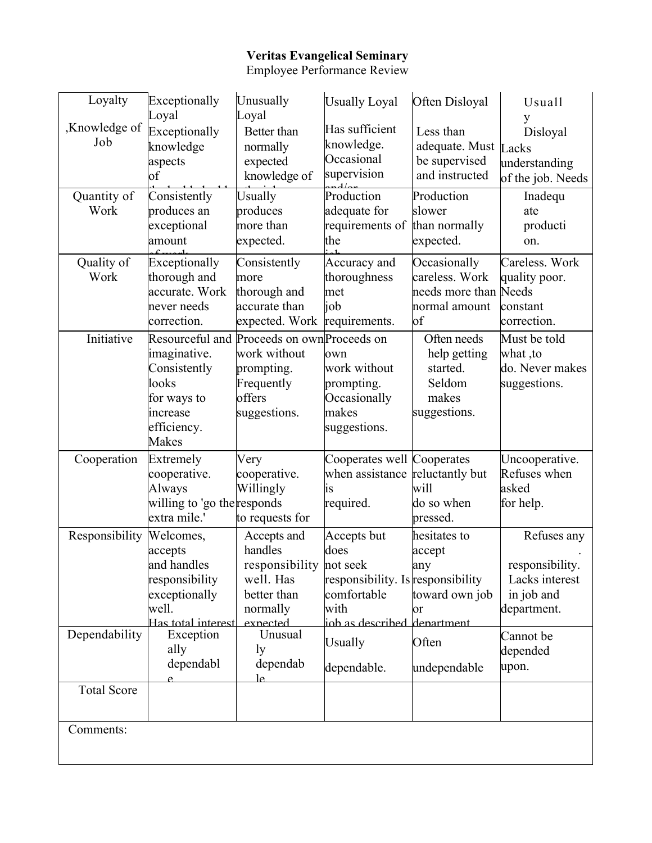# **Veritas Evangelical Seminary**

Employee Performance Review

| Loyalty              | Exceptionally                                                                                         | Unusually                                                                                                         | <b>Usually Loyal</b>                                                                                           | Often Disloyal                                                             | Usuall                                                                        |
|----------------------|-------------------------------------------------------------------------------------------------------|-------------------------------------------------------------------------------------------------------------------|----------------------------------------------------------------------------------------------------------------|----------------------------------------------------------------------------|-------------------------------------------------------------------------------|
| ,Knowledge of<br>Job | Loyal<br>Exceptionally<br>knowledge<br>aspects<br>оf                                                  | Loyal<br>Better than<br>normally<br>expected<br>knowledge of                                                      | Has sufficient<br>knowledge.<br>Occasional<br>supervision                                                      | Less than<br>adequate. Must Lacks<br>be supervised<br>and instructed       | y<br>Disloyal<br>understanding<br>of the job. Needs                           |
| Quantity of<br>Work  | Consistently<br>produces an<br>exceptional<br>amount                                                  | Usually<br>produces<br>more than<br>expected.                                                                     | Production<br>adequate for<br>requirements of<br>the                                                           | Production<br>slower<br>than normally<br>expected.                         | Inadequ<br>ate<br>producti<br>on.                                             |
| Quality of<br>Work   | Exceptionally<br>thorough and<br>accurate. Work<br>never needs<br>correction.                         | Consistently<br>more<br>thorough and<br>accurate than<br>expected. Work                                           | Accuracy and<br>thoroughness<br>met<br>job<br>requirements.                                                    | Occasionally<br>careless. Work<br>needs more than<br>normal amount<br>of   | Careless. Work<br>quality poor.<br>Needs<br>constant<br>correction.           |
| Initiative           | imaginative.<br>Consistently<br>looks<br>for ways to<br>increase<br>efficiency.<br><b>Makes</b>       | Resourceful and Proceeds on own Proceeds on<br>work without<br>prompting.<br>Frequently<br>offers<br>suggestions. | own<br>work without<br>prompting.<br>Occasionally<br>makes<br>suggestions.                                     | Often needs<br>help getting<br>started.<br>Seldom<br>makes<br>suggestions. | Must be told<br>what, to<br>do. Never makes<br>suggestions.                   |
| Cooperation          | Extremely<br>cooperative.<br>Always<br>willing to 'go the responds<br>extra mile.'                    | Very<br>cooperative.<br>Willingly<br>to requests for                                                              | Cooperates well Cooperates<br>when assistance reluctantly but<br>1S<br>required.                               | will<br>do so when<br>pressed.                                             | Uncooperative.<br>Refuses when<br>asked<br>for help.                          |
| Responsibility       | Welcomes,<br>accepts<br>and handles<br>responsibility<br>exceptionally<br>well.<br>Has total interest | Accepts and<br>handles<br>responsibility not seek<br>well. Has<br>better than<br>normally<br>exnected             | Accepts but<br>does<br>responsibility. Is responsibility<br>comfortable<br>with<br>iob as described department | hesitates to<br>accept<br>any<br>toward own job<br>or                      | Refuses any<br>responsibility.<br>Lacks interest<br>in job and<br>department. |
| Dependability        | Exception<br>ally<br>dependabl                                                                        | Unusual<br><sub>1y</sub><br>dependab<br>Ιe                                                                        | <b>Usually</b><br>dependable.                                                                                  | Often<br>undependable                                                      | Cannot be<br>depended<br>upon.                                                |
| <b>Total Score</b>   |                                                                                                       |                                                                                                                   |                                                                                                                |                                                                            |                                                                               |
| Comments:            |                                                                                                       |                                                                                                                   |                                                                                                                |                                                                            |                                                                               |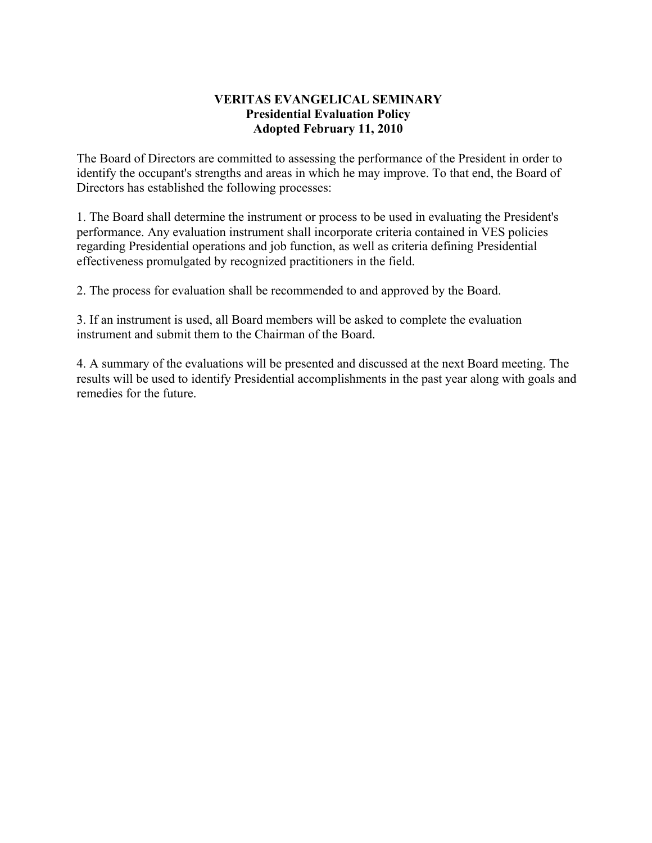### **VERITAS EVANGELICAL SEMINARY Presidential Evaluation Policy Adopted February 11, 2010**

The Board of Directors are committed to assessing the performance of the President in order to identify the occupant's strengths and areas in which he may improve. To that end, the Board of Directors has established the following processes:

1. The Board shall determine the instrument or process to be used in evaluating the President's performance. Any evaluation instrument shall incorporate criteria contained in VES policies regarding Presidential operations and job function, as well as criteria defining Presidential effectiveness promulgated by recognized practitioners in the field.

2. The process for evaluation shall be recommended to and approved by the Board.

3. If an instrument is used, all Board members will be asked to complete the evaluation instrument and submit them to the Chairman of the Board.

4. A summary of the evaluations will be presented and discussed at the next Board meeting. The results will be used to identify Presidential accomplishments in the past year along with goals and remedies for the future.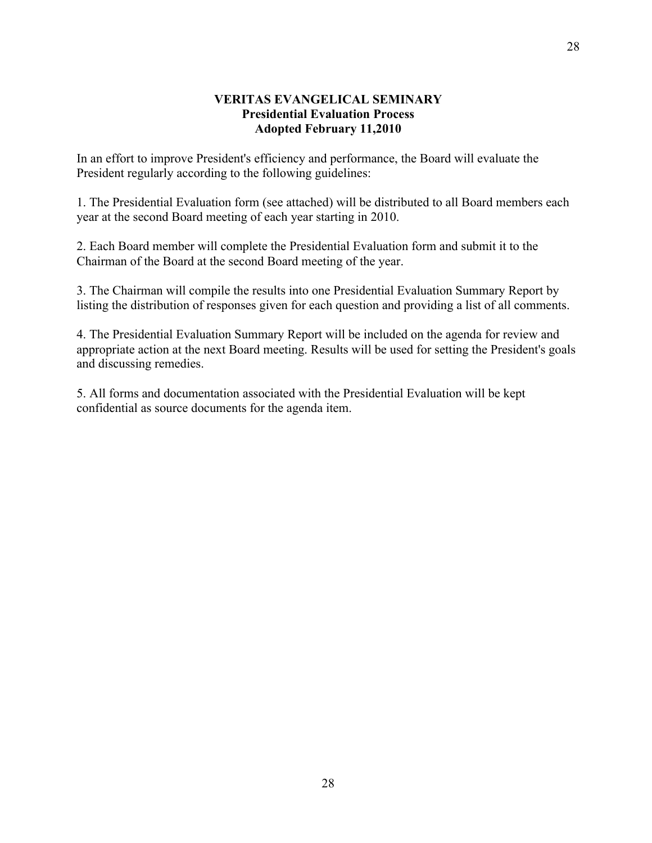#### **VERITAS EVANGELICAL SEMINARY Presidential Evaluation Process Adopted February 11,2010**

In an effort to improve President's efficiency and performance, the Board will evaluate the President regularly according to the following guidelines:

1. The Presidential Evaluation form (see attached) will be distributed to all Board members each year at the second Board meeting of each year starting in 2010.

2. Each Board member will complete the Presidential Evaluation form and submit it to the Chairman of the Board at the second Board meeting of the year.

3. The Chairman will compile the results into one Presidential Evaluation Summary Report by listing the distribution of responses given for each question and providing a list of all comments.

4. The Presidential Evaluation Summary Report will be included on the agenda for review and appropriate action at the next Board meeting. Results will be used for setting the President's goals and discussing remedies.

5. All forms and documentation associated with the Presidential Evaluation will be kept confidential as source documents for the agenda item.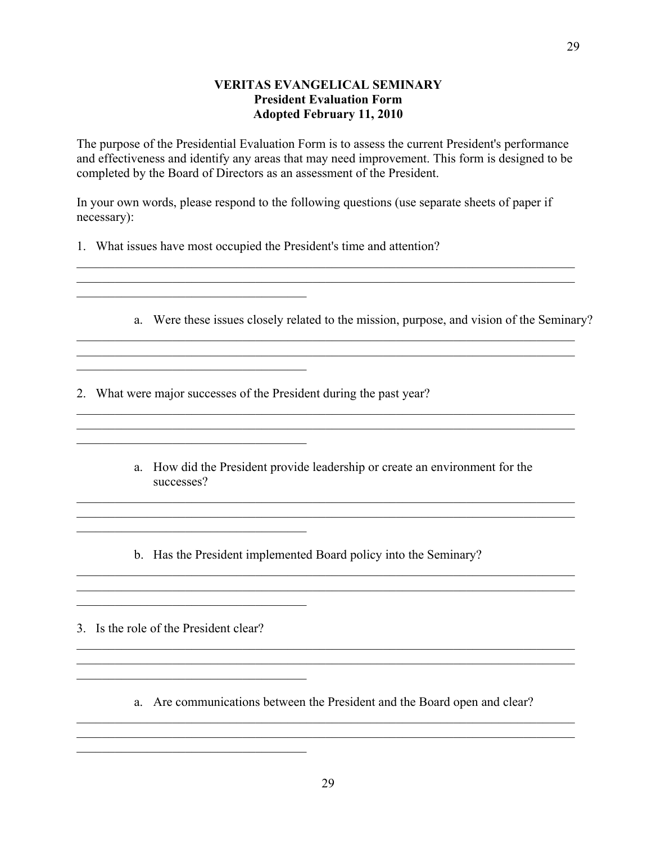#### **VERITAS EVANGELICAL SEMINARY President Evaluation Form Adopted February 11, 2010**

The purpose of the Presidential Evaluation Form is to assess the current President's performance and effectiveness and identify any areas that may need improvement. This form is designed to be completed by the Board of Directors as an assessment of the President.

In your own words, please respond to the following questions (use separate sheets of paper if necessary):

 $\mathcal{L}_\mathcal{L} = \{ \mathcal{L}_\mathcal{L} = \{ \mathcal{L}_\mathcal{L} = \{ \mathcal{L}_\mathcal{L} = \{ \mathcal{L}_\mathcal{L} = \{ \mathcal{L}_\mathcal{L} = \{ \mathcal{L}_\mathcal{L} = \{ \mathcal{L}_\mathcal{L} = \{ \mathcal{L}_\mathcal{L} = \{ \mathcal{L}_\mathcal{L} = \{ \mathcal{L}_\mathcal{L} = \{ \mathcal{L}_\mathcal{L} = \{ \mathcal{L}_\mathcal{L} = \{ \mathcal{L}_\mathcal{L} = \{ \mathcal{L}_\mathcal{$  $\mathcal{L}_\mathcal{L} = \{ \mathcal{L}_\mathcal{L} = \{ \mathcal{L}_\mathcal{L} = \{ \mathcal{L}_\mathcal{L} = \{ \mathcal{L}_\mathcal{L} = \{ \mathcal{L}_\mathcal{L} = \{ \mathcal{L}_\mathcal{L} = \{ \mathcal{L}_\mathcal{L} = \{ \mathcal{L}_\mathcal{L} = \{ \mathcal{L}_\mathcal{L} = \{ \mathcal{L}_\mathcal{L} = \{ \mathcal{L}_\mathcal{L} = \{ \mathcal{L}_\mathcal{L} = \{ \mathcal{L}_\mathcal{L} = \{ \mathcal{L}_\mathcal{$ 

1. What issues have most occupied the President's time and attention?

 $\mathcal{L}_\text{max}$  , and the set of the set of the set of the set of the set of the set of the set of the set of the set of the set of the set of the set of the set of the set of the set of the set of the set of the set of the

 $\mathcal{L}_\text{max}$  , where  $\mathcal{L}_\text{max}$  and  $\mathcal{L}_\text{max}$  and  $\mathcal{L}_\text{max}$ 

 $\mathcal{L}_\text{max}$ 

 $\mathcal{L}_\text{max}$  , where  $\mathcal{L}_\text{max}$  and  $\mathcal{L}_\text{max}$  and  $\mathcal{L}_\text{max}$ 

 $\mathcal{L}_\text{max}$  , where  $\mathcal{L}_\text{max}$  and  $\mathcal{L}_\text{max}$  and  $\mathcal{L}_\text{max}$ 

 $\mathcal{L}_\text{max}$  , where  $\mathcal{L}_\text{max}$  and  $\mathcal{L}_\text{max}$  and  $\mathcal{L}_\text{max}$ 

a. Were these issues closely related to the mission, purpose, and vision of the Seminary?

\_\_\_\_\_\_\_\_\_\_\_\_\_\_\_\_\_\_\_\_\_\_\_\_\_\_\_\_\_\_\_\_\_\_\_\_\_\_\_\_\_\_\_\_\_\_\_\_\_\_\_\_\_\_\_\_\_\_\_\_\_\_\_\_\_\_\_\_\_\_\_\_\_\_\_\_\_\_

2. What were major successes of the President during the past year?

a. How did the President provide leadership or create an environment for the successes?

 $\mathcal{L}_\mathcal{L} = \{ \mathcal{L}_\mathcal{L} = \{ \mathcal{L}_\mathcal{L} = \{ \mathcal{L}_\mathcal{L} = \{ \mathcal{L}_\mathcal{L} = \{ \mathcal{L}_\mathcal{L} = \{ \mathcal{L}_\mathcal{L} = \{ \mathcal{L}_\mathcal{L} = \{ \mathcal{L}_\mathcal{L} = \{ \mathcal{L}_\mathcal{L} = \{ \mathcal{L}_\mathcal{L} = \{ \mathcal{L}_\mathcal{L} = \{ \mathcal{L}_\mathcal{L} = \{ \mathcal{L}_\mathcal{L} = \{ \mathcal{L}_\mathcal{$  $\mathcal{L}_\mathcal{L} = \{ \mathcal{L}_\mathcal{L} = \{ \mathcal{L}_\mathcal{L} = \{ \mathcal{L}_\mathcal{L} = \{ \mathcal{L}_\mathcal{L} = \{ \mathcal{L}_\mathcal{L} = \{ \mathcal{L}_\mathcal{L} = \{ \mathcal{L}_\mathcal{L} = \{ \mathcal{L}_\mathcal{L} = \{ \mathcal{L}_\mathcal{L} = \{ \mathcal{L}_\mathcal{L} = \{ \mathcal{L}_\mathcal{L} = \{ \mathcal{L}_\mathcal{L} = \{ \mathcal{L}_\mathcal{L} = \{ \mathcal{L}_\mathcal{$ 

 $\mathcal{L}_\mathcal{L} = \{ \mathcal{L}_\mathcal{L} = \{ \mathcal{L}_\mathcal{L} = \{ \mathcal{L}_\mathcal{L} = \{ \mathcal{L}_\mathcal{L} = \{ \mathcal{L}_\mathcal{L} = \{ \mathcal{L}_\mathcal{L} = \{ \mathcal{L}_\mathcal{L} = \{ \mathcal{L}_\mathcal{L} = \{ \mathcal{L}_\mathcal{L} = \{ \mathcal{L}_\mathcal{L} = \{ \mathcal{L}_\mathcal{L} = \{ \mathcal{L}_\mathcal{L} = \{ \mathcal{L}_\mathcal{L} = \{ \mathcal{L}_\mathcal{$  $\mathcal{L}_\mathcal{L} = \{ \mathcal{L}_\mathcal{L} = \{ \mathcal{L}_\mathcal{L} = \{ \mathcal{L}_\mathcal{L} = \{ \mathcal{L}_\mathcal{L} = \{ \mathcal{L}_\mathcal{L} = \{ \mathcal{L}_\mathcal{L} = \{ \mathcal{L}_\mathcal{L} = \{ \mathcal{L}_\mathcal{L} = \{ \mathcal{L}_\mathcal{L} = \{ \mathcal{L}_\mathcal{L} = \{ \mathcal{L}_\mathcal{L} = \{ \mathcal{L}_\mathcal{L} = \{ \mathcal{L}_\mathcal{L} = \{ \mathcal{L}_\mathcal{$ 

 $\mathcal{L}_\mathcal{L} = \{ \mathcal{L}_\mathcal{L} = \{ \mathcal{L}_\mathcal{L} = \{ \mathcal{L}_\mathcal{L} = \{ \mathcal{L}_\mathcal{L} = \{ \mathcal{L}_\mathcal{L} = \{ \mathcal{L}_\mathcal{L} = \{ \mathcal{L}_\mathcal{L} = \{ \mathcal{L}_\mathcal{L} = \{ \mathcal{L}_\mathcal{L} = \{ \mathcal{L}_\mathcal{L} = \{ \mathcal{L}_\mathcal{L} = \{ \mathcal{L}_\mathcal{L} = \{ \mathcal{L}_\mathcal{L} = \{ \mathcal{L}_\mathcal{$  $\mathcal{L}_\mathcal{L} = \{ \mathcal{L}_\mathcal{L} = \{ \mathcal{L}_\mathcal{L} = \{ \mathcal{L}_\mathcal{L} = \{ \mathcal{L}_\mathcal{L} = \{ \mathcal{L}_\mathcal{L} = \{ \mathcal{L}_\mathcal{L} = \{ \mathcal{L}_\mathcal{L} = \{ \mathcal{L}_\mathcal{L} = \{ \mathcal{L}_\mathcal{L} = \{ \mathcal{L}_\mathcal{L} = \{ \mathcal{L}_\mathcal{L} = \{ \mathcal{L}_\mathcal{L} = \{ \mathcal{L}_\mathcal{L} = \{ \mathcal{L}_\mathcal{$ 

 $\mathcal{L}_\mathcal{L} = \{ \mathcal{L}_\mathcal{L} = \{ \mathcal{L}_\mathcal{L} = \{ \mathcal{L}_\mathcal{L} = \{ \mathcal{L}_\mathcal{L} = \{ \mathcal{L}_\mathcal{L} = \{ \mathcal{L}_\mathcal{L} = \{ \mathcal{L}_\mathcal{L} = \{ \mathcal{L}_\mathcal{L} = \{ \mathcal{L}_\mathcal{L} = \{ \mathcal{L}_\mathcal{L} = \{ \mathcal{L}_\mathcal{L} = \{ \mathcal{L}_\mathcal{L} = \{ \mathcal{L}_\mathcal{L} = \{ \mathcal{L}_\mathcal{$ 

b. Has the President implemented Board policy into the Seminary?

3. Is the role of the President clear?

a. Are communications between the President and the Board open and clear?

 $\mathcal{L}_\mathcal{L} = \{ \mathcal{L}_\mathcal{L} = \{ \mathcal{L}_\mathcal{L} = \{ \mathcal{L}_\mathcal{L} = \{ \mathcal{L}_\mathcal{L} = \{ \mathcal{L}_\mathcal{L} = \{ \mathcal{L}_\mathcal{L} = \{ \mathcal{L}_\mathcal{L} = \{ \mathcal{L}_\mathcal{L} = \{ \mathcal{L}_\mathcal{L} = \{ \mathcal{L}_\mathcal{L} = \{ \mathcal{L}_\mathcal{L} = \{ \mathcal{L}_\mathcal{L} = \{ \mathcal{L}_\mathcal{L} = \{ \mathcal{L}_\mathcal{$  $\mathcal{L}_\mathcal{L} = \{ \mathcal{L}_\mathcal{L} = \{ \mathcal{L}_\mathcal{L} = \{ \mathcal{L}_\mathcal{L} = \{ \mathcal{L}_\mathcal{L} = \{ \mathcal{L}_\mathcal{L} = \{ \mathcal{L}_\mathcal{L} = \{ \mathcal{L}_\mathcal{L} = \{ \mathcal{L}_\mathcal{L} = \{ \mathcal{L}_\mathcal{L} = \{ \mathcal{L}_\mathcal{L} = \{ \mathcal{L}_\mathcal{L} = \{ \mathcal{L}_\mathcal{L} = \{ \mathcal{L}_\mathcal{L} = \{ \mathcal{L}_\mathcal{$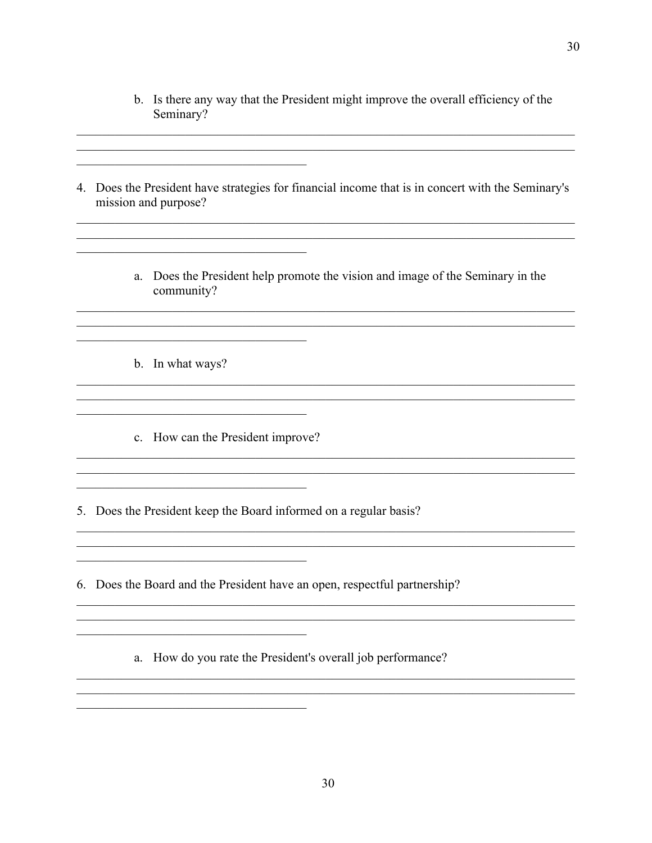- b. Is there any way that the President might improve the overall efficiency of the Seminary?
- 4. Does the President have strategies for financial income that is in concert with the Seminary's mission and purpose?
	- a. Does the President help promote the vision and image of the Seminary in the community?
	- b. In what ways?

<u> 1980 - John Stein, Amerikaansk kanton (</u>

<u> 1980 - John Stein, Amerikaansk kanton (</u>

c. How can the President improve?

<u> 1989 - Johann Barbara, martxa alemaniar a</u>

5. Does the President keep the Board informed on a regular basis?

6. Does the Board and the President have an open, respectful partnership?

a. How do you rate the President's overall job performance?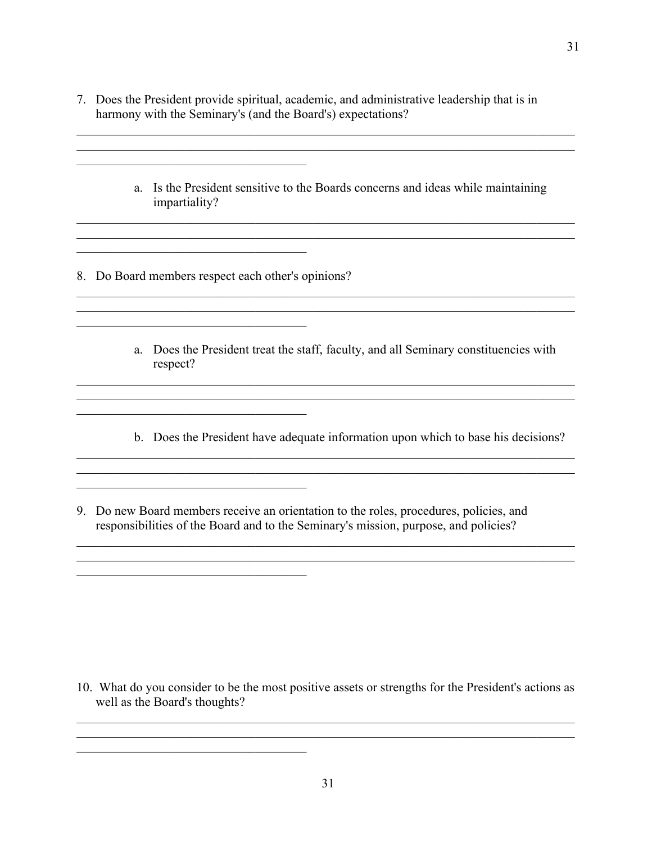7. Does the President provide spiritual, academic, and administrative leadership that is in harmony with the Seminary's (and the Board's) expectations?

 $\mathcal{L}_\mathcal{L} = \{ \mathcal{L}_\mathcal{L} = \{ \mathcal{L}_\mathcal{L} = \{ \mathcal{L}_\mathcal{L} = \{ \mathcal{L}_\mathcal{L} = \{ \mathcal{L}_\mathcal{L} = \{ \mathcal{L}_\mathcal{L} = \{ \mathcal{L}_\mathcal{L} = \{ \mathcal{L}_\mathcal{L} = \{ \mathcal{L}_\mathcal{L} = \{ \mathcal{L}_\mathcal{L} = \{ \mathcal{L}_\mathcal{L} = \{ \mathcal{L}_\mathcal{L} = \{ \mathcal{L}_\mathcal{L} = \{ \mathcal{L}_\mathcal{$ 

 $\mathcal{L}_\mathcal{L} = \{ \mathcal{L}_\mathcal{L} = \{ \mathcal{L}_\mathcal{L} = \{ \mathcal{L}_\mathcal{L} = \{ \mathcal{L}_\mathcal{L} = \{ \mathcal{L}_\mathcal{L} = \{ \mathcal{L}_\mathcal{L} = \{ \mathcal{L}_\mathcal{L} = \{ \mathcal{L}_\mathcal{L} = \{ \mathcal{L}_\mathcal{L} = \{ \mathcal{L}_\mathcal{L} = \{ \mathcal{L}_\mathcal{L} = \{ \mathcal{L}_\mathcal{L} = \{ \mathcal{L}_\mathcal{L} = \{ \mathcal{L}_\mathcal{$  $\mathcal{L}_\mathcal{L} = \{ \mathcal{L}_\mathcal{L} = \{ \mathcal{L}_\mathcal{L} = \{ \mathcal{L}_\mathcal{L} = \{ \mathcal{L}_\mathcal{L} = \{ \mathcal{L}_\mathcal{L} = \{ \mathcal{L}_\mathcal{L} = \{ \mathcal{L}_\mathcal{L} = \{ \mathcal{L}_\mathcal{L} = \{ \mathcal{L}_\mathcal{L} = \{ \mathcal{L}_\mathcal{L} = \{ \mathcal{L}_\mathcal{L} = \{ \mathcal{L}_\mathcal{L} = \{ \mathcal{L}_\mathcal{L} = \{ \mathcal{L}_\mathcal{$ 

 $\mathcal{L}_\mathcal{L} = \{ \mathcal{L}_\mathcal{L} = \{ \mathcal{L}_\mathcal{L} = \{ \mathcal{L}_\mathcal{L} = \{ \mathcal{L}_\mathcal{L} = \{ \mathcal{L}_\mathcal{L} = \{ \mathcal{L}_\mathcal{L} = \{ \mathcal{L}_\mathcal{L} = \{ \mathcal{L}_\mathcal{L} = \{ \mathcal{L}_\mathcal{L} = \{ \mathcal{L}_\mathcal{L} = \{ \mathcal{L}_\mathcal{L} = \{ \mathcal{L}_\mathcal{L} = \{ \mathcal{L}_\mathcal{L} = \{ \mathcal{L}_\mathcal{$ 

 $\mathcal{L}_\mathcal{L} = \{ \mathcal{L}_\mathcal{L} = \{ \mathcal{L}_\mathcal{L} = \{ \mathcal{L}_\mathcal{L} = \{ \mathcal{L}_\mathcal{L} = \{ \mathcal{L}_\mathcal{L} = \{ \mathcal{L}_\mathcal{L} = \{ \mathcal{L}_\mathcal{L} = \{ \mathcal{L}_\mathcal{L} = \{ \mathcal{L}_\mathcal{L} = \{ \mathcal{L}_\mathcal{L} = \{ \mathcal{L}_\mathcal{L} = \{ \mathcal{L}_\mathcal{L} = \{ \mathcal{L}_\mathcal{L} = \{ \mathcal{L}_\mathcal{$  $\mathcal{L}_\mathcal{L} = \{ \mathcal{L}_\mathcal{L} = \{ \mathcal{L}_\mathcal{L} = \{ \mathcal{L}_\mathcal{L} = \{ \mathcal{L}_\mathcal{L} = \{ \mathcal{L}_\mathcal{L} = \{ \mathcal{L}_\mathcal{L} = \{ \mathcal{L}_\mathcal{L} = \{ \mathcal{L}_\mathcal{L} = \{ \mathcal{L}_\mathcal{L} = \{ \mathcal{L}_\mathcal{L} = \{ \mathcal{L}_\mathcal{L} = \{ \mathcal{L}_\mathcal{L} = \{ \mathcal{L}_\mathcal{L} = \{ \mathcal{L}_\mathcal{$ 

 $\mathcal{L}_\mathcal{L} = \{ \mathcal{L}_\mathcal{L} = \{ \mathcal{L}_\mathcal{L} = \{ \mathcal{L}_\mathcal{L} = \{ \mathcal{L}_\mathcal{L} = \{ \mathcal{L}_\mathcal{L} = \{ \mathcal{L}_\mathcal{L} = \{ \mathcal{L}_\mathcal{L} = \{ \mathcal{L}_\mathcal{L} = \{ \mathcal{L}_\mathcal{L} = \{ \mathcal{L}_\mathcal{L} = \{ \mathcal{L}_\mathcal{L} = \{ \mathcal{L}_\mathcal{L} = \{ \mathcal{L}_\mathcal{L} = \{ \mathcal{L}_\mathcal{$ 

a. Is the President sensitive to the Boards concerns and ideas while maintaining impartiality?

8. Do Board members respect each other's opinions?

 $\frac{1}{2}$  ,  $\frac{1}{2}$  ,  $\frac{1}{2}$  ,  $\frac{1}{2}$  ,  $\frac{1}{2}$  ,  $\frac{1}{2}$  ,  $\frac{1}{2}$  ,  $\frac{1}{2}$  ,  $\frac{1}{2}$  ,  $\frac{1}{2}$  ,  $\frac{1}{2}$  ,  $\frac{1}{2}$  ,  $\frac{1}{2}$  ,  $\frac{1}{2}$  ,  $\frac{1}{2}$  ,  $\frac{1}{2}$  ,  $\frac{1}{2}$  ,  $\frac{1}{2}$  ,  $\frac{1$ 

 $\mathcal{L}_\text{max}$  , where  $\mathcal{L}_\text{max}$  and  $\mathcal{L}_\text{max}$  and  $\mathcal{L}_\text{max}$ 

 $\mathcal{L}_\text{max}$  and  $\mathcal{L}_\text{max}$  and  $\mathcal{L}_\text{max}$  and  $\mathcal{L}_\text{max}$ 

 $\mathcal{L}_\text{max}$  , and the set of the set of the set of the set of the set of the set of the set of the set of the set of the set of the set of the set of the set of the set of the set of the set of the set of the set of the

 $\mathcal{L}_\text{max}$  , where  $\mathcal{L}_\text{max}$  and  $\mathcal{L}_\text{max}$  and  $\mathcal{L}_\text{max}$ 

 $\mathcal{L}_\text{max}$  , where  $\mathcal{L}_\text{max}$  and  $\mathcal{L}_\text{max}$  and  $\mathcal{L}_\text{max}$ 

- a. Does the President treat the staff, faculty, and all Seminary constituencies with respect?
- b. Does the President have adequate information upon which to base his decisions?

\_\_\_\_\_\_\_\_\_\_\_\_\_\_\_\_\_\_\_\_\_\_\_\_\_\_\_\_\_\_\_\_\_\_\_\_\_\_\_\_\_\_\_\_\_\_\_\_\_\_\_\_\_\_\_\_\_\_\_\_\_\_\_\_\_\_\_\_\_\_\_\_\_\_\_\_\_\_

 $\mathcal{L}_\text{max}$ 

9. Do new Board members receive an orientation to the roles, procedures, policies, and responsibilities of the Board and to the Seminary's mission, purpose, and policies?

10. What do you consider to be the most positive assets or strengths for the President's actions as well as the Board's thoughts?

 $\mathcal{L}_\mathcal{L} = \{ \mathcal{L}_\mathcal{L} = \{ \mathcal{L}_\mathcal{L} = \{ \mathcal{L}_\mathcal{L} = \{ \mathcal{L}_\mathcal{L} = \{ \mathcal{L}_\mathcal{L} = \{ \mathcal{L}_\mathcal{L} = \{ \mathcal{L}_\mathcal{L} = \{ \mathcal{L}_\mathcal{L} = \{ \mathcal{L}_\mathcal{L} = \{ \mathcal{L}_\mathcal{L} = \{ \mathcal{L}_\mathcal{L} = \{ \mathcal{L}_\mathcal{L} = \{ \mathcal{L}_\mathcal{L} = \{ \mathcal{L}_\mathcal{$  $\mathcal{L}_\mathcal{L} = \{ \mathcal{L}_\mathcal{L} = \{ \mathcal{L}_\mathcal{L} = \{ \mathcal{L}_\mathcal{L} = \{ \mathcal{L}_\mathcal{L} = \{ \mathcal{L}_\mathcal{L} = \{ \mathcal{L}_\mathcal{L} = \{ \mathcal{L}_\mathcal{L} = \{ \mathcal{L}_\mathcal{L} = \{ \mathcal{L}_\mathcal{L} = \{ \mathcal{L}_\mathcal{L} = \{ \mathcal{L}_\mathcal{L} = \{ \mathcal{L}_\mathcal{L} = \{ \mathcal{L}_\mathcal{L} = \{ \mathcal{L}_\mathcal{$ 

31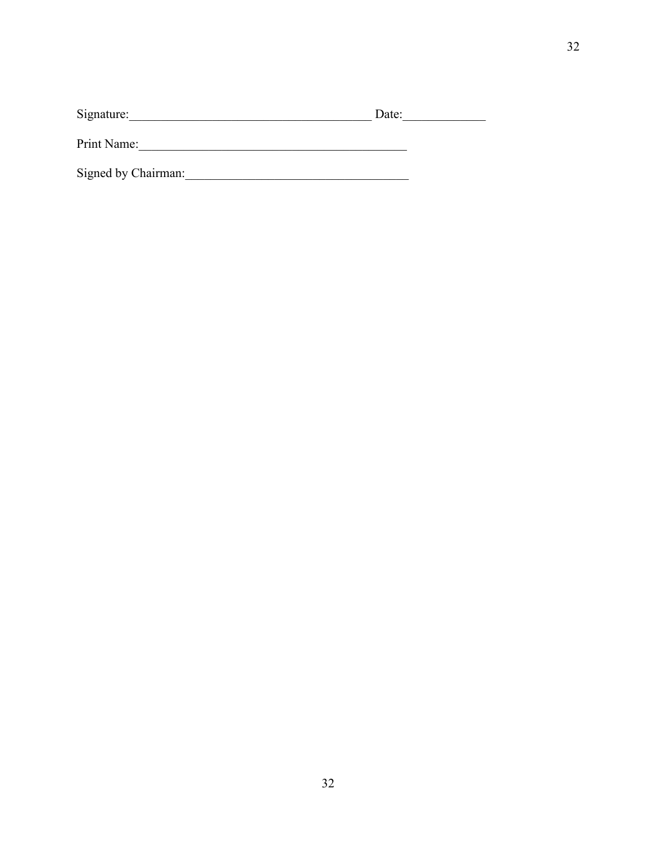| Signature: | Date: |  |
|------------|-------|--|
|            |       |  |

Print Name: 1000 million and 1000 million and 1000 million and 1000 million and 1000 million and 1000 million and 1000 million and 1000 million and 1000 million and 1000 million and 1000 million and 1000 million and 1000 m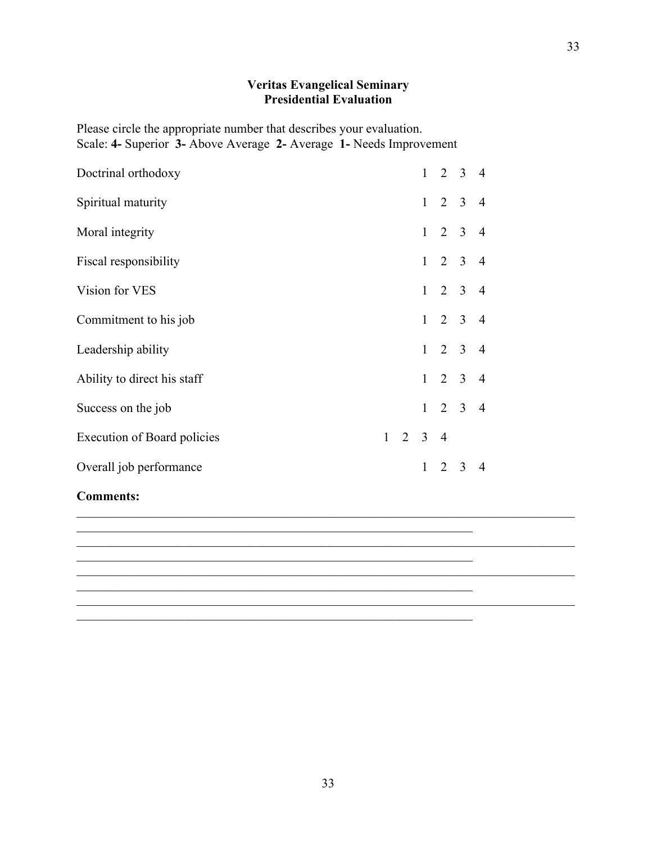#### **Veritas Evangelical Seminary Presidential Evaluation**

Please circle the appropriate number that describes your evaluation. Scale: **4-** Superior **3-** Above Average **2-** Average **1-** Needs Improvement

| Doctrinal orthodoxy                |                 |   |             | $1 \t2 \t3 \t4$ |                |
|------------------------------------|-----------------|---|-------------|-----------------|----------------|
| Spiritual maturity                 |                 |   |             | $1 \t2 \t3 \t4$ |                |
| Moral integrity                    |                 |   |             | $1 \t2 \t3 \t4$ |                |
| Fiscal responsibility              |                 |   |             | $1 \t2 \t3 \t4$ |                |
| Vision for VES                     |                 |   |             | $1 \t2 \t3 \t4$ |                |
| Commitment to his job              |                 |   |             | $1 \t2 \t3 \t4$ |                |
| Leadership ability                 |                 |   |             | $1 \t2 \t3 \t4$ |                |
| Ability to direct his staff        |                 |   |             | $1 \t2 \t3 \t4$ |                |
| Success on the job                 |                 |   |             | $1 \t2 \t3 \t4$ |                |
| <b>Execution of Board policies</b> | $1 \t2 \t3 \t4$ |   |             |                 |                |
| Overall job performance            |                 | 1 | $2 \quad 3$ |                 | $\overline{4}$ |

 $\mathcal{L}_\text{max}$  , and the contribution of the contribution of the contribution of the contribution of the contribution of the contribution of the contribution of the contribution of the contribution of the contribution of t

 $\mathcal{L}_\text{max}$  , and the contribution of the contribution of the contribution of the contribution of the contribution of the contribution of the contribution of the contribution of the contribution of the contribution of t

 $\mathcal{L}_\text{max}$  and the contract of the contract of the contract of the contract of the contract of the contract of

 $\mathcal{L}_\text{max}$  , and the contribution of the contribution of the contribution of the contribution of the contribution of the contribution of the contribution of the contribution of the contribution of the contribution of t

#### **Comments:**



 $\mathcal{L}_\mathcal{L} = \{ \mathcal{L}_\mathcal{L} = \{ \mathcal{L}_\mathcal{L} = \{ \mathcal{L}_\mathcal{L} = \{ \mathcal{L}_\mathcal{L} = \{ \mathcal{L}_\mathcal{L} = \{ \mathcal{L}_\mathcal{L} = \{ \mathcal{L}_\mathcal{L} = \{ \mathcal{L}_\mathcal{L} = \{ \mathcal{L}_\mathcal{L} = \{ \mathcal{L}_\mathcal{L} = \{ \mathcal{L}_\mathcal{L} = \{ \mathcal{L}_\mathcal{L} = \{ \mathcal{L}_\mathcal{L} = \{ \mathcal{L}_\mathcal{$ 

 $\mathcal{L}_\mathcal{L} = \{ \mathcal{L}_\mathcal{L} = \{ \mathcal{L}_\mathcal{L} = \{ \mathcal{L}_\mathcal{L} = \{ \mathcal{L}_\mathcal{L} = \{ \mathcal{L}_\mathcal{L} = \{ \mathcal{L}_\mathcal{L} = \{ \mathcal{L}_\mathcal{L} = \{ \mathcal{L}_\mathcal{L} = \{ \mathcal{L}_\mathcal{L} = \{ \mathcal{L}_\mathcal{L} = \{ \mathcal{L}_\mathcal{L} = \{ \mathcal{L}_\mathcal{L} = \{ \mathcal{L}_\mathcal{L} = \{ \mathcal{L}_\mathcal{$ 

 $\mathcal{L}_\mathcal{L} = \{ \mathcal{L}_\mathcal{L} = \{ \mathcal{L}_\mathcal{L} = \{ \mathcal{L}_\mathcal{L} = \{ \mathcal{L}_\mathcal{L} = \{ \mathcal{L}_\mathcal{L} = \{ \mathcal{L}_\mathcal{L} = \{ \mathcal{L}_\mathcal{L} = \{ \mathcal{L}_\mathcal{L} = \{ \mathcal{L}_\mathcal{L} = \{ \mathcal{L}_\mathcal{L} = \{ \mathcal{L}_\mathcal{L} = \{ \mathcal{L}_\mathcal{L} = \{ \mathcal{L}_\mathcal{L} = \{ \mathcal{L}_\mathcal{$ 

 $\mathcal{L}_\mathcal{L} = \{ \mathcal{L}_\mathcal{L} = \{ \mathcal{L}_\mathcal{L} = \{ \mathcal{L}_\mathcal{L} = \{ \mathcal{L}_\mathcal{L} = \{ \mathcal{L}_\mathcal{L} = \{ \mathcal{L}_\mathcal{L} = \{ \mathcal{L}_\mathcal{L} = \{ \mathcal{L}_\mathcal{L} = \{ \mathcal{L}_\mathcal{L} = \{ \mathcal{L}_\mathcal{L} = \{ \mathcal{L}_\mathcal{L} = \{ \mathcal{L}_\mathcal{L} = \{ \mathcal{L}_\mathcal{L} = \{ \mathcal{L}_\mathcal{$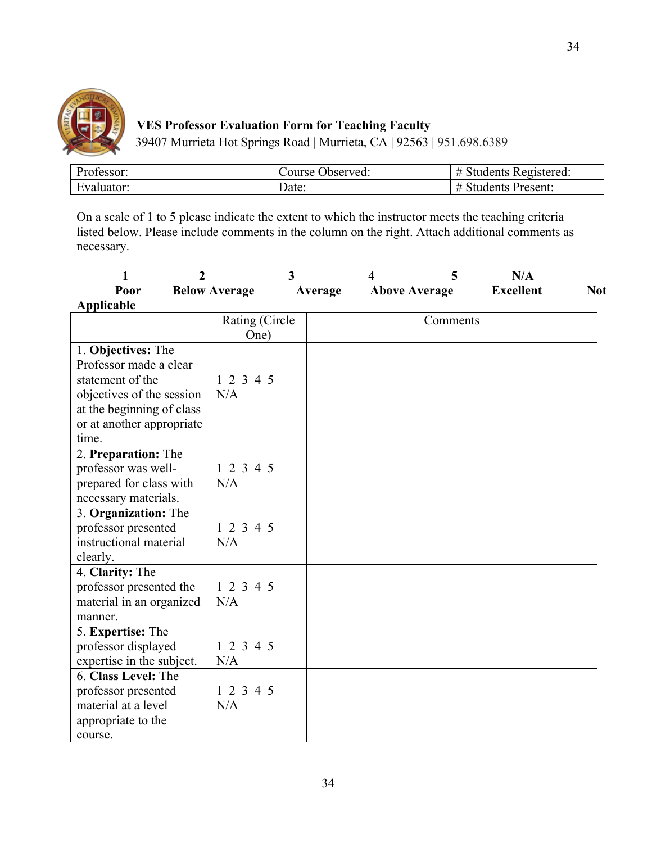

# **VES Professor Evaluation Form for Teaching Faculty**

39407 Murrieta Hot Springs Road | Murrieta, CA | 92563 | 951.698.6389

| Professor: | Course Observed: | ' Students Registered: |
|------------|------------------|------------------------|
| Evaluator: | Date:            | Students Present:<br># |

On a scale of 1 to 5 please indicate the extent to which the instructor meets the teaching criteria listed below. Please include comments in the column on the right. Attach additional comments as necessary.

| 1                                                                                                                                                       | $\overline{2}$       | 3       | 5<br>4               | N/A              |            |
|---------------------------------------------------------------------------------------------------------------------------------------------------------|----------------------|---------|----------------------|------------------|------------|
| Poor                                                                                                                                                    | <b>Below Average</b> | Average | <b>Above Average</b> | <b>Excellent</b> | <b>Not</b> |
| Applicable                                                                                                                                              |                      |         |                      |                  |            |
|                                                                                                                                                         | Rating (Circle       |         | Comments             |                  |            |
|                                                                                                                                                         | One)                 |         |                      |                  |            |
| 1. Objectives: The<br>Professor made a clear<br>statement of the<br>objectives of the session<br>at the beginning of class<br>or at another appropriate | 1 2 3 4 5<br>N/A     |         |                      |                  |            |
| time.                                                                                                                                                   |                      |         |                      |                  |            |
| 2. Preparation: The<br>professor was well-<br>prepared for class with<br>necessary materials.                                                           | 1 2 3 4 5<br>N/A     |         |                      |                  |            |
| 3. Organization: The<br>professor presented<br>instructional material<br>clearly.                                                                       | 12345<br>N/A         |         |                      |                  |            |
| 4. Clarity: The<br>professor presented the<br>material in an organized<br>manner.                                                                       | 12345<br>N/A         |         |                      |                  |            |
| 5. Expertise: The<br>professor displayed<br>expertise in the subject.                                                                                   | 12345<br>N/A         |         |                      |                  |            |
| 6. Class Level: The<br>professor presented<br>material at a level<br>appropriate to the<br>course.                                                      | 1 2 3 4 5<br>N/A     |         |                      |                  |            |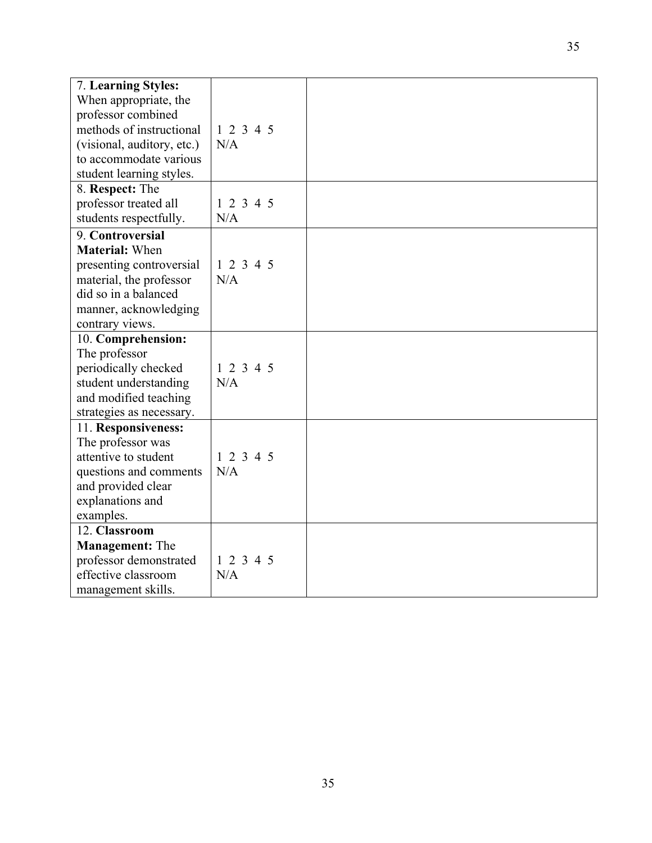| 7. Learning Styles:        |           |  |
|----------------------------|-----------|--|
| When appropriate, the      |           |  |
| professor combined         |           |  |
| methods of instructional   | 1 2 3 4 5 |  |
| (visional, auditory, etc.) | N/A       |  |
| to accommodate various     |           |  |
| student learning styles.   |           |  |
| 8. Respect: The            |           |  |
| professor treated all      | 12345     |  |
| students respectfully.     | N/A       |  |
| 9. Controversial           |           |  |
| <b>Material: When</b>      |           |  |
| presenting controversial   | 12345     |  |
| material, the professor    | N/A       |  |
| did so in a balanced       |           |  |
| manner, acknowledging      |           |  |
| contrary views.            |           |  |
| 10. Comprehension:         |           |  |
| The professor              |           |  |
| periodically checked       | 1 2 3 4 5 |  |
| student understanding      | N/A       |  |
| and modified teaching      |           |  |
| strategies as necessary.   |           |  |
| 11. Responsiveness:        |           |  |
| The professor was          |           |  |
| attentive to student       | 1 2 3 4 5 |  |
| questions and comments     | N/A       |  |
| and provided clear         |           |  |
| explanations and           |           |  |
| examples.                  |           |  |
| 12. Classroom              |           |  |
| <b>Management: The</b>     |           |  |
| professor demonstrated     | 1 2 3 4 5 |  |
| effective classroom        | N/A       |  |
| management skills.         |           |  |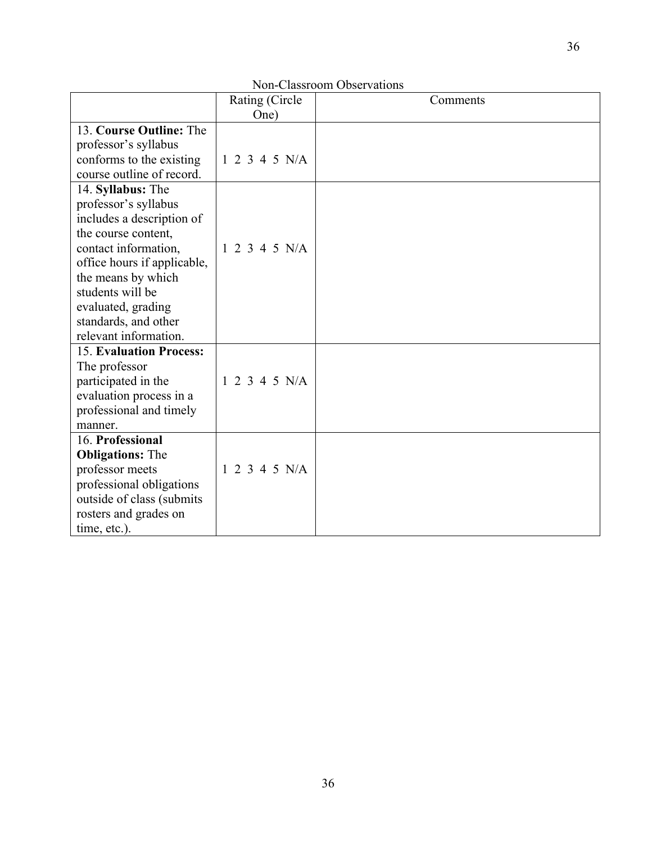|                             | Non-Classroom Observations |          |  |  |  |  |  |  |
|-----------------------------|----------------------------|----------|--|--|--|--|--|--|
|                             | Rating (Circle)            | Comments |  |  |  |  |  |  |
|                             | One)                       |          |  |  |  |  |  |  |
| 13. Course Outline: The     |                            |          |  |  |  |  |  |  |
| professor's syllabus        |                            |          |  |  |  |  |  |  |
| conforms to the existing    | 1 2 3 4 5 N/A              |          |  |  |  |  |  |  |
| course outline of record.   |                            |          |  |  |  |  |  |  |
| 14. Syllabus: The           |                            |          |  |  |  |  |  |  |
| professor's syllabus        |                            |          |  |  |  |  |  |  |
| includes a description of   |                            |          |  |  |  |  |  |  |
| the course content,         |                            |          |  |  |  |  |  |  |
| contact information,        | 1 2 3 4 5 N/A              |          |  |  |  |  |  |  |
| office hours if applicable, |                            |          |  |  |  |  |  |  |
| the means by which          |                            |          |  |  |  |  |  |  |
| students will be            |                            |          |  |  |  |  |  |  |
| evaluated, grading          |                            |          |  |  |  |  |  |  |
| standards, and other        |                            |          |  |  |  |  |  |  |
| relevant information.       |                            |          |  |  |  |  |  |  |
| 15. Evaluation Process:     |                            |          |  |  |  |  |  |  |
| The professor               |                            |          |  |  |  |  |  |  |
| participated in the         | 1 2 3 4 5 N/A              |          |  |  |  |  |  |  |
| evaluation process in a     |                            |          |  |  |  |  |  |  |
| professional and timely     |                            |          |  |  |  |  |  |  |
| manner.                     |                            |          |  |  |  |  |  |  |
| 16. Professional            |                            |          |  |  |  |  |  |  |
| <b>Obligations: The</b>     |                            |          |  |  |  |  |  |  |
| professor meets             | 1 2 3 4 5 N/A              |          |  |  |  |  |  |  |
| professional obligations    |                            |          |  |  |  |  |  |  |
| outside of class (submits   |                            |          |  |  |  |  |  |  |
| rosters and grades on       |                            |          |  |  |  |  |  |  |
| time, etc.).                |                            |          |  |  |  |  |  |  |

## Non-Classroom Observation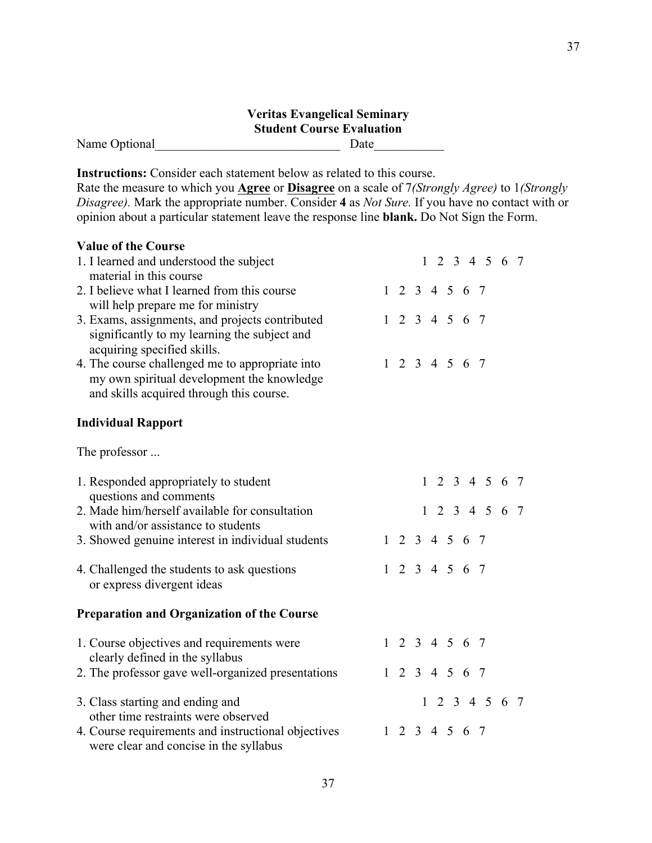### **Veritas Evangelical Seminary Student Course Evaluation** Name Optional\_\_\_\_\_\_\_\_\_\_\_\_\_\_\_\_\_\_\_\_\_\_\_\_\_\_\_\_\_ Date\_\_\_\_\_\_\_\_\_\_\_

**Instructions:** Consider each statement below as related to this course.

Rate the measure to which you **Agree** or **Disagree** on a scale of 7*(Strongly Agree)* to 1*(Strongly Disagree).* Mark the appropriate number. Consider **4** as *Not Sure.* If you have no contact with or opinion about a particular statement leave the response line **blank.** Do Not Sign the Form.

| <b>Value of the Course</b>                                                                    |              |  |  |                             |                             |  |
|-----------------------------------------------------------------------------------------------|--------------|--|--|-----------------------------|-----------------------------|--|
| 1. I learned and understood the subject                                                       |              |  |  |                             | $1 \t2 \t3 \t4 \t5 \t6 \t7$ |  |
| material in this course                                                                       |              |  |  |                             |                             |  |
| 2. I believe what I learned from this course                                                  |              |  |  | 1 2 3 4 5 6 7               |                             |  |
| will help prepare me for ministry                                                             |              |  |  |                             |                             |  |
| 3. Exams, assignments, and projects contributed                                               |              |  |  | $1 \t2 \t3 \t4 \t5 \t6 \t7$ |                             |  |
| significantly to my learning the subject and                                                  |              |  |  |                             |                             |  |
| acquiring specified skills.                                                                   |              |  |  |                             |                             |  |
| 4. The course challenged me to appropriate into                                               |              |  |  | $1 \t2 \t3 \t4 \t5 \t6 \t7$ |                             |  |
| my own spiritual development the knowledge<br>and skills acquired through this course.        |              |  |  |                             |                             |  |
|                                                                                               |              |  |  |                             |                             |  |
| <b>Individual Rapport</b>                                                                     |              |  |  |                             |                             |  |
| The professor                                                                                 |              |  |  |                             |                             |  |
|                                                                                               |              |  |  |                             |                             |  |
| 1. Responded appropriately to student                                                         |              |  |  |                             | $1 \t2 \t3 \t4 \t5 \t6 \t7$ |  |
| questions and comments                                                                        |              |  |  |                             |                             |  |
| 2. Made him/herself available for consultation                                                |              |  |  |                             | $1 \t2 \t3 \t4 \t5 \t6 \t7$ |  |
| with and/or assistance to students                                                            |              |  |  |                             |                             |  |
| 3. Showed genuine interest in individual students                                             |              |  |  | $1 \t2 \t3 \t4 \t5 \t6 \t7$ |                             |  |
| 4. Challenged the students to ask questions                                                   |              |  |  | $1 \t2 \t3 \t4 \t5 \t6 \t7$ |                             |  |
| or express divergent ideas                                                                    |              |  |  |                             |                             |  |
|                                                                                               |              |  |  |                             |                             |  |
| <b>Preparation and Organization of the Course</b>                                             |              |  |  |                             |                             |  |
| 1. Course objectives and requirements were                                                    |              |  |  | $1 \t2 \t3 \t4 \t5 \t6 \t7$ |                             |  |
| clearly defined in the syllabus                                                               |              |  |  |                             |                             |  |
| 2. The professor gave well-organized presentations                                            |              |  |  | $1 \t2 \t3 \t4 \t5 \t6 \t7$ |                             |  |
| 3. Class starting and ending and                                                              |              |  |  |                             | $1 \t2 \t3 \t4 \t5 \t6 \t7$ |  |
| other time restraints were observed                                                           |              |  |  |                             |                             |  |
| 4. Course requirements and instructional objectives<br>were clear and concise in the syllabus | $\mathbf{1}$ |  |  | 2 3 4 5 6 7                 |                             |  |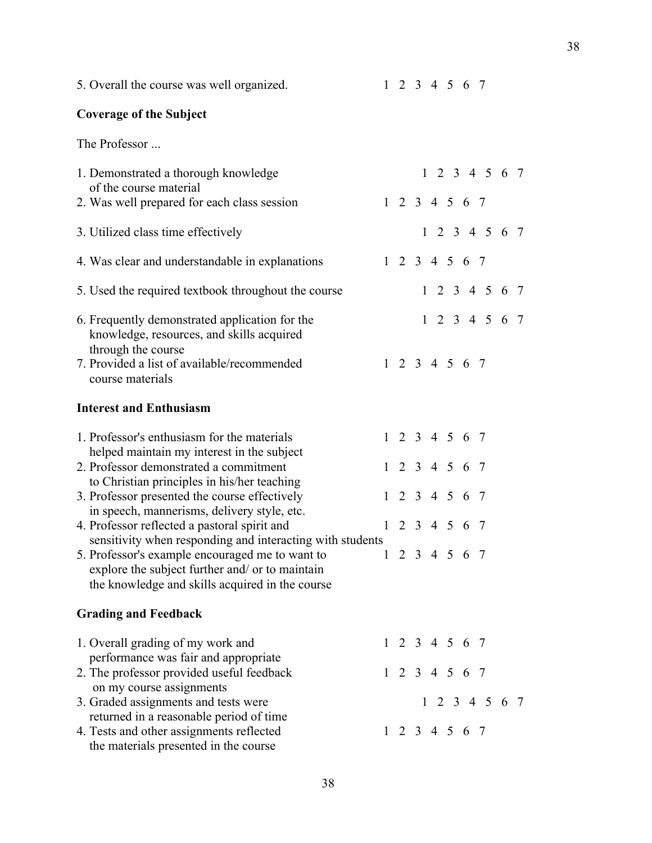| 5. Overall the course was well organized.                                                                                                                                                                                                                          |  |  | $1 \t2 \t3 \t4 \t5 \t6 \t7$                                |                             |  |
|--------------------------------------------------------------------------------------------------------------------------------------------------------------------------------------------------------------------------------------------------------------------|--|--|------------------------------------------------------------|-----------------------------|--|
| <b>Coverage of the Subject</b>                                                                                                                                                                                                                                     |  |  |                                                            |                             |  |
| The Professor                                                                                                                                                                                                                                                      |  |  |                                                            |                             |  |
| 1. Demonstrated a thorough knowledge<br>of the course material<br>2. Was well prepared for each class session                                                                                                                                                      |  |  | $1 \t2 \t3 \t4 \t5 \t6 \t7$                                | $1 \t2 \t3 \t4 \t5 \t6 \t7$ |  |
| 3. Utilized class time effectively                                                                                                                                                                                                                                 |  |  |                                                            | $1 \t2 \t3 \t4 \t5 \t6 \t7$ |  |
| 4. Was clear and understandable in explanations                                                                                                                                                                                                                    |  |  | $1 \t2 \t3 \t4 \t5 \t6 \t7$                                |                             |  |
| 5. Used the required textbook throughout the course                                                                                                                                                                                                                |  |  |                                                            | $1 \t2 \t3 \t4 \t5 \t6 \t7$ |  |
| 6. Frequently demonstrated application for the<br>knowledge, resources, and skills acquired<br>through the course<br>7. Provided a list of available/recommended<br>course materials                                                                               |  |  | $1 \t2 \t3 \t4 \t5 \t6 \t7$                                | $1 \t2 \t3 \t4 \t5 \t6 \t7$ |  |
| <b>Interest and Enthusiasm</b>                                                                                                                                                                                                                                     |  |  |                                                            |                             |  |
| 1. Professor's enthusiasm for the materials<br>helped maintain my interest in the subject<br>2. Professor demonstrated a commitment                                                                                                                                |  |  | $1 \t2 \t3 \t4 \t5 \t6 \t7$<br>$1 \t2 \t3 \t4 \t5 \t6 \t7$ |                             |  |
| to Christian principles in his/her teaching<br>3. Professor presented the course effectively<br>in speech, mannerisms, delivery style, etc.                                                                                                                        |  |  | $1 \t2 \t3 \t4 \t5 \t6 \t7$                                |                             |  |
| 4. Professor reflected a pastoral spirit and<br>sensitivity when responding and interacting with students<br>5. Professor's example encouraged me to want to<br>explore the subject further and/ or to maintain<br>the knowledge and skills acquired in the course |  |  | $1 \t2 \t3 \t4 \t5 \t6 \t7$<br>1 2 3 4 5 6 7               |                             |  |
| <b>Grading and Feedback</b>                                                                                                                                                                                                                                        |  |  |                                                            |                             |  |
| 1. Overall grading of my work and<br>performance was fair and appropriate<br>2. The professor provided useful feedback<br>on my course assignments                                                                                                                 |  |  | $1 \t2 \t3 \t4 \t5 \t6 \t7$<br>$1 \t2 \t3 \t4 \t5 \t6 \t7$ |                             |  |
| 3. Graded assignments and tests were<br>returned in a reasonable period of time<br>4. Tests and other assignments reflected<br>the materials presented in the course                                                                                               |  |  | $1 \t2 \t3 \t4 \t5 \t6 \t7$                                | $1 \t2 \t3 \t4 \t5 \t6 \t7$ |  |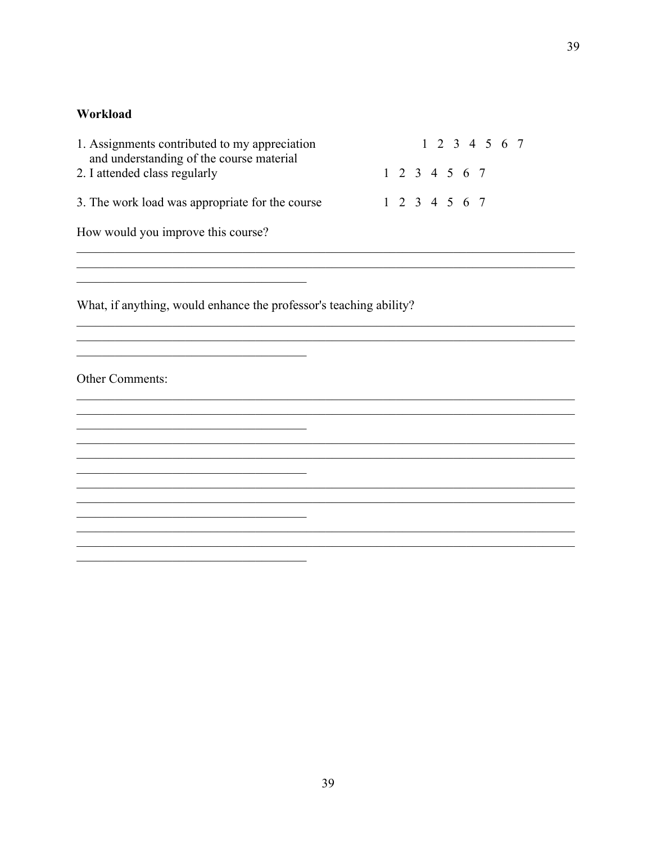#### Workload

| 1. Assignments contributed to my appreciation<br>and understanding of the course material |  | 1 2 3 4 5 6 7 |  |  |  |               |  |  |
|-------------------------------------------------------------------------------------------|--|---------------|--|--|--|---------------|--|--|
| 2. I attended class regularly                                                             |  |               |  |  |  | 1 2 3 4 5 6 7 |  |  |
| 3. The work load was appropriate for the course                                           |  |               |  |  |  | 1 2 3 4 5 6 7 |  |  |
| How would you improve this course?                                                        |  |               |  |  |  |               |  |  |

 $\overline{\phantom{0}}$ 

 $\overline{\phantom{0}}$ 

 $\overline{\phantom{a}}$ 

What, if anything, would enhance the professor's teaching ability?

<u> 1989 - Johann John Stein, markin fan it fjort fan it fjort fan it fjort fan it fjort fan it fjort fan it fjor</u>

<u> 1989 - Johann Stoff, fransk politik (d. 1989)</u>

Other Comments: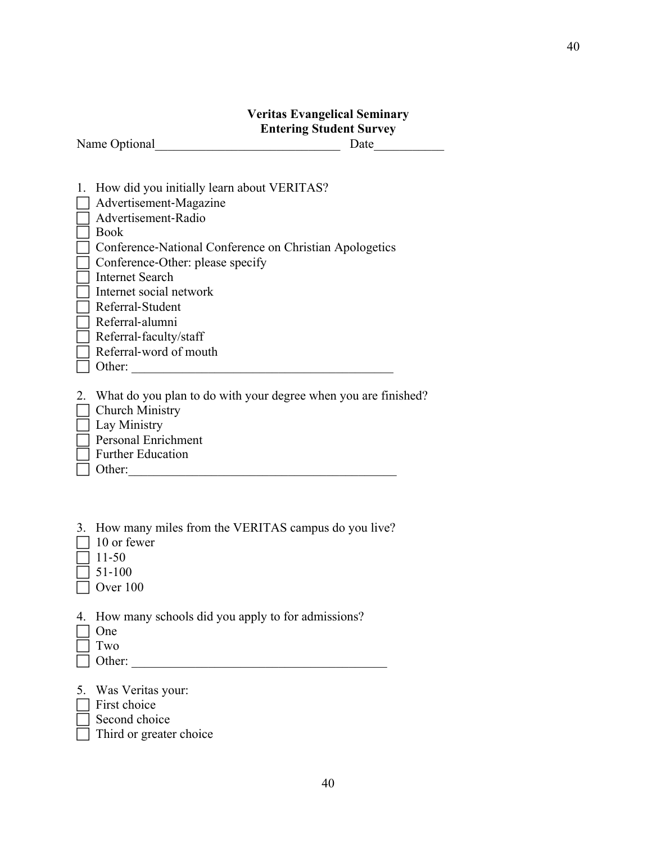### **Veritas Evangelical Seminary Entering Student Survey**

Name Optional Date

| 1. How did you initially learn about VERITAS?           |
|---------------------------------------------------------|
| Advertisement-Magazine                                  |
| Advertisement-Radio                                     |
| <b>Book</b>                                             |
| Conference-National Conference on Christian Apologetics |
| Conference-Other: please specify                        |
| Internet Search                                         |
| Internet social network                                 |
| Referral-Student                                        |
| Referral-alumni                                         |
| Referral-faculty/staff                                  |
| Referral-word of mouth                                  |
| Other:                                                  |
|                                                         |

2. What do you plan to do with your degree when you are finished?

- $\Box$  Church Ministry
- **Lay Ministry**
- Personal Enrichment
- $\Box$  Further Education
- Other:\_\_\_\_\_\_\_\_\_\_\_\_\_\_\_\_\_\_\_\_\_\_\_\_\_\_\_\_\_\_\_\_\_\_\_\_\_\_\_\_\_\_

|  |  |  | 3. How many miles from the VERITAS campus do you live? |
|--|--|--|--------------------------------------------------------|
|--|--|--|--------------------------------------------------------|

- 10 or fewer
- $711-50$
- $\Box$  51-100
- $\Box$  Over 100
- 4. How many schools did you apply to for admissions?
- One
- $\Box$  Two
- $\Box$  Other:
- 5. Was Veritas your:
- $\Box$  First choice
- Second choice
- Third or greater choice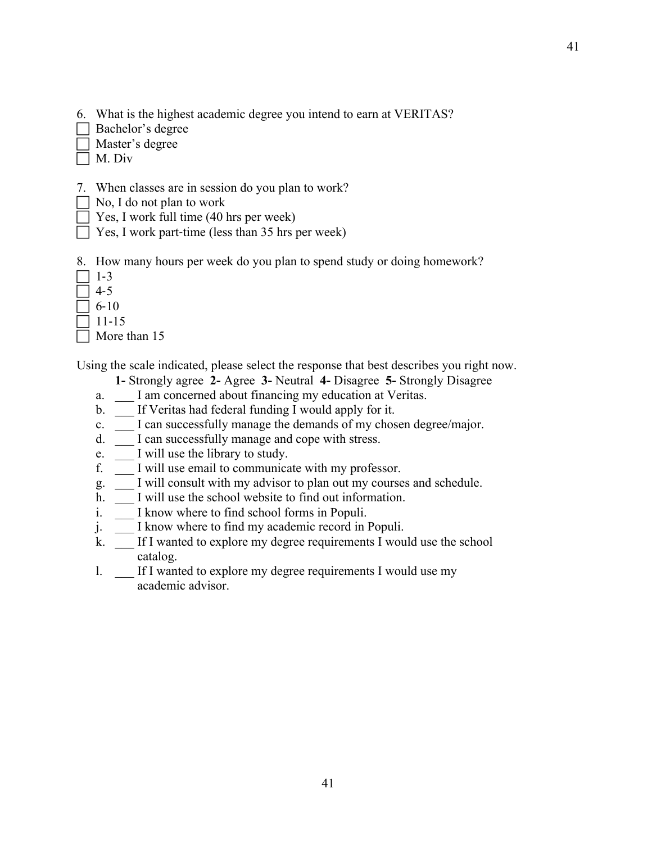- 6. What is the highest academic degree you intend to earn at VERITAS?
- Bachelor's degree
- Master's degree
- M. Div
- 7. When classes are in session do you plan to work?
- $\Box$  No, I do not plan to work
- $\Box$  Yes, I work full time (40 hrs per week)
- $\Box$  Yes, I work part-time (less than 35 hrs per week)
- 8. How many hours per week do you plan to spend study or doing homework?
- $\sqsupset$  1-3
- $\overline{\phantom{0}}$  4-5
- $\Box$  6-10
- 11-15
- More than 15

Using the scale indicated, please select the response that best describes you right now.

- **1-** Strongly agree **2-** Agree **3-** Neutral **4-** Disagree **5-** Strongly Disagree
- a. I am concerned about financing my education at Veritas.
- b. If Veritas had federal funding I would apply for it.
- c. I can successfully manage the demands of my chosen degree/major.
- d. \_\_\_ I can successfully manage and cope with stress.
- e. I will use the library to study.
- f. \_\_\_ I will use email to communicate with my professor.
- g. I will consult with my advisor to plan out my courses and schedule.
- h. I will use the school website to find out information.
- i. I know where to find school forms in Populi.
- j. \_\_\_ I know where to find my academic record in Populi.
- k. \_\_\_ If I wanted to explore my degree requirements I would use the school catalog.
- l. If I wanted to explore my degree requirements I would use my academic advisor.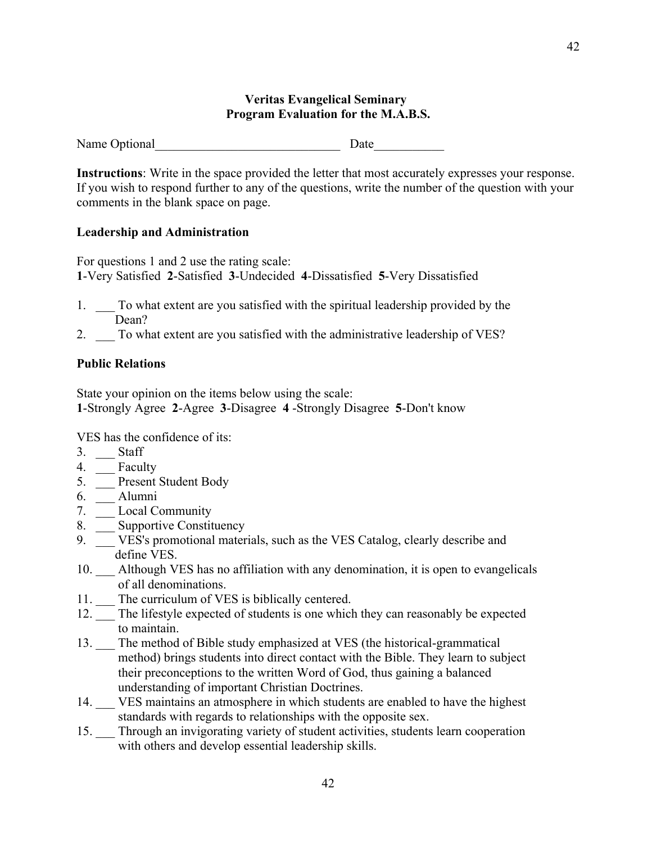#### **Veritas Evangelical Seminary Program Evaluation for the M.A.B.S.**

Name Optional Date

**Instructions**: Write in the space provided the letter that most accurately expresses your response. If you wish to respond further to any of the questions, write the number of the question with your comments in the blank space on page.

#### **Leadership and Administration**

For questions 1 and 2 use the rating scale: **1**-Very Satisfied **2**-Satisfied **3**-Undecided **4**-Dissatisfied **5**-Very Dissatisfied

- 1. \_\_\_ To what extent are you satisfied with the spiritual leadership provided by the Dean?
- 2. \_\_\_ To what extent are you satisfied with the administrative leadership of VES?

#### **Public Relations**

State your opinion on the items below using the scale: **1**-Strongly Agree **2**-Agree **3**-Disagree **4** -Strongly Disagree **5**-Don't know

VES has the confidence of its:

- 3. Staff
- 4. \_\_ Faculty
- 5. \_\_\_ Present Student Body
- 6. \_\_\_ Alumni
- 7. Local Community
- 8. \_\_\_ Supportive Constituency
- 9. \_\_\_ VES's promotional materials, such as the VES Catalog, clearly describe and define VES.
- 10. \_\_\_ Although VES has no affiliation with any denomination, it is open to evangelicals of all denominations.
- 11. The curriculum of VES is biblically centered.
- 12. \_\_\_ The lifestyle expected of students is one which they can reasonably be expected to maintain.
- 13. \_\_\_ The method of Bible study emphasized at VES (the historical-grammatical method) brings students into direct contact with the Bible. They learn to subject their preconceptions to the written Word of God, thus gaining a balanced understanding of important Christian Doctrines.
- 14. VES maintains an atmosphere in which students are enabled to have the highest standards with regards to relationships with the opposite sex.
- 15. Through an invigorating variety of student activities, students learn cooperation with others and develop essential leadership skills.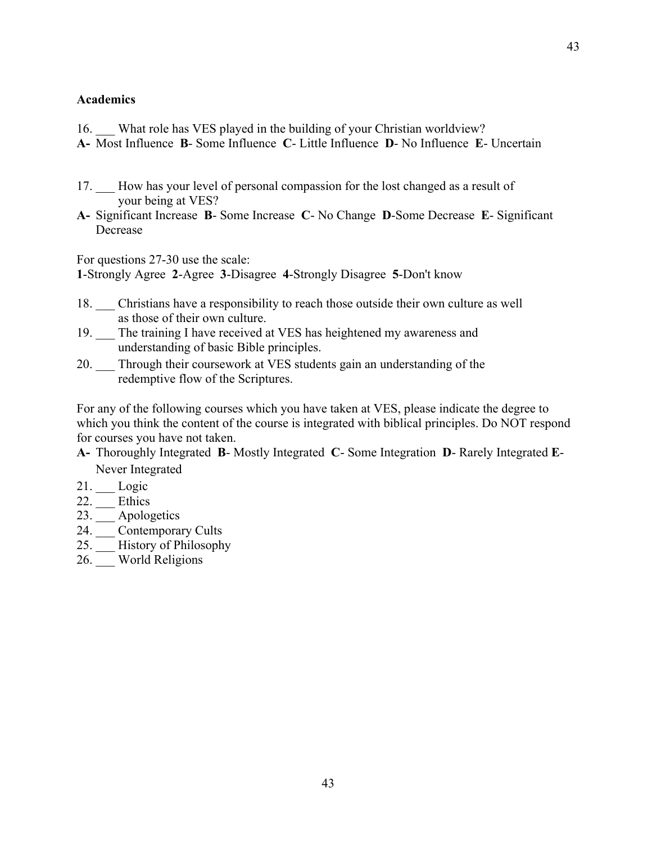#### **Academics**

- 16. What role has VES played in the building of your Christian worldview?
- **A-** Most Influence **B** Some Influence **C** Little Influence **D** No Influence **E** Uncertain
- 17. How has your level of personal compassion for the lost changed as a result of your being at VES?
- **A-** Significant Increase **B** Some Increase **C** No Change **D**-Some Decrease **E** Significant Decrease

For questions 27-30 use the scale: **1**-Strongly Agree **2**-Agree **3**-Disagree **4**-Strongly Disagree **5**-Don't know

- 18. \_\_\_ Christians have a responsibility to reach those outside their own culture as well as those of their own culture.
- 19. \_\_\_ The training I have received at VES has heightened my awareness and understanding of basic Bible principles.
- 20. \_\_\_ Through their coursework at VES students gain an understanding of the redemptive flow of the Scriptures.

For any of the following courses which you have taken at VES, please indicate the degree to which you think the content of the course is integrated with biblical principles. Do NOT respond for courses you have not taken.

- **A-** Thoroughly Integrated **B** Mostly Integrated **C** Some Integration **D** Rarely Integrated **E**-Never Integrated
- 21. Logic
- 22. \_\_\_ Ethics
- 23. \_\_\_ Apologetics
- 24. <del>Contemporary Cults</del>
- 25.  $\frac{1}{\sqrt{25}}$  History of Philosophy
- 26. World Religions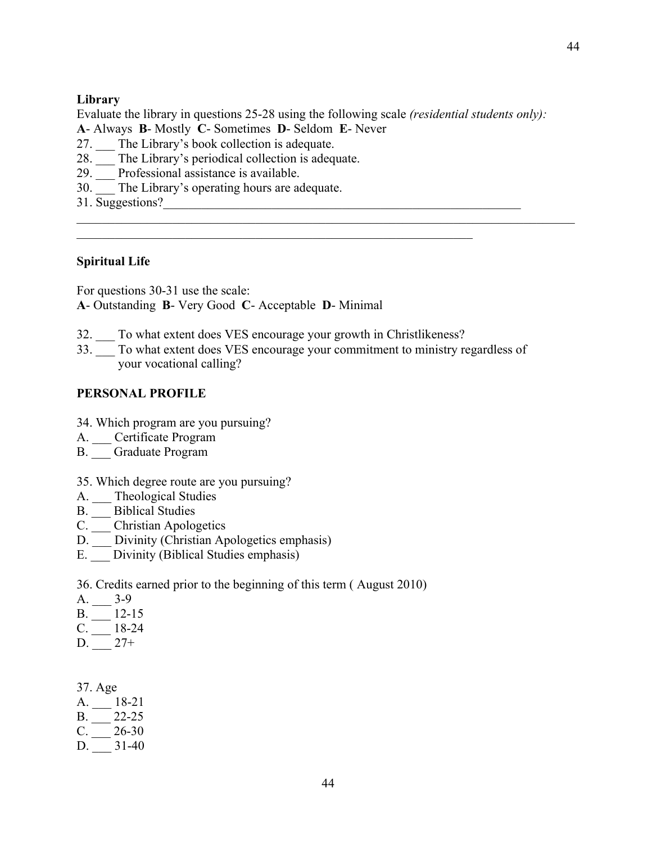#### **Library**

Evaluate the library in questions 25-28 using the following scale *(residential students only):*

- **A** Always **B** Mostly **C** Sometimes **D** Seldom **E** Never
- 27. The Library's book collection is adequate.
- 28. The Library's periodical collection is adequate.
- 29. \_\_\_ Professional assistance is available.
- 30. The Library's operating hours are adequate.
- 31. Suggestions?\_\_\_\_\_\_\_\_\_\_\_\_\_\_\_\_\_\_\_\_\_\_\_\_\_\_\_\_\_\_\_\_\_\_\_\_\_\_\_\_\_\_\_\_\_\_\_\_\_\_\_\_\_\_\_\_

#### **Spiritual Life**

For questions 30-31 use the scale: **A**- Outstanding **B**- Very Good **C**- Acceptable **D**- Minimal

32. \_\_\_ To what extent does VES encourage your growth in Christlikeness?

 $\mathcal{L}_\text{max}$  , and the contribution of the contribution of the contribution of the contribution of the contribution of the contribution of the contribution of the contribution of the contribution of the contribution of t

33. \_\_\_ To what extent does VES encourage your commitment to ministry regardless of your vocational calling?

#### **PERSONAL PROFILE**

- 34. Which program are you pursuing?
- A. Certificate Program
- B. \_\_\_ Graduate Program
- 35. Which degree route are you pursuing?
- A. \_\_ Theological Studies
- B.  $\frac{1}{\sqrt{2}}$  Biblical Studies
- C. \_\_\_ Christian Apologetics
- D. Divinity (Christian Apologetics emphasis)
- E. Divinity (Biblical Studies emphasis)

36. Credits earned prior to the beginning of this term ( August 2010)

- A. 3-9
- $B.$  \_\_\_ 12-15
- $C.$  \_\_\_ 18-24
- $D. \_\_ 27+$

|    | 37. Age |       |
|----|---------|-------|
| А. |         | 18-21 |
| В. |         | 22-25 |
| C. |         | 26-30 |
| D. |         | 31-40 |
|    |         |       |

44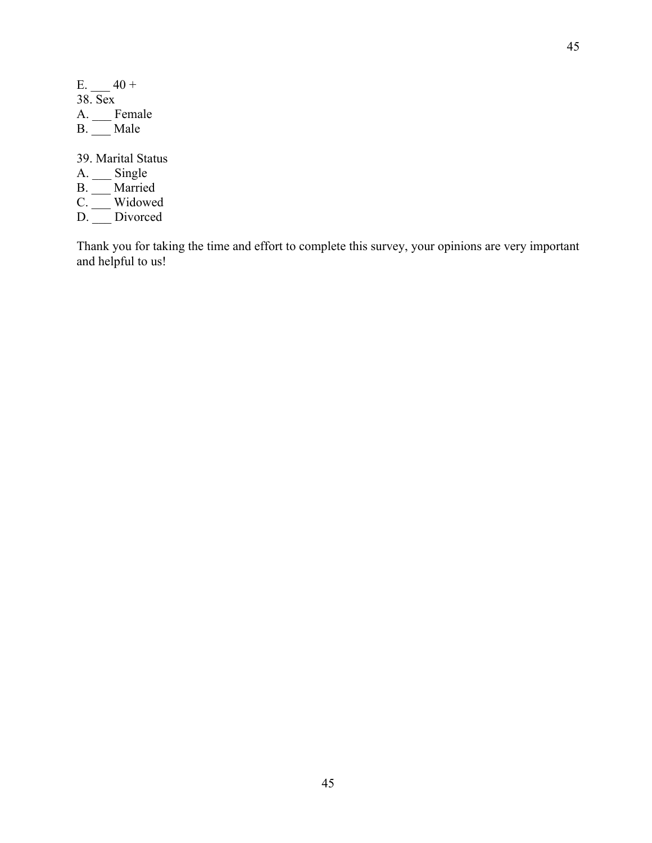| Е.             | $40 +$  |
|----------------|---------|
|                | 38. Sex |
| А.             | Female  |
| B <sub>1</sub> | Male    |
|                |         |

39. Marital Status

- A. Single
- B. Married
- C. \_\_\_ Widowed
- D. Divorced

Thank you for taking the time and effort to complete this survey, your opinions are very important and helpful to us!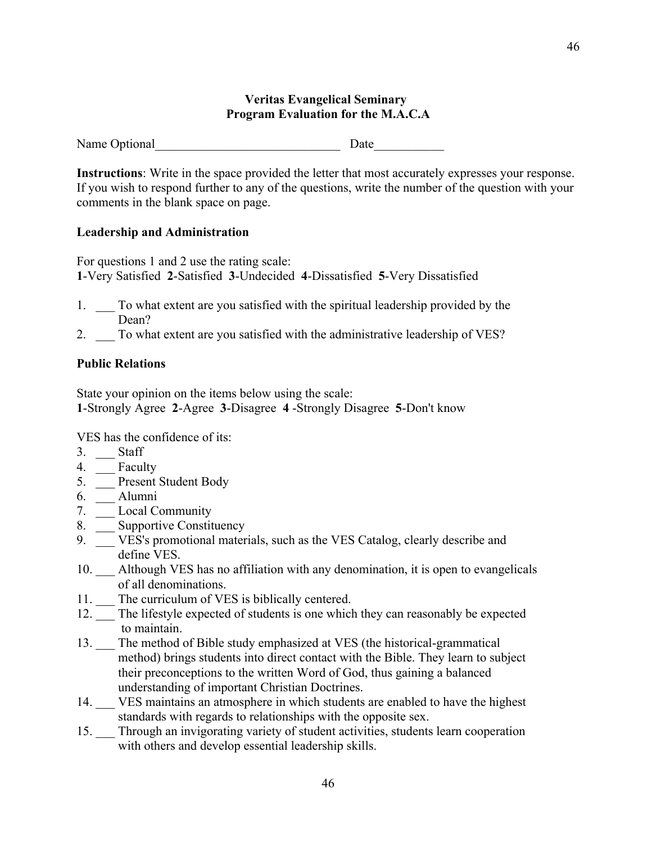#### **Veritas Evangelical Seminary Program Evaluation for the M.A.C.A**

Name Optional Date

**Instructions**: Write in the space provided the letter that most accurately expresses your response. If you wish to respond further to any of the questions, write the number of the question with your comments in the blank space on page.

#### **Leadership and Administration**

For questions 1 and 2 use the rating scale: **1**-Very Satisfied **2**-Satisfied **3**-Undecided **4**-Dissatisfied **5**-Very Dissatisfied

- 1. \_\_\_ To what extent are you satisfied with the spiritual leadership provided by the Dean?
- 2. \_\_\_ To what extent are you satisfied with the administrative leadership of VES?

#### **Public Relations**

State your opinion on the items below using the scale: **1**-Strongly Agree **2**-Agree **3**-Disagree **4** -Strongly Disagree **5**-Don't know

VES has the confidence of its:

- 3. Staff
- 4. **Faculty**
- 5. \_\_\_ Present Student Body
- 6. \_\_\_ Alumni
- 7. \_\_\_ Local Community
- 8. \_\_\_ Supportive Constituency
- 9. \_\_\_ VES's promotional materials, such as the VES Catalog, clearly describe and define VES.
- 10. \_\_\_ Although VES has no affiliation with any denomination, it is open to evangelicals of all denominations.
- 11. The curriculum of VES is biblically centered.
- 12. \_\_\_ The lifestyle expected of students is one which they can reasonably be expected to maintain.
- 13. \_\_\_ The method of Bible study emphasized at VES (the historical-grammatical method) brings students into direct contact with the Bible. They learn to subject their preconceptions to the written Word of God, thus gaining a balanced understanding of important Christian Doctrines.
- 14. VES maintains an atmosphere in which students are enabled to have the highest standards with regards to relationships with the opposite sex.
- 15. Through an invigorating variety of student activities, students learn cooperation with others and develop essential leadership skills.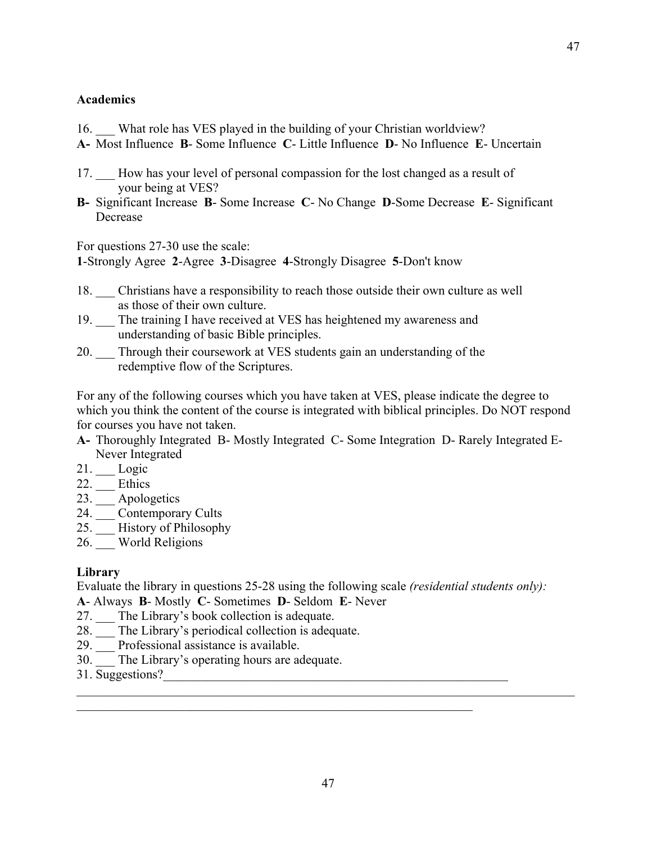#### **Academics**

- 16. What role has VES played in the building of your Christian worldview?
- **A-** Most Influence **B** Some Influence **C** Little Influence **D** No Influence **E** Uncertain
- 17. \_\_\_ How has your level of personal compassion for the lost changed as a result of your being at VES?
- **B-** Significant Increase **B** Some Increase **C** No Change **D**-Some Decrease **E** Significant Decrease

For questions 27-30 use the scale:

**1**-Strongly Agree **2**-Agree **3**-Disagree **4**-Strongly Disagree **5**-Don't know

- 18. Christians have a responsibility to reach those outside their own culture as well as those of their own culture.
- 19. \_\_\_ The training I have received at VES has heightened my awareness and understanding of basic Bible principles.
- 20. \_\_\_ Through their coursework at VES students gain an understanding of the redemptive flow of the Scriptures.

For any of the following courses which you have taken at VES, please indicate the degree to which you think the content of the course is integrated with biblical principles. Do NOT respond for courses you have not taken.

- **A-** Thoroughly Integrated B- Mostly Integrated C- Some Integration D- Rarely Integrated E-Never Integrated
- 21. \_\_\_ Logic
- 22. \_\_\_ Ethics
- 23. Apologetics
- 24. \_\_\_ Contemporary Cults
- 25. \_\_\_ History of Philosophy
- 26. World Religions

#### **Library**

Evaluate the library in questions 25-28 using the following scale *(residential students only):*

**A**- Always **B**- Mostly **C**- Sometimes **D**- Seldom **E**- Never

- 27. \_\_\_ The Library's book collection is adequate.
- 28. \_\_\_ The Library's periodical collection is adequate.
- 29. \_\_\_ Professional assistance is available.
- 30. The Library's operating hours are adequate.
- 31. Suggestions?\_\_\_\_\_\_\_\_\_\_\_\_\_\_\_\_\_\_\_\_\_\_\_\_\_\_\_\_\_\_\_\_\_\_\_\_\_\_\_\_\_\_\_\_\_\_\_\_\_\_\_\_\_\_

 $\mathcal{L}_\mathcal{L} = \{ \mathcal{L}_\mathcal{L} = \{ \mathcal{L}_\mathcal{L} = \{ \mathcal{L}_\mathcal{L} = \{ \mathcal{L}_\mathcal{L} = \{ \mathcal{L}_\mathcal{L} = \{ \mathcal{L}_\mathcal{L} = \{ \mathcal{L}_\mathcal{L} = \{ \mathcal{L}_\mathcal{L} = \{ \mathcal{L}_\mathcal{L} = \{ \mathcal{L}_\mathcal{L} = \{ \mathcal{L}_\mathcal{L} = \{ \mathcal{L}_\mathcal{L} = \{ \mathcal{L}_\mathcal{L} = \{ \mathcal{L}_\mathcal{$ 

 $\mathcal{L}_\text{max}$  , and the contribution of the contribution of the contribution of the contribution of the contribution of the contribution of the contribution of the contribution of the contribution of the contribution of t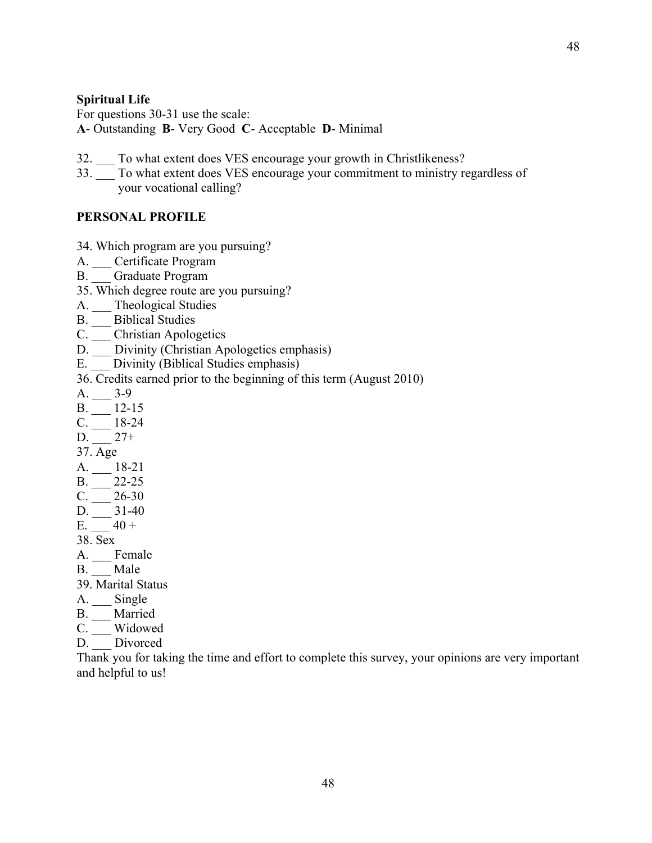#### **Spiritual Life**

For questions 30-31 use the scale: **A**- Outstanding **B**- Very Good **C**- Acceptable **D**- Minimal

- 32. To what extent does VES encourage your growth in Christlikeness?
- 33. \_\_\_ To what extent does VES encourage your commitment to ministry regardless of your vocational calling?

#### **PERSONAL PROFILE**

- 34. Which program are you pursuing?
- A. Certificate Program
- B. Graduate Program
- 35. Which degree route are you pursuing?
- A. \_\_ Theological Studies
- B. Biblical Studies
- C. \_\_\_ Christian Apologetics
- D. \_\_\_ Divinity (Christian Apologetics emphasis)
- E. Divinity (Biblical Studies emphasis)

36. Credits earned prior to the beginning of this term (August 2010)

- $A.$  3-9
- $B.$  \_\_\_\_\_\_\_ 12-15
- $C. \_\_ 18-24$
- $D. \_ 27+$
- 37. Age
- $A. \_\_ 18-21$
- $B.$  \_\_\_\_\_ 22-25
- $C.$   $26-30$
- $D. \_ 31-40$
- E.  $40 +$ 38. Sex
- A. \_\_\_ Female
- B. Male
- 39. Marital Status
- 
- A. \_\_\_ Single
- B. \_\_\_ Married
- C. Widowed
- D. Divorced

Thank you for taking the time and effort to complete this survey, your opinions are very important and helpful to us!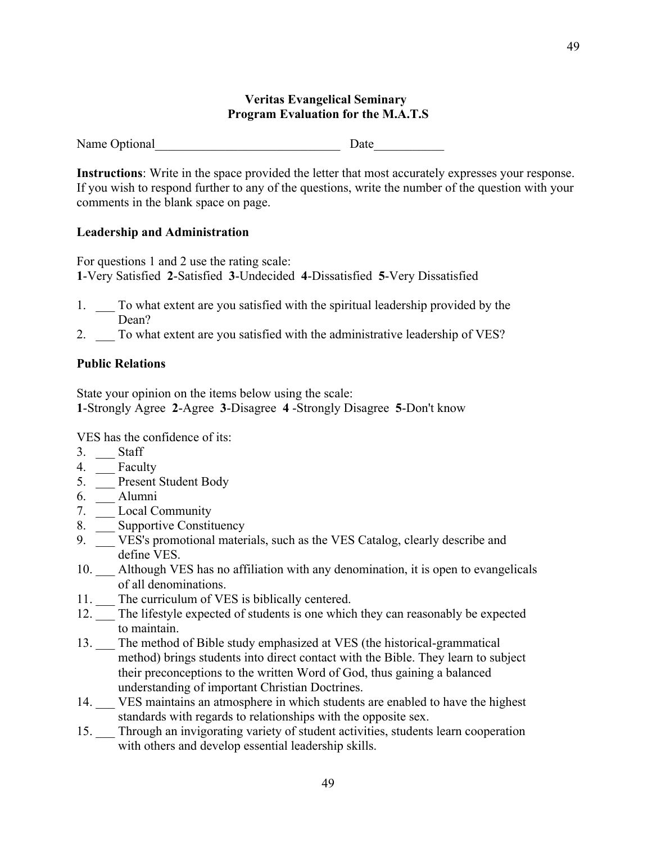#### **Veritas Evangelical Seminary Program Evaluation for the M.A.T.S**

Name Optional Date

**Instructions**: Write in the space provided the letter that most accurately expresses your response. If you wish to respond further to any of the questions, write the number of the question with your comments in the blank space on page.

#### **Leadership and Administration**

For questions 1 and 2 use the rating scale: **1**-Very Satisfied **2**-Satisfied **3**-Undecided **4**-Dissatisfied **5**-Very Dissatisfied

- 1. \_\_\_ To what extent are you satisfied with the spiritual leadership provided by the Dean?
- 2. \_\_\_ To what extent are you satisfied with the administrative leadership of VES?

#### **Public Relations**

State your opinion on the items below using the scale: **1**-Strongly Agree **2**-Agree **3**-Disagree **4** -Strongly Disagree **5**-Don't know

VES has the confidence of its:

- 3. Staff
- 4. \_\_ Faculty
- 5. \_\_\_ Present Student Body
- 6. \_\_\_ Alumni
- 7. \_\_\_ Local Community
- 8. \_\_\_ Supportive Constituency
- 9. \_\_\_ VES's promotional materials, such as the VES Catalog, clearly describe and define VES.
- 10. \_\_\_ Although VES has no affiliation with any denomination, it is open to evangelicals of all denominations.
- 11. The curriculum of VES is biblically centered.
- 12. \_\_\_ The lifestyle expected of students is one which they can reasonably be expected to maintain.
- 13. \_\_\_ The method of Bible study emphasized at VES (the historical-grammatical method) brings students into direct contact with the Bible. They learn to subject their preconceptions to the written Word of God, thus gaining a balanced understanding of important Christian Doctrines.
- 14. VES maintains an atmosphere in which students are enabled to have the highest standards with regards to relationships with the opposite sex.
- 15. Through an invigorating variety of student activities, students learn cooperation with others and develop essential leadership skills.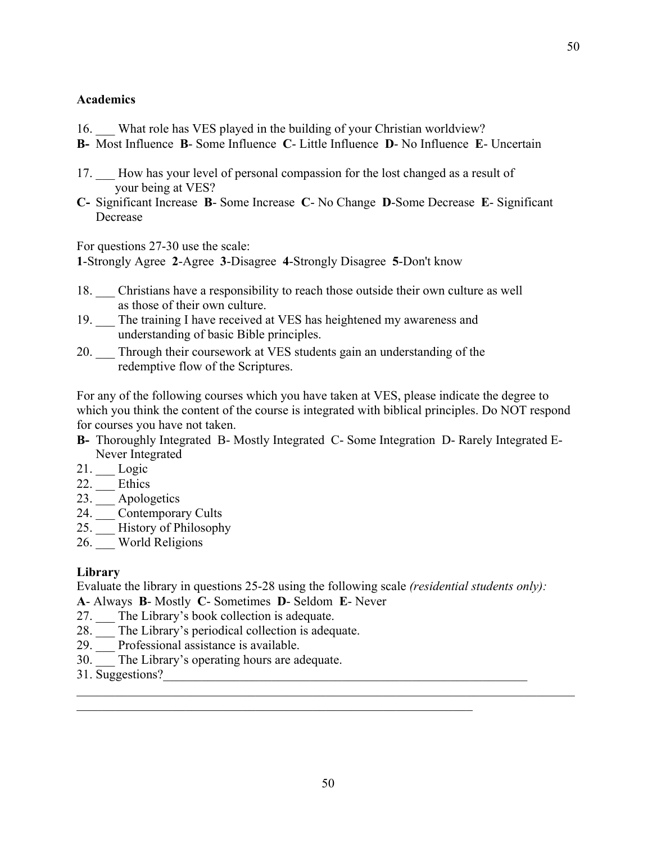#### **Academics**

- 16. What role has VES played in the building of your Christian worldview?
- **B-** Most Influence **B** Some Influence **C** Little Influence **D** No Influence **E** Uncertain
- 17. \_\_\_ How has your level of personal compassion for the lost changed as a result of your being at VES?
- **C-** Significant Increase **B** Some Increase **C** No Change **D**-Some Decrease **E** Significant Decrease

For questions 27-30 use the scale:

**1**-Strongly Agree **2**-Agree **3**-Disagree **4**-Strongly Disagree **5**-Don't know

- 18. Christians have a responsibility to reach those outside their own culture as well as those of their own culture.
- 19. \_\_\_ The training I have received at VES has heightened my awareness and understanding of basic Bible principles.
- 20. \_\_\_ Through their coursework at VES students gain an understanding of the redemptive flow of the Scriptures.

For any of the following courses which you have taken at VES, please indicate the degree to which you think the content of the course is integrated with biblical principles. Do NOT respond for courses you have not taken.

- **B-** Thoroughly Integrated B- Mostly Integrated C- Some Integration D- Rarely Integrated E-Never Integrated
- 21. \_\_\_ Logic
- 22. \_\_\_ Ethics
- 23. Apologetics
- 24. \_\_\_ Contemporary Cults
- 25. \_\_\_ History of Philosophy
- 26. World Religions

#### **Library**

Evaluate the library in questions 25-28 using the following scale *(residential students only):*

**A**- Always **B**- Mostly **C**- Sometimes **D**- Seldom **E**- Never

- 27. \_\_\_ The Library's book collection is adequate.
- 28. \_\_\_ The Library's periodical collection is adequate.
- 29. \_\_\_ Professional assistance is available.
- 30. The Library's operating hours are adequate.
- 31. Suggestions?\_\_\_\_\_\_\_\_\_\_\_\_\_\_\_\_\_\_\_\_\_\_\_\_\_\_\_\_\_\_\_\_\_\_\_\_\_\_\_\_\_\_\_\_\_\_\_\_\_\_\_\_\_\_\_\_\_

 $\mathcal{L}_\mathcal{L} = \{ \mathcal{L}_\mathcal{L} = \{ \mathcal{L}_\mathcal{L} = \{ \mathcal{L}_\mathcal{L} = \{ \mathcal{L}_\mathcal{L} = \{ \mathcal{L}_\mathcal{L} = \{ \mathcal{L}_\mathcal{L} = \{ \mathcal{L}_\mathcal{L} = \{ \mathcal{L}_\mathcal{L} = \{ \mathcal{L}_\mathcal{L} = \{ \mathcal{L}_\mathcal{L} = \{ \mathcal{L}_\mathcal{L} = \{ \mathcal{L}_\mathcal{L} = \{ \mathcal{L}_\mathcal{L} = \{ \mathcal{L}_\mathcal{$ 

 $\mathcal{L}_\text{max}$  , and the contribution of the contribution of the contribution of the contribution of the contribution of the contribution of the contribution of the contribution of the contribution of the contribution of t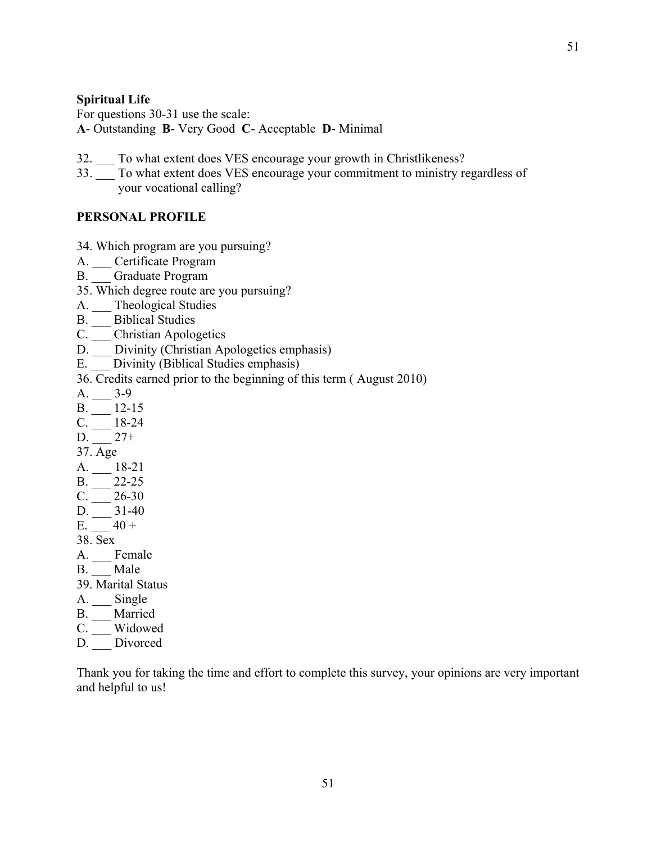#### **Spiritual Life**

For questions 30-31 use the scale: **A**- Outstanding **B**- Very Good **C**- Acceptable **D**- Minimal

- 32. To what extent does VES encourage your growth in Christlikeness?
- 33. \_\_\_ To what extent does VES encourage your commitment to ministry regardless of your vocational calling?

#### **PERSONAL PROFILE**

- 34. Which program are you pursuing?
- A. Certificate Program
- B. Graduate Program
- 35. Which degree route are you pursuing?
- A. \_\_\_ Theological Studies
- B. Biblical Studies
- C. \_\_\_ Christian Apologetics
- D. \_\_\_ Divinity (Christian Apologetics emphasis)
- E. Divinity (Biblical Studies emphasis)
- 36. Credits earned prior to the beginning of this term ( August 2010)
- $A.$  3-9
- $B.$  \_\_\_\_\_\_\_ 12-15
- $C. \_\_ 18-24$
- $D. \_ 27+$
- 37. Age
- $A. \_\_ 18-21$
- $B.$  \_\_\_\_\_ 22-25
- $C.$   $26-30$
- $D. \_ 31-40$ E.  $40 +$
- 38. Sex
- A. \_\_\_ Female
- B. Male
- 39. Marital Status
- A. \_\_\_ Single
- B. \_\_\_ Married
- C. Widowed
- D. \_\_\_ Divorced

Thank you for taking the time and effort to complete this survey, your opinions are very important and helpful to us!

51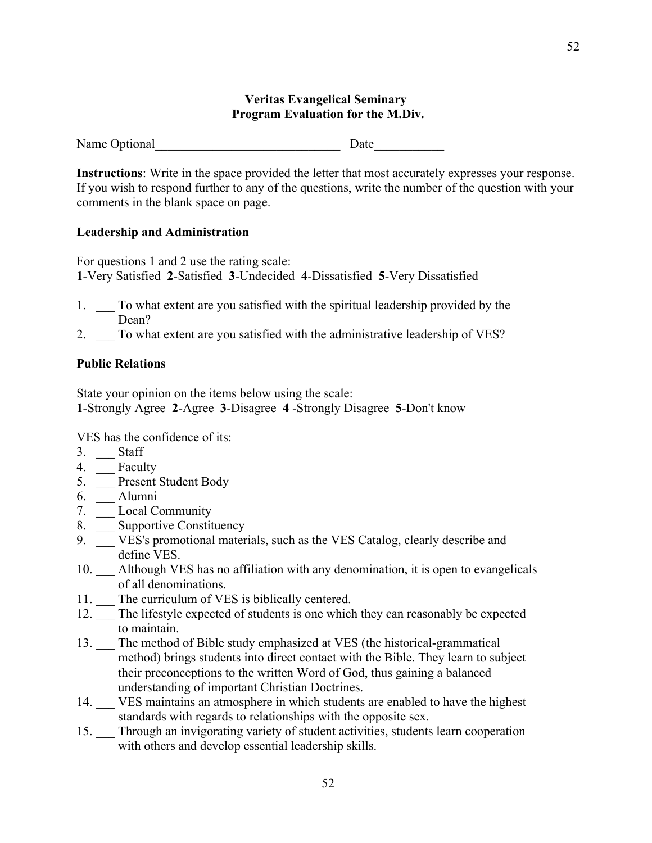#### **Veritas Evangelical Seminary Program Evaluation for the M.Div.**

Name Optional Date

**Instructions**: Write in the space provided the letter that most accurately expresses your response. If you wish to respond further to any of the questions, write the number of the question with your comments in the blank space on page.

#### **Leadership and Administration**

For questions 1 and 2 use the rating scale: **1**-Very Satisfied **2**-Satisfied **3**-Undecided **4**-Dissatisfied **5**-Very Dissatisfied

- 1. \_\_\_ To what extent are you satisfied with the spiritual leadership provided by the Dean?
- 2. \_\_\_ To what extent are you satisfied with the administrative leadership of VES?

#### **Public Relations**

State your opinion on the items below using the scale: **1**-Strongly Agree **2**-Agree **3**-Disagree **4** -Strongly Disagree **5**-Don't know

VES has the confidence of its:

- 3. Staff
- 4. **Faculty**
- 5. \_\_\_ Present Student Body
- 6. \_\_\_ Alumni
- 7. \_\_\_ Local Community
- 8. \_\_\_ Supportive Constituency
- 9. \_\_\_ VES's promotional materials, such as the VES Catalog, clearly describe and define VES.
- 10. \_\_\_ Although VES has no affiliation with any denomination, it is open to evangelicals of all denominations.
- 11. The curriculum of VES is biblically centered.
- 12. \_\_\_ The lifestyle expected of students is one which they can reasonably be expected to maintain.
- 13. \_\_\_ The method of Bible study emphasized at VES (the historical-grammatical method) brings students into direct contact with the Bible. They learn to subject their preconceptions to the written Word of God, thus gaining a balanced understanding of important Christian Doctrines.
- 14. VES maintains an atmosphere in which students are enabled to have the highest standards with regards to relationships with the opposite sex.
- 15. Through an invigorating variety of student activities, students learn cooperation with others and develop essential leadership skills.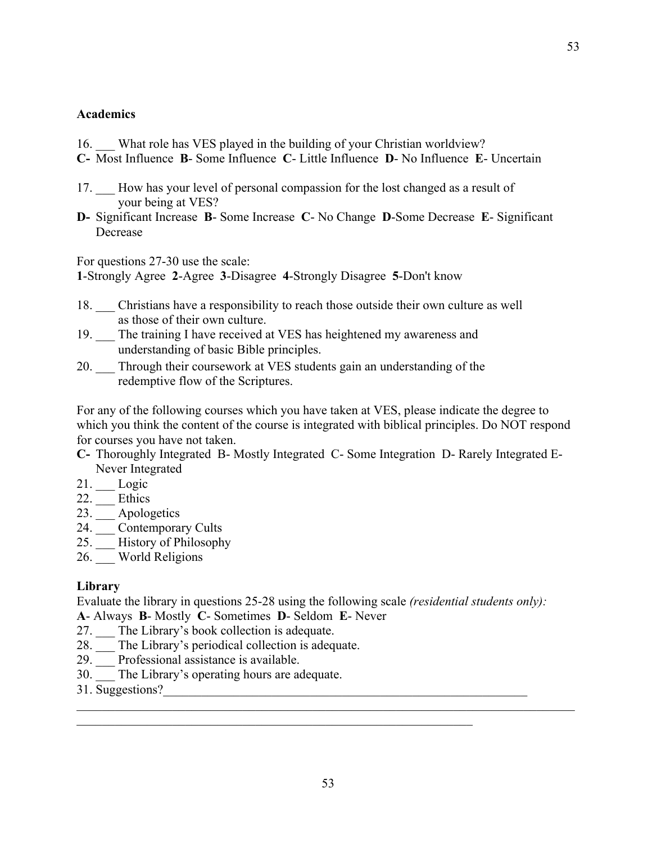#### **Academics**

- 16. What role has VES played in the building of your Christian worldview?
- **C-** Most Influence **B** Some Influence **C** Little Influence **D** No Influence **E** Uncertain
- 17. How has your level of personal compassion for the lost changed as a result of your being at VES?
- **D-** Significant Increase **B** Some Increase **C** No Change **D**-Some Decrease **E** Significant Decrease

For questions 27-30 use the scale:

**1**-Strongly Agree **2**-Agree **3**-Disagree **4**-Strongly Disagree **5**-Don't know

- 18. \_\_\_ Christians have a responsibility to reach those outside their own culture as well as those of their own culture.
- 19. The training I have received at VES has heightened my awareness and understanding of basic Bible principles.
- 20. \_\_\_ Through their coursework at VES students gain an understanding of the redemptive flow of the Scriptures.

For any of the following courses which you have taken at VES, please indicate the degree to which you think the content of the course is integrated with biblical principles. Do NOT respond for courses you have not taken.

- **C-** Thoroughly Integrated B- Mostly Integrated C- Some Integration D- Rarely Integrated E-Never Integrated
- 21. \_\_\_ Logic
- 22. \_\_\_ Ethics
- 23. \_\_\_ Apologetics
- 24. \_\_\_ Contemporary Cults
- 25. \_\_\_ History of Philosophy
- 26. World Religions

#### **Library**

Evaluate the library in questions 25-28 using the following scale *(residential students only):*

**A**- Always **B**- Mostly **C**- Sometimes **D**- Seldom **E**- Never

- 27. \_\_\_ The Library's book collection is adequate.
- 28. \_\_\_ The Library's periodical collection is adequate.
- 29. \_\_\_ Professional assistance is available.
- 30. The Library's operating hours are adequate.
- 31. Suggestions?

53

 $\mathcal{L}_\mathcal{L} = \{ \mathcal{L}_\mathcal{L} = \{ \mathcal{L}_\mathcal{L} = \{ \mathcal{L}_\mathcal{L} = \{ \mathcal{L}_\mathcal{L} = \{ \mathcal{L}_\mathcal{L} = \{ \mathcal{L}_\mathcal{L} = \{ \mathcal{L}_\mathcal{L} = \{ \mathcal{L}_\mathcal{L} = \{ \mathcal{L}_\mathcal{L} = \{ \mathcal{L}_\mathcal{L} = \{ \mathcal{L}_\mathcal{L} = \{ \mathcal{L}_\mathcal{L} = \{ \mathcal{L}_\mathcal{L} = \{ \mathcal{L}_\mathcal{$ 

 $\mathcal{L}_\text{max}$  , and the contribution of the contribution of the contribution of the contribution of the contribution of the contribution of the contribution of the contribution of the contribution of the contribution of t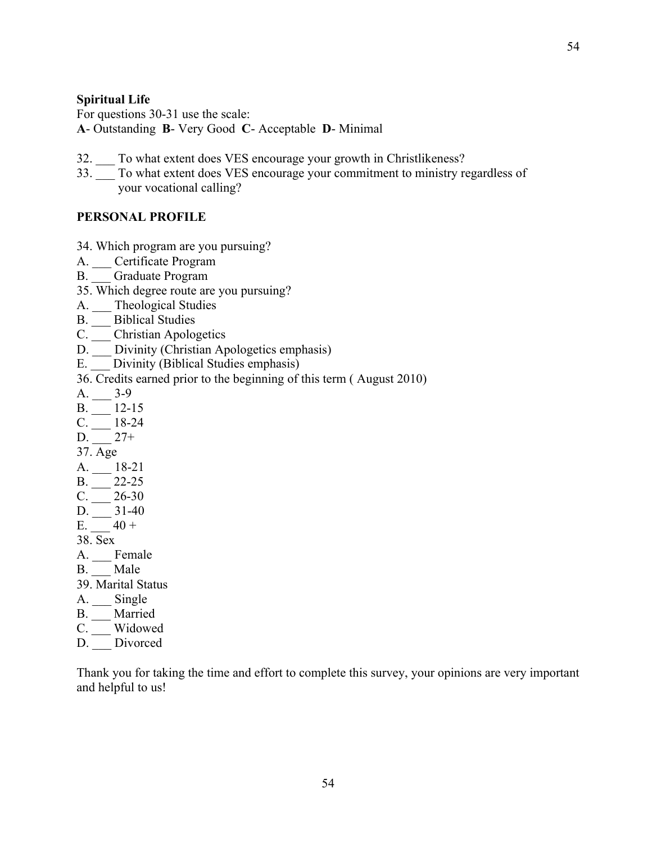#### **Spiritual Life**

For questions 30-31 use the scale: **A**- Outstanding **B**- Very Good **C**- Acceptable **D**- Minimal

- 32. To what extent does VES encourage your growth in Christlikeness?
- 33. \_\_\_ To what extent does VES encourage your commitment to ministry regardless of your vocational calling?

#### **PERSONAL PROFILE**

- 34. Which program are you pursuing?
- A. Certificate Program
- B. Graduate Program
- 35. Which degree route are you pursuing?
- A. \_\_\_ Theological Studies
- B. Biblical Studies
- C.  $\frac{\ }{\ }$  Christian Apologetics
- D. \_\_\_ Divinity (Christian Apologetics emphasis)
- E. Divinity (Biblical Studies emphasis)
- 36. Credits earned prior to the beginning of this term ( August 2010)
- $A.$  3-9
- $B.$  \_\_\_\_\_\_\_ 12-15
- $C. \_\_ 18-24$
- $D. \_ 27+$
- 37. Age
- $A. \_\_ 18-21$
- $B.$  \_\_\_\_\_ 22-25
- $C.$   $26-30$
- $D. \_ 31-40$
- E.  $40 +$ 38. Sex
- A. \_\_\_ Female
- B. Male
- 39. Marital Status
- A. \_\_\_ Single
- B. \_\_\_ Married
- C. Widowed
- D. \_\_\_ Divorced

Thank you for taking the time and effort to complete this survey, your opinions are very important and helpful to us!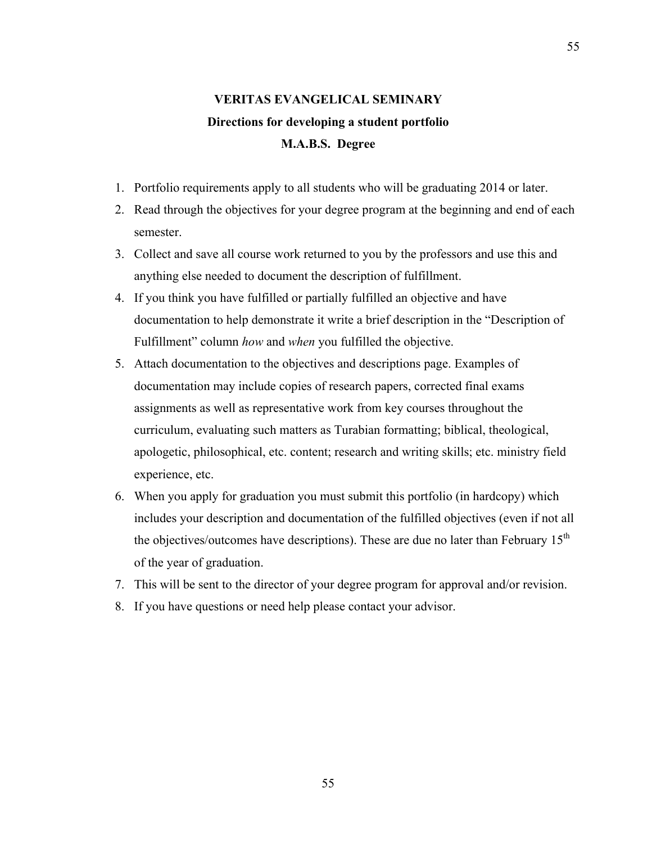# **VERITAS EVANGELICAL SEMINARY Directions for developing a student portfolio M.A.B.S. Degree**

- 1. Portfolio requirements apply to all students who will be graduating 2014 or later.
- 2. Read through the objectives for your degree program at the beginning and end of each semester.
- 3. Collect and save all course work returned to you by the professors and use this and anything else needed to document the description of fulfillment.
- 4. If you think you have fulfilled or partially fulfilled an objective and have documentation to help demonstrate it write a brief description in the "Description of Fulfillment" column *how* and *when* you fulfilled the objective.
- 5. Attach documentation to the objectives and descriptions page. Examples of documentation may include copies of research papers, corrected final exams assignments as well as representative work from key courses throughout the curriculum, evaluating such matters as Turabian formatting; biblical, theological, apologetic, philosophical, etc. content; research and writing skills; etc. ministry field experience, etc.
- 6. When you apply for graduation you must submit this portfolio (in hardcopy) which includes your description and documentation of the fulfilled objectives (even if not all the objectives/outcomes have descriptions). These are due no later than February 15<sup>th</sup> of the year of graduation.
- 7. This will be sent to the director of your degree program for approval and/or revision.
- 8. If you have questions or need help please contact your advisor.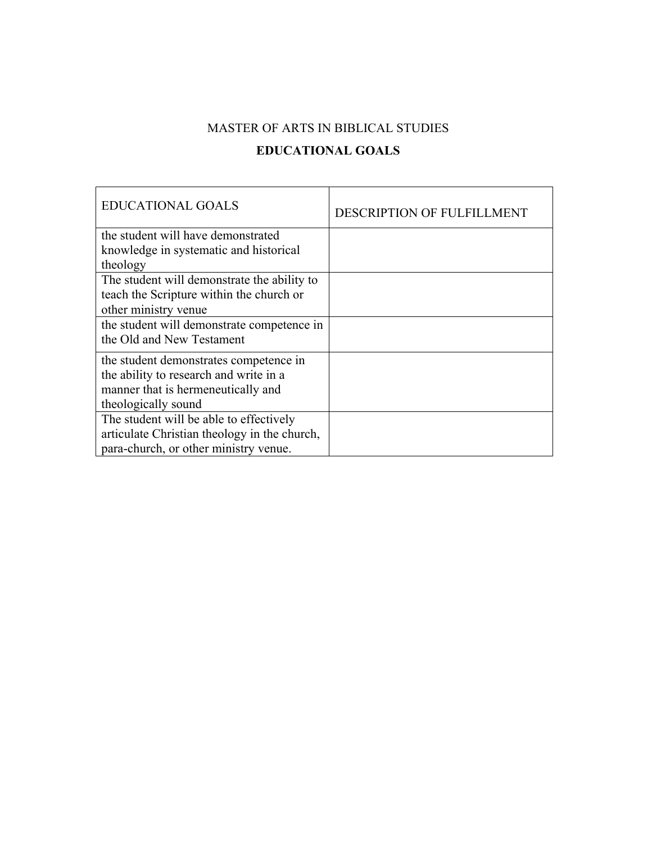# MASTER OF ARTS IN BIBLICAL STUDIES **EDUCATIONAL GOALS**

| <b>EDUCATIONAL GOALS</b>                     | DESCRIPTION OF FULFILLMENT |
|----------------------------------------------|----------------------------|
| the student will have demonstrated           |                            |
| knowledge in systematic and historical       |                            |
| theology                                     |                            |
| The student will demonstrate the ability to  |                            |
| teach the Scripture within the church or     |                            |
| other ministry venue                         |                            |
| the student will demonstrate competence in   |                            |
| the Old and New Testament                    |                            |
| the student demonstrates competence in       |                            |
| the ability to research and write in a       |                            |
| manner that is hermeneutically and           |                            |
| theologically sound                          |                            |
| The student will be able to effectively      |                            |
| articulate Christian theology in the church, |                            |
| para-church, or other ministry venue.        |                            |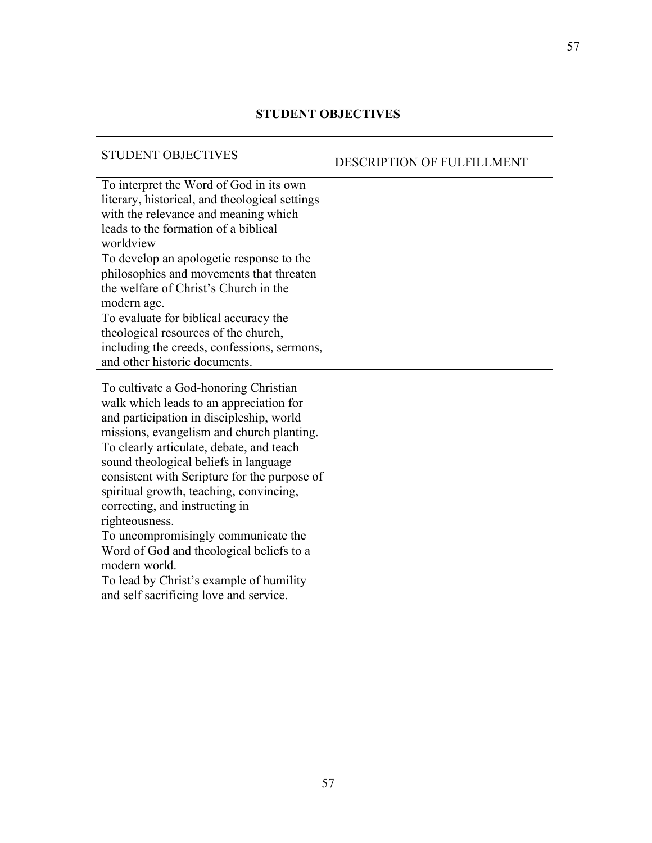## **STUDENT OBJECTIVES**

| <b>STUDENT OBJECTIVES</b>                                                               | <b>DESCRIPTION OF FULFILLMENT</b> |
|-----------------------------------------------------------------------------------------|-----------------------------------|
| To interpret the Word of God in its own                                                 |                                   |
| literary, historical, and theological settings                                          |                                   |
| with the relevance and meaning which<br>leads to the formation of a biblical            |                                   |
| worldview                                                                               |                                   |
| To develop an apologetic response to the                                                |                                   |
| philosophies and movements that threaten                                                |                                   |
| the welfare of Christ's Church in the                                                   |                                   |
| modern age.                                                                             |                                   |
| To evaluate for biblical accuracy the                                                   |                                   |
| theological resources of the church,                                                    |                                   |
| including the creeds, confessions, sermons,                                             |                                   |
| and other historic documents.                                                           |                                   |
| To cultivate a God-honoring Christian                                                   |                                   |
| walk which leads to an appreciation for                                                 |                                   |
| and participation in discipleship, world                                                |                                   |
| missions, evangelism and church planting.                                               |                                   |
| To clearly articulate, debate, and teach                                                |                                   |
| sound theological beliefs in language                                                   |                                   |
| consistent with Scripture for the purpose of<br>spiritual growth, teaching, convincing, |                                   |
| correcting, and instructing in                                                          |                                   |
| righteousness.                                                                          |                                   |
| To uncompromisingly communicate the                                                     |                                   |
| Word of God and theological beliefs to a                                                |                                   |
| modern world.                                                                           |                                   |
| To lead by Christ's example of humility                                                 |                                   |
| and self sacrificing love and service.                                                  |                                   |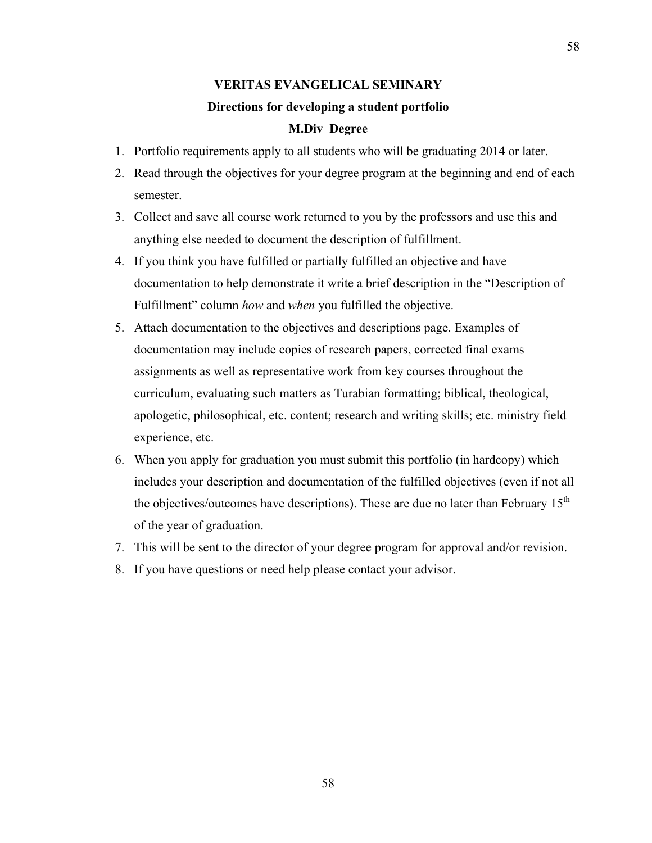# **VERITAS EVANGELICAL SEMINARY Directions for developing a student portfolio M.Div Degree**

- 1. Portfolio requirements apply to all students who will be graduating 2014 or later.
- 2. Read through the objectives for your degree program at the beginning and end of each semester.
- 3. Collect and save all course work returned to you by the professors and use this and anything else needed to document the description of fulfillment.
- 4. If you think you have fulfilled or partially fulfilled an objective and have documentation to help demonstrate it write a brief description in the "Description of Fulfillment" column *how* and *when* you fulfilled the objective.
- 5. Attach documentation to the objectives and descriptions page. Examples of documentation may include copies of research papers, corrected final exams assignments as well as representative work from key courses throughout the curriculum, evaluating such matters as Turabian formatting; biblical, theological, apologetic, philosophical, etc. content; research and writing skills; etc. ministry field experience, etc.
- 6. When you apply for graduation you must submit this portfolio (in hardcopy) which includes your description and documentation of the fulfilled objectives (even if not all the objectives/outcomes have descriptions). These are due no later than February  $15<sup>th</sup>$ of the year of graduation.
- 7. This will be sent to the director of your degree program for approval and/or revision.
- 8. If you have questions or need help please contact your advisor.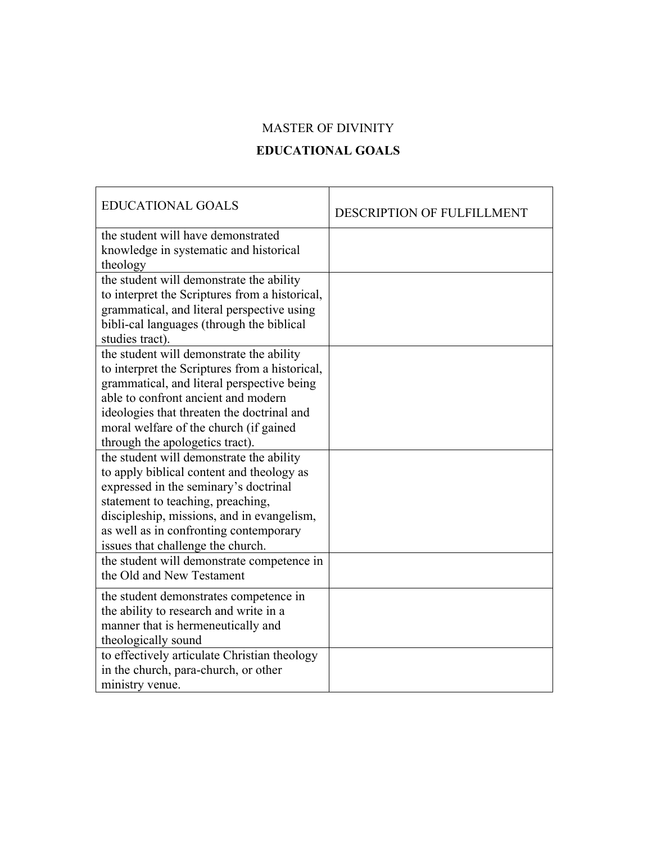### MASTER OF DIVINITY

### **EDUCATIONAL GOALS**

| <b>EDUCATIONAL GOALS</b>                                                                                                                                                                                                                                                                                   | <b>DESCRIPTION OF FULFILLMENT</b> |
|------------------------------------------------------------------------------------------------------------------------------------------------------------------------------------------------------------------------------------------------------------------------------------------------------------|-----------------------------------|
| the student will have demonstrated<br>knowledge in systematic and historical<br>theology                                                                                                                                                                                                                   |                                   |
| the student will demonstrate the ability<br>to interpret the Scriptures from a historical,<br>grammatical, and literal perspective using<br>bibli-cal languages (through the biblical<br>studies tract).                                                                                                   |                                   |
| the student will demonstrate the ability<br>to interpret the Scriptures from a historical,<br>grammatical, and literal perspective being<br>able to confront ancient and modern<br>ideologies that threaten the doctrinal and<br>moral welfare of the church (if gained<br>through the apologetics tract). |                                   |
| the student will demonstrate the ability<br>to apply biblical content and theology as<br>expressed in the seminary's doctrinal<br>statement to teaching, preaching,<br>discipleship, missions, and in evangelism,<br>as well as in confronting contemporary<br>issues that challenge the church.           |                                   |
| the student will demonstrate competence in<br>the Old and New Testament                                                                                                                                                                                                                                    |                                   |
| the student demonstrates competence in<br>the ability to research and write in a<br>manner that is hermeneutically and<br>theologically sound                                                                                                                                                              |                                   |
| to effectively articulate Christian theology<br>in the church, para-church, or other<br>ministry venue.                                                                                                                                                                                                    |                                   |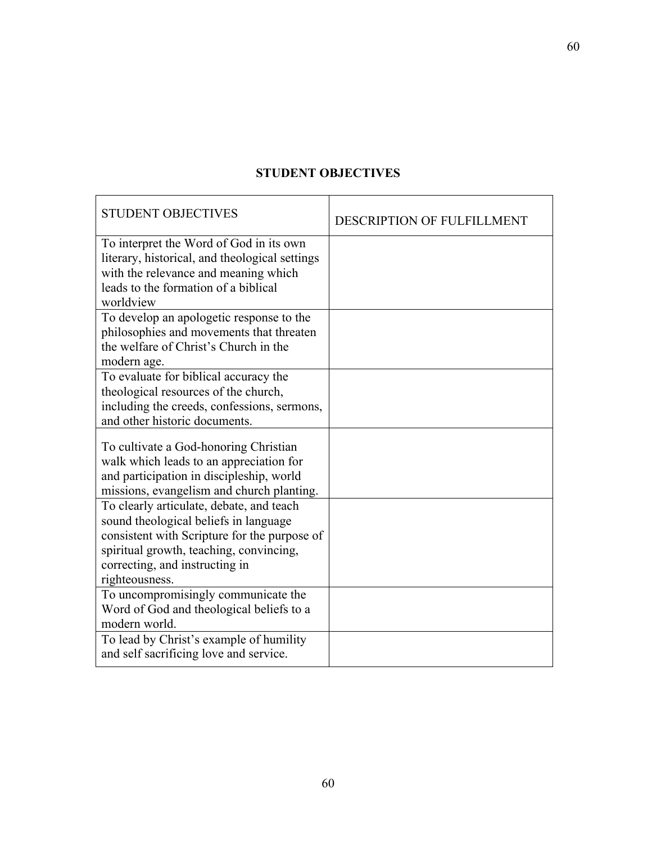### **STUDENT OBJECTIVES**

| <b>STUDENT OBJECTIVES</b>                                                                                                                                                                                                        | DESCRIPTION OF FULFILLMENT |
|----------------------------------------------------------------------------------------------------------------------------------------------------------------------------------------------------------------------------------|----------------------------|
| To interpret the Word of God in its own<br>literary, historical, and theological settings<br>with the relevance and meaning which<br>leads to the formation of a biblical<br>worldview                                           |                            |
| To develop an apologetic response to the<br>philosophies and movements that threaten<br>the welfare of Christ's Church in the<br>modern age.                                                                                     |                            |
| To evaluate for biblical accuracy the<br>theological resources of the church,<br>including the creeds, confessions, sermons,<br>and other historic documents.                                                                    |                            |
| To cultivate a God-honoring Christian<br>walk which leads to an appreciation for<br>and participation in discipleship, world<br>missions, evangelism and church planting.                                                        |                            |
| To clearly articulate, debate, and teach<br>sound theological beliefs in language<br>consistent with Scripture for the purpose of<br>spiritual growth, teaching, convincing,<br>correcting, and instructing in<br>righteousness. |                            |
| To uncompromisingly communicate the<br>Word of God and theological beliefs to a<br>modern world.                                                                                                                                 |                            |
| To lead by Christ's example of humility<br>and self sacrificing love and service.                                                                                                                                                |                            |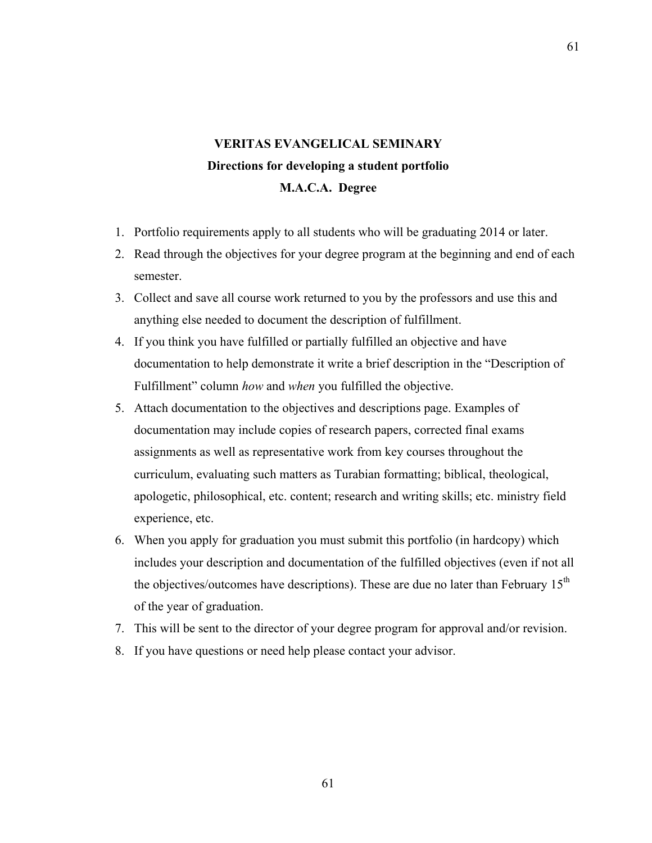# **VERITAS EVANGELICAL SEMINARY Directions for developing a student portfolio M.A.C.A. Degree**

- 1. Portfolio requirements apply to all students who will be graduating 2014 or later.
- 2. Read through the objectives for your degree program at the beginning and end of each semester.
- 3. Collect and save all course work returned to you by the professors and use this and anything else needed to document the description of fulfillment.
- 4. If you think you have fulfilled or partially fulfilled an objective and have documentation to help demonstrate it write a brief description in the "Description of Fulfillment" column *how* and *when* you fulfilled the objective.
- 5. Attach documentation to the objectives and descriptions page. Examples of documentation may include copies of research papers, corrected final exams assignments as well as representative work from key courses throughout the curriculum, evaluating such matters as Turabian formatting; biblical, theological, apologetic, philosophical, etc. content; research and writing skills; etc. ministry field experience, etc.
- 6. When you apply for graduation you must submit this portfolio (in hardcopy) which includes your description and documentation of the fulfilled objectives (even if not all the objectives/outcomes have descriptions). These are due no later than February  $15<sup>th</sup>$ of the year of graduation.
- 7. This will be sent to the director of your degree program for approval and/or revision.
- 8. If you have questions or need help please contact your advisor.

61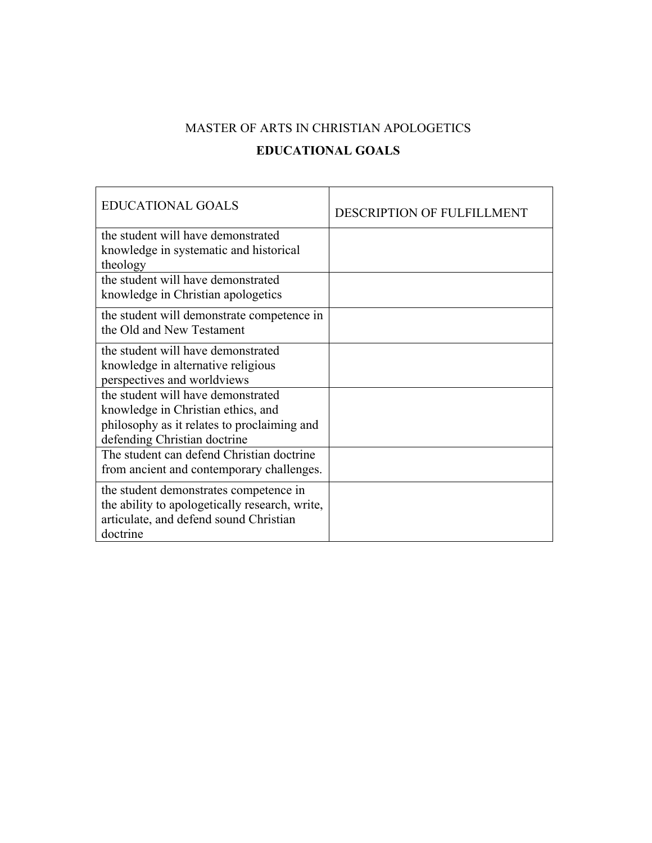# MASTER OF ARTS IN CHRISTIAN APOLOGETICS **EDUCATIONAL GOALS**

| <b>EDUCATIONAL GOALS</b>                                                                                                                                | <b>DESCRIPTION OF FULFILLMENT</b> |
|---------------------------------------------------------------------------------------------------------------------------------------------------------|-----------------------------------|
| the student will have demonstrated<br>knowledge in systematic and historical                                                                            |                                   |
| theology<br>the student will have demonstrated<br>knowledge in Christian apologetics                                                                    |                                   |
| the student will demonstrate competence in<br>the Old and New Testament                                                                                 |                                   |
| the student will have demonstrated<br>knowledge in alternative religious<br>perspectives and worldviews                                                 |                                   |
| the student will have demonstrated<br>knowledge in Christian ethics, and<br>philosophy as it relates to proclaiming and<br>defending Christian doctrine |                                   |
| The student can defend Christian doctrine<br>from ancient and contemporary challenges.                                                                  |                                   |
| the student demonstrates competence in<br>the ability to apologetically research, write,<br>articulate, and defend sound Christian<br>doctrine          |                                   |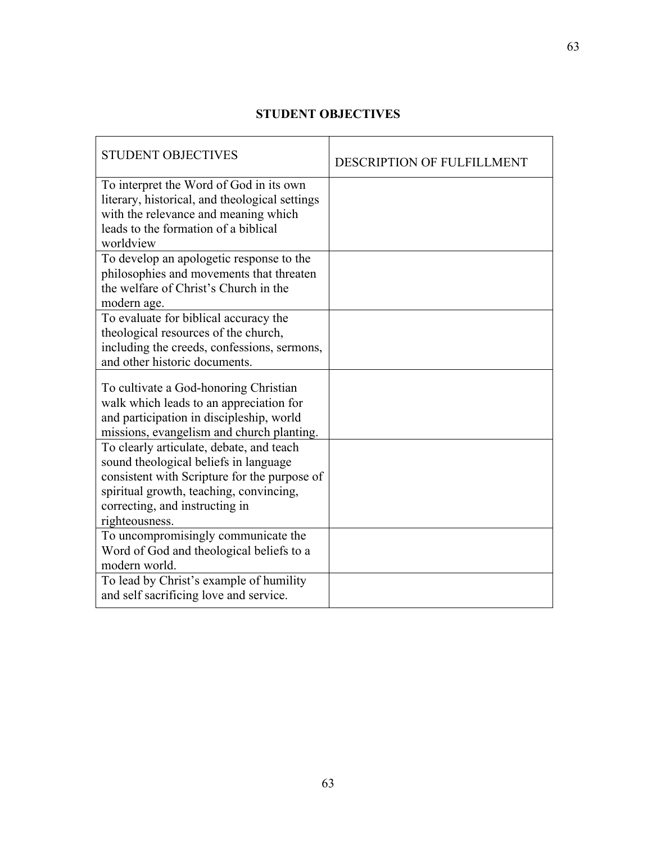## **STUDENT OBJECTIVES**

| <b>STUDENT OBJECTIVES</b>                                                                 | <b>DESCRIPTION OF FULFILLMENT</b> |
|-------------------------------------------------------------------------------------------|-----------------------------------|
| To interpret the Word of God in its own<br>literary, historical, and theological settings |                                   |
| with the relevance and meaning which<br>leads to the formation of a biblical              |                                   |
| worldview                                                                                 |                                   |
| To develop an apologetic response to the<br>philosophies and movements that threaten      |                                   |
| the welfare of Christ's Church in the                                                     |                                   |
| modern age.                                                                               |                                   |
| To evaluate for biblical accuracy the<br>theological resources of the church,             |                                   |
| including the creeds, confessions, sermons,                                               |                                   |
| and other historic documents.                                                             |                                   |
| To cultivate a God-honoring Christian                                                     |                                   |
| walk which leads to an appreciation for<br>and participation in discipleship, world       |                                   |
| missions, evangelism and church planting.                                                 |                                   |
| To clearly articulate, debate, and teach                                                  |                                   |
| sound theological beliefs in language<br>consistent with Scripture for the purpose of     |                                   |
| spiritual growth, teaching, convincing,                                                   |                                   |
| correcting, and instructing in<br>righteousness.                                          |                                   |
| To uncompromisingly communicate the                                                       |                                   |
| Word of God and theological beliefs to a<br>modern world.                                 |                                   |
| To lead by Christ's example of humility                                                   |                                   |
| and self sacrificing love and service.                                                    |                                   |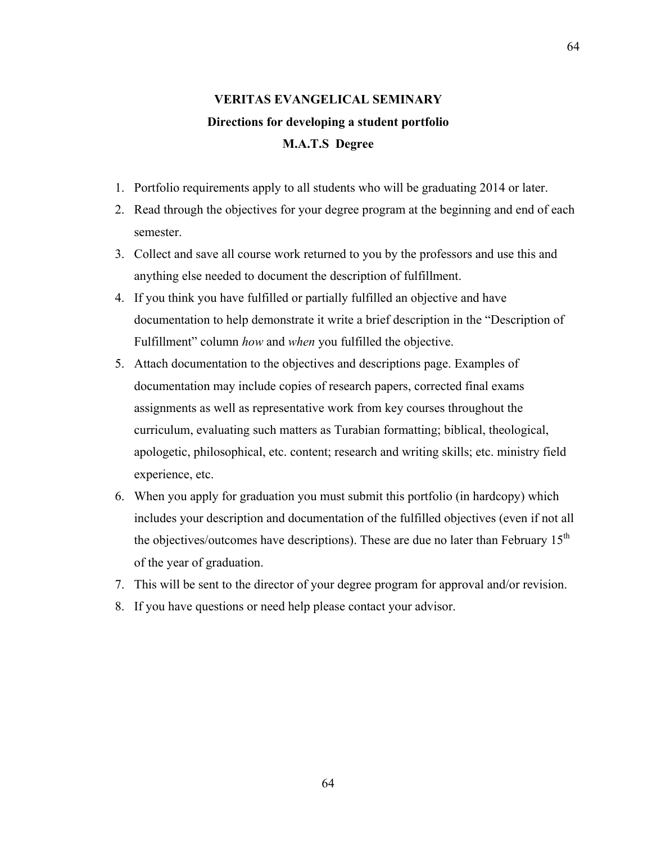# **VERITAS EVANGELICAL SEMINARY Directions for developing a student portfolio M.A.T.S Degree**

- 1. Portfolio requirements apply to all students who will be graduating 2014 or later.
- 2. Read through the objectives for your degree program at the beginning and end of each semester.
- 3. Collect and save all course work returned to you by the professors and use this and anything else needed to document the description of fulfillment.
- 4. If you think you have fulfilled or partially fulfilled an objective and have documentation to help demonstrate it write a brief description in the "Description of Fulfillment" column *how* and *when* you fulfilled the objective.
- 5. Attach documentation to the objectives and descriptions page. Examples of documentation may include copies of research papers, corrected final exams assignments as well as representative work from key courses throughout the curriculum, evaluating such matters as Turabian formatting; biblical, theological, apologetic, philosophical, etc. content; research and writing skills; etc. ministry field experience, etc.
- 6. When you apply for graduation you must submit this portfolio (in hardcopy) which includes your description and documentation of the fulfilled objectives (even if not all the objectives/outcomes have descriptions). These are due no later than February 15<sup>th</sup> of the year of graduation.
- 7. This will be sent to the director of your degree program for approval and/or revision.
- 8. If you have questions or need help please contact your advisor.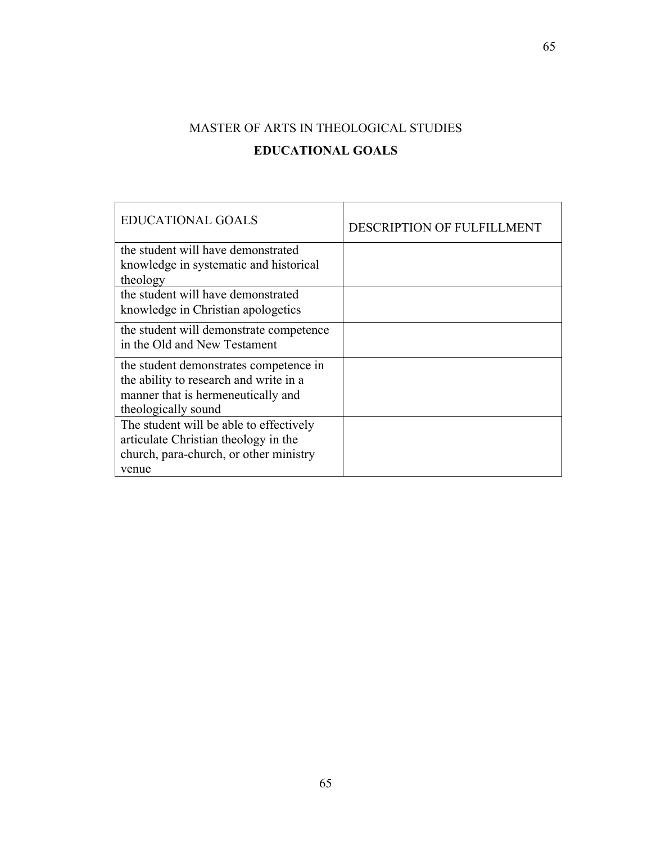# MASTER OF ARTS IN THEOLOGICAL STUDIES **EDUCATIONAL GOALS**

| <b>EDUCATIONAL GOALS</b>                | DESCRIPTION OF FULFILLMENT |
|-----------------------------------------|----------------------------|
| the student will have demonstrated      |                            |
| knowledge in systematic and historical  |                            |
| theology                                |                            |
| the student will have demonstrated      |                            |
| knowledge in Christian apologetics      |                            |
| the student will demonstrate competence |                            |
| in the Old and New Testament            |                            |
| the student demonstrates competence in  |                            |
| the ability to research and write in a  |                            |
| manner that is hermeneutically and      |                            |
| theologically sound                     |                            |
| The student will be able to effectively |                            |
| articulate Christian theology in the    |                            |
| church, para-church, or other ministry  |                            |
| venue                                   |                            |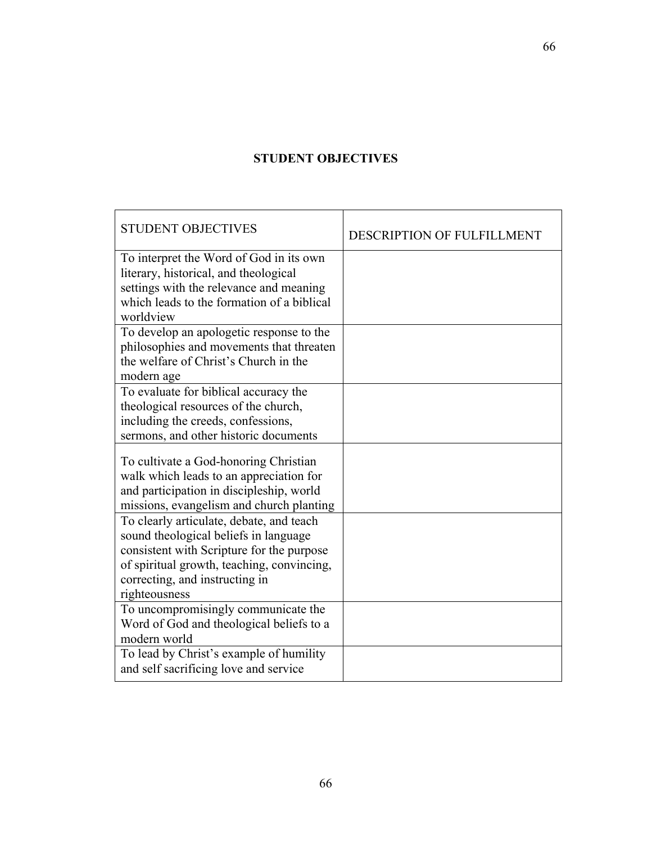## **STUDENT OBJECTIVES**

| <b>DESCRIPTION OF FULFILLMENT</b> |
|-----------------------------------|
|                                   |
|                                   |
|                                   |
|                                   |
|                                   |
|                                   |
|                                   |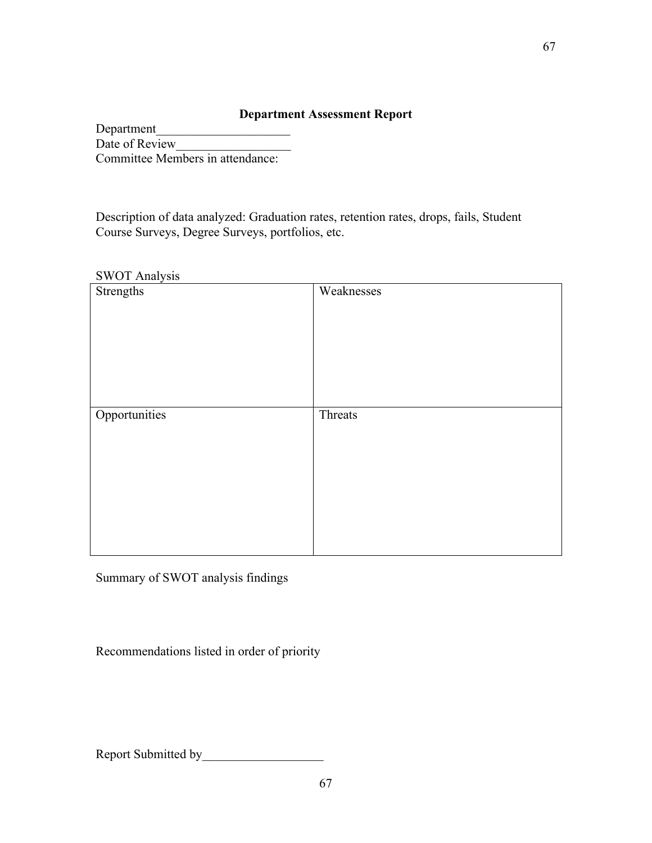### **Department Assessment Report**

Department\_\_\_\_\_\_\_\_\_\_\_\_\_\_\_\_\_\_\_\_\_ Date of Review\_\_\_\_\_\_\_\_\_\_\_\_\_\_\_\_\_\_ Committee Members in attendance:

Description of data analyzed: Graduation rates, retention rates, drops, fails, Student Course Surveys, Degree Surveys, portfolios, etc.

#### SWOT Analysis

| Strengths     | Weaknesses |
|---------------|------------|
| Opportunities | Threats    |
|               |            |

Summary of SWOT analysis findings

Recommendations listed in order of priority

Report Submitted by\_\_\_\_\_\_\_\_\_\_\_\_\_\_\_\_\_\_\_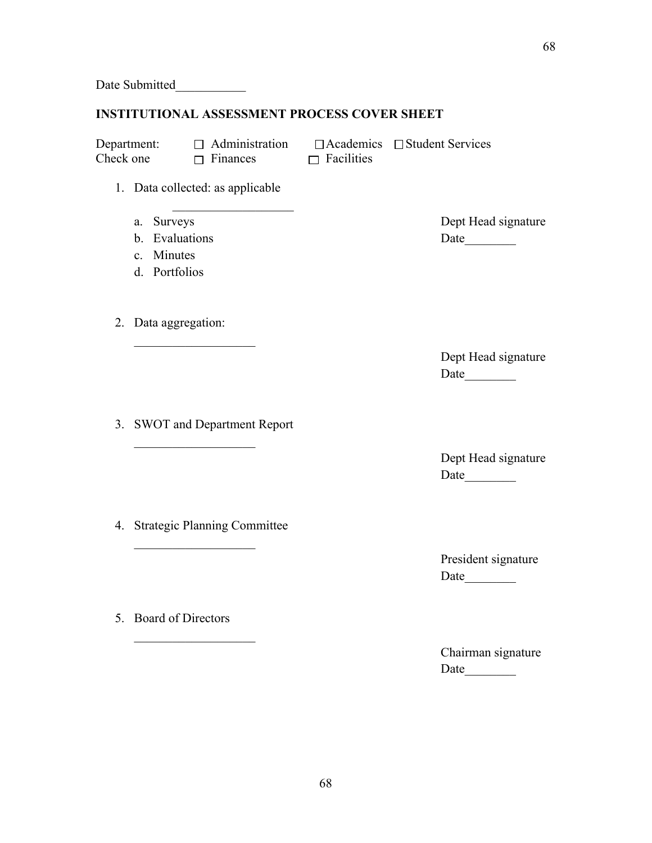Date Submitted

### **INSTITUTIONAL ASSESSMENT PROCESS COVER SHEET**

Check one  $\Box$  Finances  $\Box$  Facilities

 $\mathcal{L}_\text{max}$ 

Department:  $\Box$  Administration  $\Box$  Academics  $\Box$  Student Services

- 1. Data collected: as applicable
	-
	- b. Evaluations Date
	- c. Minutes
	- d. Portfolios
- 2. Data aggregation:

 $\mathcal{L}_\text{max}$  , where  $\mathcal{L}_\text{max}$  is the set of  $\mathcal{L}_\text{max}$ 

3. SWOT and Department Report

 $\mathcal{L}_\text{max}$ 

4. Strategic Planning Committee

 $\mathcal{L}_\text{max}$ 

 $\mathcal{L}_\text{max}$ 

5. Board of Directors

a. Surveys Dept Head signature

Dept Head signature Date\_\_\_\_\_\_\_\_

Dept Head signature Date\_\_\_\_\_\_\_\_

President signature Date\_\_\_\_\_\_\_\_

Chairman signature Date\_\_\_\_\_\_\_\_